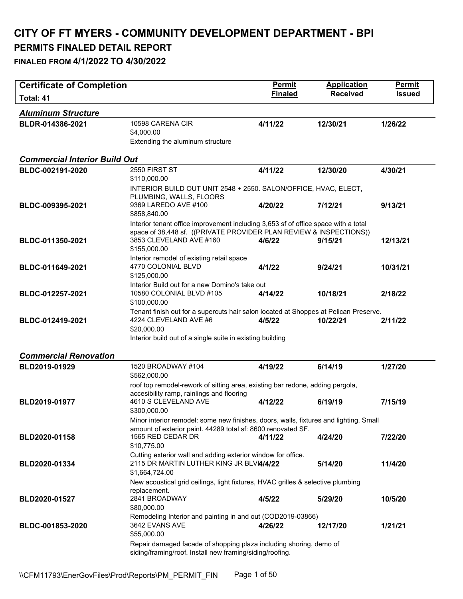## **CITY OF FT MYERS - COMMUNITY DEVELOPMENT DEPARTMENT - BPI**

#### **PERMITS FINALED DETAIL REPORT**

| <b>Certificate of Completion</b>     |                                                                                                                                                                                                                     | <b>Permit</b>  | <b>Application</b> | Permit        |
|--------------------------------------|---------------------------------------------------------------------------------------------------------------------------------------------------------------------------------------------------------------------|----------------|--------------------|---------------|
| Total: 41                            |                                                                                                                                                                                                                     | <b>Finaled</b> | <b>Received</b>    | <b>Issued</b> |
| <b>Aluminum Structure</b>            |                                                                                                                                                                                                                     |                |                    |               |
| BLDR-014386-2021                     | 10598 CARENA CIR<br>\$4,000.00<br>Extending the aluminum structure                                                                                                                                                  | 4/11/22        | 12/30/21           | 1/26/22       |
| <b>Commercial Interior Build Out</b> |                                                                                                                                                                                                                     |                |                    |               |
| BLDC-002191-2020                     | 2550 FIRST ST<br>\$110,000.00                                                                                                                                                                                       | 4/11/22        | 12/30/20           | 4/30/21       |
| BLDC-009395-2021                     | INTERIOR BUILD OUT UNIT 2548 + 2550. SALON/OFFICE, HVAC, ELECT,<br>PLUMBING, WALLS, FLOORS<br>9369 LAREDO AVE #100                                                                                                  | 4/20/22        | 7/12/21            | 9/13/21       |
| BLDC-011350-2021                     | \$858,840.00<br>Interior tenant office improvement including 3,653 sf of office space with a total<br>space of 38,448 sf. ((PRIVATE PROVIDER PLAN REVIEW & INSPECTIONS))<br>3853 CLEVELAND AVE #160<br>\$155,000.00 | 4/6/22         | 9/15/21            | 12/13/21      |
| BLDC-011649-2021                     | Interior remodel of existing retail space<br>4770 COLONIAL BLVD<br>\$125,000.00<br>Interior Build out for a new Domino's take out                                                                                   | 4/1/22         | 9/24/21            | 10/31/21      |
| BLDC-012257-2021                     | 10580 COLONIAL BLVD #105<br>\$100,000.00                                                                                                                                                                            | 4/14/22        | 10/18/21           | 2/18/22       |
| BLDC-012419-2021                     | Tenant finish out for a supercuts hair salon located at Shoppes at Pelican Preserve.<br>4224 CLEVELAND AVE #6<br>\$20,000.00<br>Interior build out of a single suite in existing building                           | 4/5/22         | 10/22/21           | 2/11/22       |
| <b>Commercial Renovation</b>         |                                                                                                                                                                                                                     |                |                    |               |
| BLD2019-01929                        | 1520 BROADWAY #104<br>\$562,000.00                                                                                                                                                                                  | 4/19/22        | 6/14/19            | 1/27/20       |
| BLD2019-01977                        | roof top remodel-rework of sitting area, existing bar redone, adding pergola,<br>accesibility ramp, rainlings and flooring<br>4610 S CLEVELAND AVE<br>\$300,000.00                                                  | 4/12/22        | 6/19/19            | 7/15/19       |
| BLD2020-01158                        | Minor interior remodel: some new finishes, doors, walls, fixtures and lighting. Small<br>amount of exterior paint. 44289 total sf: 8600 renovated SF.<br>1565 RED CEDAR DR                                          | 4/11/22        | 4/24/20            | 7/22/20       |
|                                      | \$10,775.00<br>Cutting exterior wall and adding exterior window for office.                                                                                                                                         |                |                    |               |
| BLD2020-01334                        | 2115 DR MARTIN LUTHER KING JR BLVI4/4/22<br>\$1,664,724.00<br>New acoustical grid ceilings, light fixtures, HVAC grilles & selective plumbing                                                                       |                | 5/14/20            | 11/4/20       |
| BLD2020-01527                        | replacement.<br>2841 BROADWAY<br>\$80,000.00                                                                                                                                                                        | 4/5/22         | 5/29/20            | 10/5/20       |
| BLDC-001853-2020                     | Remodeling Interior and painting in and out (COD2019-03866)<br>3642 EVANS AVE<br>\$55,000.00                                                                                                                        | 4/26/22        | 12/17/20           | 1/21/21       |
|                                      | Repair damaged facade of shopping plaza including shoring, demo of<br>siding/framing/roof. Install new framing/siding/roofing.                                                                                      |                |                    |               |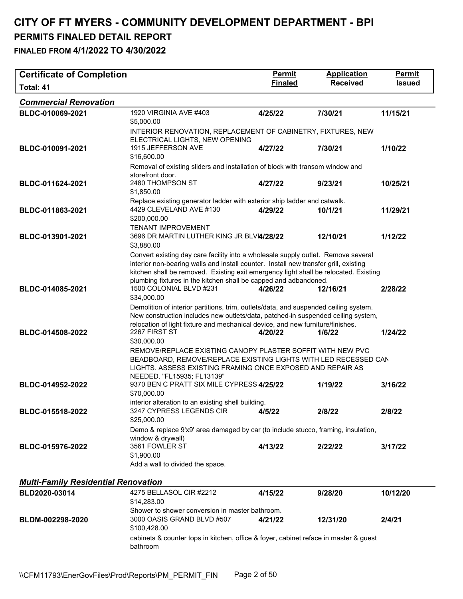**FINALED FROM 4/1/2022 TO 4/30/2022** 

| <b>Certificate of Completion</b>           |                                                                                                                                                                    | <b>Permit</b>  | <b>Application</b> | <b>Permit</b> |  |
|--------------------------------------------|--------------------------------------------------------------------------------------------------------------------------------------------------------------------|----------------|--------------------|---------------|--|
| Total: 41                                  |                                                                                                                                                                    | <b>Finaled</b> | <b>Received</b>    | <b>Issued</b> |  |
| <b>Commercial Renovation</b>               |                                                                                                                                                                    |                |                    |               |  |
| BLDC-010069-2021                           | 1920 VIRGINIA AVE #403                                                                                                                                             | 4/25/22        | 7/30/21            | 11/15/21      |  |
|                                            | \$5,000.00                                                                                                                                                         |                |                    |               |  |
|                                            | INTERIOR RENOVATION, REPLACEMENT OF CABINETRY, FIXTURES, NEW<br>ELECTRICAL LIGHTS, NEW OPENING                                                                     |                |                    |               |  |
| BLDC-010091-2021                           | 1915 JEFFERSON AVE                                                                                                                                                 | 4/27/22        | 7/30/21            | 1/10/22       |  |
|                                            | \$16,600.00                                                                                                                                                        |                |                    |               |  |
|                                            | Removal of existing sliders and installation of block with transom window and                                                                                      |                |                    |               |  |
| BLDC-011624-2021                           | storefront door.<br>2480 THOMPSON ST                                                                                                                               | 4/27/22        | 9/23/21            | 10/25/21      |  |
|                                            | \$1,850.00                                                                                                                                                         |                |                    |               |  |
|                                            | Replace existing generator ladder with exterior ship ladder and catwalk.                                                                                           |                |                    |               |  |
| BLDC-011863-2021                           | 4429 CLEVELAND AVE #130                                                                                                                                            | 4/29/22        | 10/1/21            | 11/29/21      |  |
|                                            | \$200,000.00<br><b>TENANT IMPROVEMENT</b>                                                                                                                          |                |                    |               |  |
| BLDC-013901-2021                           | 3696 DR MARTIN LUTHER KING JR BLVI4/28/22                                                                                                                          |                | 12/10/21           | 1/12/22       |  |
|                                            | \$3,880.00                                                                                                                                                         |                |                    |               |  |
|                                            | Convert existing day care facility into a wholesale supply outlet. Remove several                                                                                  |                |                    |               |  |
|                                            | interior non-bearing walls and install counter. Install new transfer grill, existing                                                                               |                |                    |               |  |
|                                            | kitchen shall be removed. Existing exit emergency light shall be relocated. Existing<br>plumbing fixtures in the kitchen shall be capped and adbandoned.           |                |                    |               |  |
| BLDC-014085-2021                           | 1500 COLONIAL BLVD #231                                                                                                                                            | 4/26/22        | 12/16/21           | 2/28/22       |  |
|                                            | \$34,000.00                                                                                                                                                        |                |                    |               |  |
|                                            | Demolition of interior partitions, trim, outlets/data, and suspended ceiling system.                                                                               |                |                    |               |  |
|                                            | New construction includes new outlets/data, patched-in suspended ceiling system,<br>relocation of light fixture and mechanical device, and new furniture/finishes. |                |                    |               |  |
| BLDC-014508-2022                           | 2267 FIRST ST                                                                                                                                                      | 4/20/22        | 1/6/22             | 1/24/22       |  |
|                                            | \$30,000.00                                                                                                                                                        |                |                    |               |  |
|                                            | REMOVE/REPLACE EXISTING CANOPY PLASTER SOFFIT WITH NEW PVC                                                                                                         |                |                    |               |  |
|                                            | BEADBOARD, REMOVE/REPLACE EXISTING LIGHTS WITH LED RECESSED CAN<br>LIGHTS. ASSESS EXISTING FRAMING ONCE EXPOSED AND REPAIR AS                                      |                |                    |               |  |
|                                            | NEEDED. "FL15935; FL13139"                                                                                                                                         |                |                    |               |  |
| BLDC-014952-2022                           | 9370 BEN C PRATT SIX MILE CYPRESS 4/25/22                                                                                                                          |                | 1/19/22            | 3/16/22       |  |
|                                            | \$70,000.00                                                                                                                                                        |                |                    |               |  |
| BLDC-015518-2022                           | interior alteration to an existing shell building.<br>3247 CYPRESS LEGENDS CIR                                                                                     | 4/5/22         | 2/8/22             | 2/8/22        |  |
|                                            | \$25,000.00                                                                                                                                                        |                |                    |               |  |
|                                            | Demo & replace 9'x9' area damaged by car (to include stucco, framing, insulation,                                                                                  |                |                    |               |  |
|                                            | window & drywall)<br>3561 FOWLER ST                                                                                                                                |                |                    |               |  |
| BLDC-015976-2022                           | \$1,900.00                                                                                                                                                         | 4/13/22        | 2/22/22            | 3/17/22       |  |
|                                            | Add a wall to divided the space.                                                                                                                                   |                |                    |               |  |
|                                            |                                                                                                                                                                    |                |                    |               |  |
| <b>Multi-Family Residential Renovation</b> |                                                                                                                                                                    |                |                    |               |  |
| BLD2020-03014                              | 4275 BELLASOL CIR #2212                                                                                                                                            | 4/15/22        | 9/28/20            | 10/12/20      |  |
|                                            | \$14,283.00<br>Shower to shower conversion in master bathroom.                                                                                                     |                |                    |               |  |
| BLDM-002298-2020                           | 3000 OASIS GRAND BLVD #507                                                                                                                                         | 4/21/22        | 12/31/20           | 2/4/21        |  |
|                                            | \$100,428.00                                                                                                                                                       |                |                    |               |  |

cabinets & counter tops in kitchen, office & foyer, cabinet reface in master & guest bathroom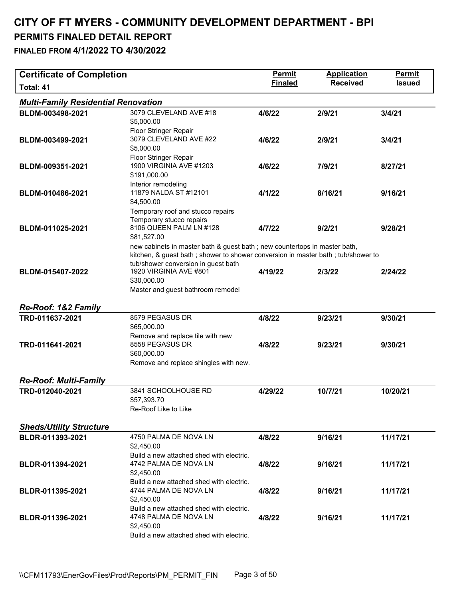# **CITY OF FT MYERS - COMMUNITY DEVELOPMENT DEPARTMENT - BPI**

## **PERMITS FINALED DETAIL REPORT**

| <b>Certificate of Completion</b>           |                                                                                                                                                                                                                                               | <b>Permit</b>  | <b>Application</b> | Permit        |
|--------------------------------------------|-----------------------------------------------------------------------------------------------------------------------------------------------------------------------------------------------------------------------------------------------|----------------|--------------------|---------------|
| Total: 41                                  |                                                                                                                                                                                                                                               | <b>Finaled</b> | <b>Received</b>    | <b>Issued</b> |
| <b>Multi-Family Residential Renovation</b> |                                                                                                                                                                                                                                               |                |                    |               |
| BLDM-003498-2021                           | 3079 CLEVELAND AVE #18<br>\$5,000.00                                                                                                                                                                                                          | 4/6/22         | 2/9/21             | 3/4/21        |
| BLDM-003499-2021                           | Floor Stringer Repair<br>3079 CLEVELAND AVE #22<br>\$5,000.00                                                                                                                                                                                 | 4/6/22         | 2/9/21             | 3/4/21        |
| BLDM-009351-2021                           | Floor Stringer Repair<br>1900 VIRGINIA AVE #1203<br>\$191,000.00                                                                                                                                                                              | 4/6/22         | 7/9/21             | 8/27/21       |
| BLDM-010486-2021                           | Interior remodeling<br>11879 NALDA ST #12101<br>\$4,500.00                                                                                                                                                                                    | 4/1/22         | 8/16/21            | 9/16/21       |
| BLDM-011025-2021                           | Temporary roof and stucco repairs<br>Temporary stucco repairs<br>8106 QUEEN PALM LN #128<br>\$81,527.00                                                                                                                                       | 4/7/22         | 9/2/21             | 9/28/21       |
| BLDM-015407-2022                           | new cabinets in master bath & guest bath; new countertops in master bath,<br>kitchen, & guest bath; shower to shower conversion in master bath; tub/shower to<br>tub/shower conversion in guest bath<br>1920 VIRGINIA AVE #801<br>\$30,000.00 | 4/19/22        | 2/3/22             | 2/24/22       |
| <b>Re-Roof: 1&amp;2 Family</b>             | Master and guest bathroom remodel                                                                                                                                                                                                             |                |                    |               |
| TRD-011637-2021                            | 8579 PEGASUS DR<br>\$65,000.00                                                                                                                                                                                                                | 4/8/22         | 9/23/21            | 9/30/21       |
| TRD-011641-2021                            | Remove and replace tile with new<br>8558 PEGASUS DR<br>\$60,000.00<br>Remove and replace shingles with new.                                                                                                                                   | 4/8/22         | 9/23/21            | 9/30/21       |
| <b>Re-Roof: Multi-Family</b>               |                                                                                                                                                                                                                                               |                |                    |               |
| TRD-012040-2021                            | 3841 SCHOOLHOUSE RD<br>\$57,393.70<br>Re-Roof Like to Like                                                                                                                                                                                    | 4/29/22        | 10/7/21            | 10/20/21      |
| <b>Sheds/Utility Structure</b>             |                                                                                                                                                                                                                                               |                |                    |               |
| BLDR-011393-2021                           | 4750 PALMA DE NOVA LN<br>\$2,450.00                                                                                                                                                                                                           | 4/8/22         | 9/16/21            | 11/17/21      |
| BLDR-011394-2021                           | Build a new attached shed with electric.<br>4742 PALMA DE NOVA LN<br>\$2,450.00                                                                                                                                                               | 4/8/22         | 9/16/21            | 11/17/21      |
| BLDR-011395-2021                           | Build a new attached shed with electric.<br>4744 PALMA DE NOVA LN<br>\$2,450.00                                                                                                                                                               | 4/8/22         | 9/16/21            | 11/17/21      |
| BLDR-011396-2021                           | Build a new attached shed with electric.<br>4748 PALMA DE NOVA LN<br>\$2,450.00<br>Build a new attached shed with electric.                                                                                                                   | 4/8/22         | 9/16/21            | 11/17/21      |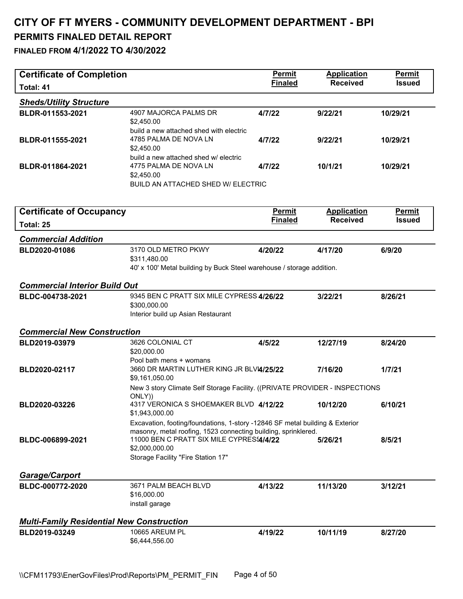| <b>Certificate of Completion</b>                 |                                                                                                                              | <b>Permit</b>  | <b>Application</b> | Permit        |
|--------------------------------------------------|------------------------------------------------------------------------------------------------------------------------------|----------------|--------------------|---------------|
| Total: 41                                        |                                                                                                                              | <b>Finaled</b> | <b>Received</b>    | <b>Issued</b> |
| <b>Sheds/Utility Structure</b>                   |                                                                                                                              |                |                    |               |
| BLDR-011553-2021                                 | 4907 MAJORCA PALMS DR<br>\$2,450.00<br>build a new attached shed with electric                                               | 4/7/22         | 9/22/21            | 10/29/21      |
| BLDR-011555-2021                                 | 4785 PALMA DE NOVA LN<br>\$2,450.00                                                                                          | 4/7/22         | 9/22/21            | 10/29/21      |
| BLDR-011864-2021                                 | build a new attached shed w/ electric<br>4775 PALMA DE NOVA LN<br>\$2,450.00                                                 | 4/7/22         | 10/1/21            | 10/29/21      |
|                                                  | BUILD AN ATTACHED SHED W/ ELECTRIC                                                                                           |                |                    |               |
| <b>Certificate of Occupancy</b>                  |                                                                                                                              | <b>Permit</b>  | <b>Application</b> | Permit        |
| Total: 25                                        |                                                                                                                              | <b>Finaled</b> | <b>Received</b>    | <b>Issued</b> |
| <b>Commercial Addition</b>                       |                                                                                                                              |                |                    |               |
| BLD2020-01086                                    | 3170 OLD METRO PKWY                                                                                                          | 4/20/22        | 4/17/20            | 6/9/20        |
|                                                  | \$311,480.00                                                                                                                 |                |                    |               |
|                                                  | 40' x 100' Metal building by Buck Steel warehouse / storage addition.                                                        |                |                    |               |
| <b>Commercial Interior Build Out</b>             |                                                                                                                              |                |                    |               |
| BLDC-004738-2021                                 | 9345 BEN C PRATT SIX MILE CYPRESS 4/26/22                                                                                    |                | 3/22/21            | 8/26/21       |
|                                                  | \$300,000.00<br>Interior build up Asian Restaurant                                                                           |                |                    |               |
|                                                  |                                                                                                                              |                |                    |               |
| <b>Commercial New Construction</b>               |                                                                                                                              |                |                    |               |
| BLD2019-03979                                    | 3626 COLONIAL CT<br>\$20,000.00                                                                                              | 4/5/22         | 12/27/19           | 8/24/20       |
| BLD2020-02117                                    | Pool bath mens + womans<br>3660 DR MARTIN LUTHER KING JR BLVI4/25/22<br>\$9,161,050.00                                       |                | 7/16/20            | 1/7/21        |
|                                                  | New 3 story Climate Self Storage Facility. ((PRIVATE PROVIDER - INSPECTIONS<br>ONLY))                                        |                |                    |               |
| <b>BLD2020-03226</b>                             | 4317 VERONICA S SHOEMAKER BLVD 4/12/22<br>\$1,943,000.00                                                                     |                | 10/12/20           | 6/10/21       |
|                                                  | Excavation, footing/foundations, 1-story -12846 SF metal building & Exterior                                                 |                |                    |               |
| BLDC-006899-2021                                 | masonry, metal roofing, 1523 connecting building, sprinklered.<br>11000 BEN C PRATT SIX MILE CYPRES 4/4/22<br>\$2,000,000.00 |                | 5/26/21            | 8/5/21        |
|                                                  | Storage Facility "Fire Station 17"                                                                                           |                |                    |               |
|                                                  |                                                                                                                              |                |                    |               |
| <b>Garage/Carport</b>                            |                                                                                                                              |                |                    |               |
| BLDC-000772-2020                                 | 3671 PALM BEACH BLVD<br>\$16,000.00                                                                                          | 4/13/22        | 11/13/20           | 3/12/21       |
|                                                  | install garage                                                                                                               |                |                    |               |
| <b>Multi-Family Residential New Construction</b> |                                                                                                                              |                |                    |               |
| BLD2019-03249                                    | 10665 AREUM PL                                                                                                               | 4/19/22        | 10/11/19           | 8/27/20       |
|                                                  | \$6,444,556.00                                                                                                               |                |                    |               |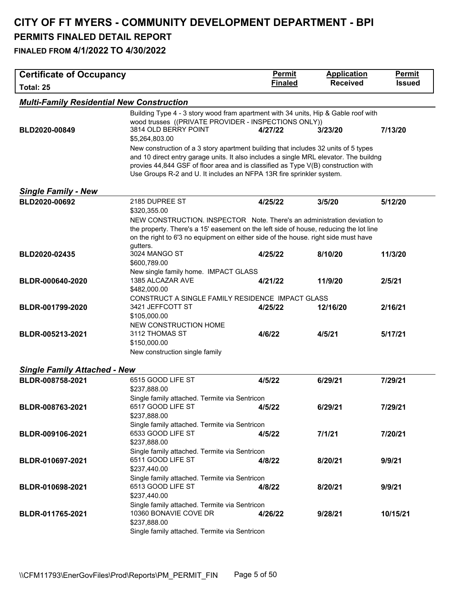| <b>Certificate of Occupancy</b>                  |                                                                                                                                                                                                                                                                                                                                          | <b>Permit</b>  | <b>Application</b> | <b>Permit</b> |
|--------------------------------------------------|------------------------------------------------------------------------------------------------------------------------------------------------------------------------------------------------------------------------------------------------------------------------------------------------------------------------------------------|----------------|--------------------|---------------|
| Total: 25                                        |                                                                                                                                                                                                                                                                                                                                          | <b>Finaled</b> | <b>Received</b>    | <b>Issued</b> |
| <b>Multi-Family Residential New Construction</b> |                                                                                                                                                                                                                                                                                                                                          |                |                    |               |
|                                                  | Building Type 4 - 3 story wood fram apartment with 34 units, Hip & Gable roof with<br>wood trusses ((PRIVATE PROVIDER - INSPECTIONS ONLY))                                                                                                                                                                                               |                |                    |               |
| BLD2020-00849                                    | 3814 OLD BERRY POINT<br>\$5,264,803.00                                                                                                                                                                                                                                                                                                   | 4/27/22        | 3/23/20            | 7/13/20       |
|                                                  | New construction of a 3 story apartment building that includes 32 units of 5 types<br>and 10 direct entry garage units. It also includes a single MRL elevator. The buildng<br>provies 44,844 GSF of floor area and is classified as Type V(B) construction with<br>Use Groups R-2 and U. It includes an NFPA 13R fire sprinkler system. |                |                    |               |
| <b>Single Family - New</b>                       |                                                                                                                                                                                                                                                                                                                                          |                |                    |               |
| BLD2020-00692                                    | 2185 DUPREE ST                                                                                                                                                                                                                                                                                                                           | 4/25/22        | 3/5/20             | 5/12/20       |
|                                                  | \$320,355.00                                                                                                                                                                                                                                                                                                                             |                |                    |               |
|                                                  | NEW CONSTRUCTION. INSPECTOR Note. There's an administration deviation to<br>the property. There's a 15' easement on the left side of house, reducing the lot line<br>on the right to 6'3 no equipment on either side of the house. right side must have                                                                                  |                |                    |               |
| BLD2020-02435                                    | gutters.<br>3024 MANGO ST                                                                                                                                                                                                                                                                                                                | 4/25/22        | 8/10/20            | 11/3/20       |
|                                                  | \$600,789.00                                                                                                                                                                                                                                                                                                                             |                |                    |               |
| BLDR-000640-2020                                 | New single family home. IMPACT GLASS<br>1385 ALCAZAR AVE                                                                                                                                                                                                                                                                                 | 4/21/22        | 11/9/20            | 2/5/21        |
|                                                  | \$482,000.00                                                                                                                                                                                                                                                                                                                             |                |                    |               |
|                                                  | CONSTRUCT A SINGLE FAMILY RESIDENCE IMPACT GLASS                                                                                                                                                                                                                                                                                         |                |                    |               |
| BLDR-001799-2020                                 | 3421 JEFFCOTT ST                                                                                                                                                                                                                                                                                                                         | 4/25/22        | 12/16/20           | 2/16/21       |
|                                                  | \$105,000.00<br>NEW CONSTRUCTION HOME                                                                                                                                                                                                                                                                                                    |                |                    |               |
| BLDR-005213-2021                                 | 3112 THOMAS ST                                                                                                                                                                                                                                                                                                                           | 4/6/22         | 4/5/21             | 5/17/21       |
|                                                  | \$150,000.00                                                                                                                                                                                                                                                                                                                             |                |                    |               |
|                                                  | New construction single family                                                                                                                                                                                                                                                                                                           |                |                    |               |
| <b>Single Family Attached - New</b>              |                                                                                                                                                                                                                                                                                                                                          |                |                    |               |
| BLDR-008758-2021                                 | 6515 GOOD LIFE ST                                                                                                                                                                                                                                                                                                                        | 4/5/22         | 6/29/21            | 7/29/21       |
|                                                  | \$237,888.00                                                                                                                                                                                                                                                                                                                             |                |                    |               |
|                                                  | Single family attached. Termite via Sentricon<br>6517 GOOD LIFE ST                                                                                                                                                                                                                                                                       |                | 6/29/21            | 7/29/21       |
| BLDR-008763-2021                                 | \$237,888.00                                                                                                                                                                                                                                                                                                                             | 4/5/22         |                    |               |
|                                                  | Single family attached. Termite via Sentricon                                                                                                                                                                                                                                                                                            |                |                    |               |
| BLDR-009106-2021                                 | 6533 GOOD LIFE ST                                                                                                                                                                                                                                                                                                                        | 4/5/22         | 7/1/21             | 7/20/21       |
|                                                  | \$237,888.00<br>Single family attached. Termite via Sentricon                                                                                                                                                                                                                                                                            |                |                    |               |
| BLDR-010697-2021                                 | 6511 GOOD LIFE ST                                                                                                                                                                                                                                                                                                                        | 4/8/22         | 8/20/21            | 9/9/21        |
|                                                  | \$237,440.00                                                                                                                                                                                                                                                                                                                             |                |                    |               |
|                                                  | Single family attached. Termite via Sentricon                                                                                                                                                                                                                                                                                            |                |                    |               |
| BLDR-010698-2021                                 | 6513 GOOD LIFE ST<br>\$237,440.00                                                                                                                                                                                                                                                                                                        | 4/8/22         | 8/20/21            | 9/9/21        |
|                                                  | Single family attached. Termite via Sentricon                                                                                                                                                                                                                                                                                            |                |                    |               |
| BLDR-011765-2021                                 | 10360 BONAVIE COVE DR                                                                                                                                                                                                                                                                                                                    | 4/26/22        | 9/28/21            | 10/15/21      |
|                                                  | \$237,888.00                                                                                                                                                                                                                                                                                                                             |                |                    |               |
|                                                  | Single family attached. Termite via Sentricon                                                                                                                                                                                                                                                                                            |                |                    |               |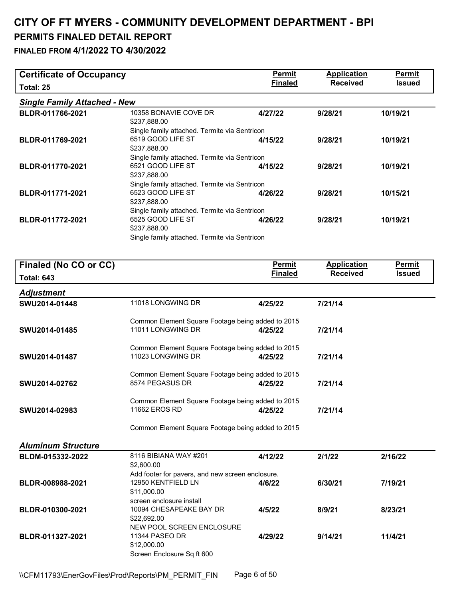| <b>Certificate of Occupancy</b>     |                                                                                          | <b>Permit</b>                   | <b>Application</b>                    | <b>Permit</b>                  |
|-------------------------------------|------------------------------------------------------------------------------------------|---------------------------------|---------------------------------------|--------------------------------|
| Total: 25                           |                                                                                          | <b>Finaled</b>                  | <b>Received</b>                       | <b>Issued</b>                  |
| <b>Single Family Attached - New</b> |                                                                                          |                                 |                                       |                                |
| BLDR-011766-2021                    | 10358 BONAVIE COVE DR<br>\$237,888.00                                                    | 4/27/22                         | 9/28/21                               | 10/19/21                       |
| BLDR-011769-2021                    | Single family attached. Termite via Sentricon<br>6519 GOOD LIFE ST<br>\$237,888.00       | 4/15/22                         | 9/28/21                               | 10/19/21                       |
| BLDR-011770-2021                    | Single family attached. Termite via Sentricon<br>6521 GOOD LIFE ST<br>\$237,888.00       | 4/15/22                         | 9/28/21                               | 10/19/21                       |
| BLDR-011771-2021                    | Single family attached. Termite via Sentricon<br>6523 GOOD LIFE ST<br>\$237,888.00       | 4/26/22                         | 9/28/21                               | 10/15/21                       |
| BLDR-011772-2021                    | Single family attached. Termite via Sentricon<br>6525 GOOD LIFE ST<br>\$237,888.00       | 4/26/22                         | 9/28/21                               | 10/19/21                       |
|                                     | Single family attached. Termite via Sentricon                                            |                                 |                                       |                                |
| Finaled (No CO or CC)               |                                                                                          | <b>Permit</b><br><b>Finaled</b> | <b>Application</b><br><b>Received</b> | <b>Permit</b><br><b>Issued</b> |
| <b>Total: 643</b>                   |                                                                                          |                                 |                                       |                                |
| <b>Adjustment</b>                   |                                                                                          |                                 |                                       |                                |
| SWU2014-01448                       | 11018 LONGWING DR                                                                        | 4/25/22                         | 7/21/14                               |                                |
| SWU2014-01485                       | Common Element Square Footage being added to 2015<br>11011 LONGWING DR                   | 4/25/22                         | 7/21/14                               |                                |
| SWU2014-01487                       | Common Element Square Footage being added to 2015<br>11023 LONGWING DR                   | 4/25/22                         | 7/21/14                               |                                |
| SWU2014-02762                       | Common Element Square Footage being added to 2015<br>8574 PEGASUS DR                     | 4/25/22                         | 7/21/14                               |                                |
| SWU2014-02983                       | Common Element Square Footage being added to 2015<br>11662 EROS RD                       | 4/25/22                         | 7/21/14                               |                                |
|                                     | Common Element Square Footage being added to 2015                                        |                                 |                                       |                                |
| <b>Aluminum Structure</b>           |                                                                                          |                                 |                                       |                                |
| BLDM-015332-2022                    | 8116 BIBIANA WAY #201<br>\$2,600.00                                                      | 4/12/22                         | 2/1/22                                | 2/16/22                        |
| BLDR-008988-2021                    | Add footer for pavers, and new screen enclosure.<br>12950 KENTFIELD LN<br>\$11,000.00    | 4/6/22                          | 6/30/21                               | 7/19/21                        |
| BLDR-010300-2021                    | screen enclosure install<br>10094 CHESAPEAKE BAY DR<br>\$22,692.00                       | 4/5/22                          | 8/9/21                                | 8/23/21                        |
| BLDR-011327-2021                    | NEW POOL SCREEN ENCLOSURE<br>11344 PASEO DR<br>\$12,000.00<br>Screen Enclosure Sq ft 600 | 4/29/22                         | 9/14/21                               | 11/4/21                        |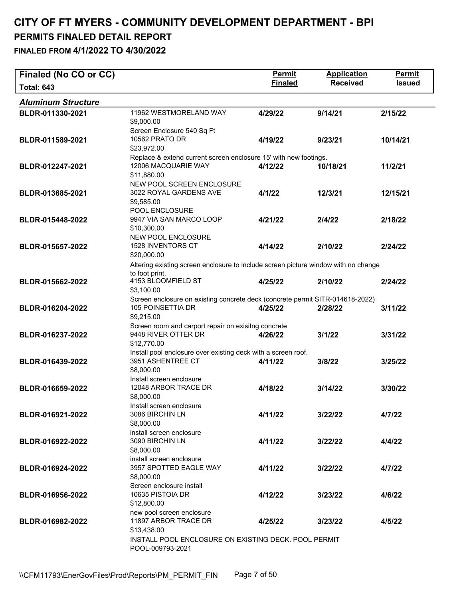| Finaled (No CO or CC)     |                                                                                                                                          | Permit         | <b>Application</b> | <b>Permit</b> |
|---------------------------|------------------------------------------------------------------------------------------------------------------------------------------|----------------|--------------------|---------------|
| <b>Total: 643</b>         |                                                                                                                                          | <b>Finaled</b> | <b>Received</b>    | <b>Issued</b> |
| <b>Aluminum Structure</b> |                                                                                                                                          |                |                    |               |
| BLDR-011330-2021          | 11962 WESTMORELAND WAY<br>\$9,000.00                                                                                                     | 4/29/22        | 9/14/21            | 2/15/22       |
| BLDR-011589-2021          | Screen Enclosure 540 Sq Ft<br>10562 PRATO DR<br>\$23,972.00                                                                              | 4/19/22        | 9/23/21            | 10/14/21      |
| BLDR-012247-2021          | Replace & extend current screen enclosure 15' with new footings.<br>12006 MACQUARIE WAY<br>\$11,880.00                                   | 4/12/22        | 10/18/21           | 11/2/21       |
| BLDR-013685-2021          | NEW POOL SCREEN ENCLOSURE<br>3022 ROYAL GARDENS AVE<br>\$9,585.00                                                                        | 4/1/22         | 12/3/21            | 12/15/21      |
| BLDR-015448-2022          | POOL ENCLOSURE<br>9947 VIA SAN MARCO LOOP<br>\$10,300.00                                                                                 | 4/21/22        | 2/4/22             | 2/18/22       |
| BLDR-015657-2022          | NEW POOL ENCLOSURE<br>1528 INVENTORS CT<br>\$20,000.00                                                                                   | 4/14/22        | 2/10/22            | 2/24/22       |
| BLDR-015662-2022          | Altering existing screen enclosure to include screen picture window with no change<br>to foot print.<br>4153 BLOOMFIELD ST<br>\$3,100.00 | 4/25/22        | 2/10/22            | 2/24/22       |
| BLDR-016204-2022          | Screen enclosure on existing concrete deck (concrete permit SITR-014618-2022)<br>105 POINSETTIA DR<br>\$9,215.00                         | 4/25/22        | 2/28/22            | 3/11/22       |
| BLDR-016237-2022          | Screen room and carport repair on exisitng concrete<br>9448 RIVER OTTER DR<br>\$12,770.00                                                | 4/26/22        | 3/1/22             | 3/31/22       |
| BLDR-016439-2022          | Install pool enclosure over existing deck with a screen roof.<br>3951 ASHENTREE CT<br>\$8,000.00                                         | 4/11/22        | 3/8/22             | 3/25/22       |
| BLDR-016659-2022          | Install screen enclosure<br>12048 ARBOR TRACE DR<br>\$8,000.00                                                                           | 4/18/22        | 3/14/22            | 3/30/22       |
| BLDR-016921-2022          | Install screen enclosure<br>3086 BIRCHIN LN<br>\$8,000.00                                                                                | 4/11/22        | 3/22/22            | 4/7/22        |
| BLDR-016922-2022          | install screen enclosure<br>3090 BIRCHIN LN<br>\$8,000.00<br>install screen enclosure                                                    | 4/11/22        | 3/22/22            | 4/4/22        |
| BLDR-016924-2022          | 3957 SPOTTED EAGLE WAY<br>\$8,000.00<br>Screen enclosure install                                                                         | 4/11/22        | 3/22/22            | 4/7/22        |
| BLDR-016956-2022          | 10635 PISTOIA DR<br>\$12,800.00                                                                                                          | 4/12/22        | 3/23/22            | 4/6/22        |
| BLDR-016982-2022          | new pool screen enclosure<br>11897 ARBOR TRACE DR<br>\$13,438.00                                                                         | 4/25/22        | 3/23/22            | 4/5/22        |
|                           | INSTALL POOL ENCLOSURE ON EXISTING DECK. POOL PERMIT<br>POOL-009793-2021                                                                 |                |                    |               |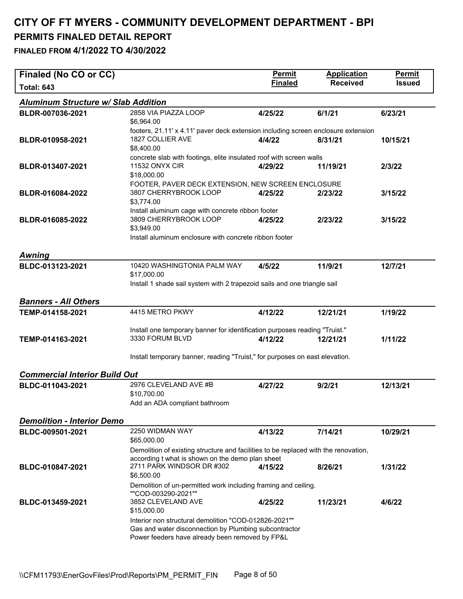| Finaled (No CO or CC)                      |                                                                                                                | <b>Permit</b>  | <b>Application</b> | <b>Permit</b> |
|--------------------------------------------|----------------------------------------------------------------------------------------------------------------|----------------|--------------------|---------------|
| <b>Total: 643</b>                          |                                                                                                                | <b>Finaled</b> | <b>Received</b>    | <b>Issued</b> |
| <b>Aluminum Structure w/ Slab Addition</b> |                                                                                                                |                |                    |               |
| BLDR-007036-2021                           | 2858 VIA PIAZZA LOOP                                                                                           | 4/25/22        | 6/1/21             | 6/23/21       |
|                                            | \$6,964.00                                                                                                     |                |                    |               |
|                                            | footers, 21.11' x 4.11' paver deck extension including screen enclosure extension<br>1827 COLLIER AVE          | 4/4/22         |                    |               |
| BLDR-010958-2021                           | \$8,400.00                                                                                                     |                | 8/31/21            | 10/15/21      |
|                                            | concrete slab with footings, elite insulated roof with screen walls                                            |                |                    |               |
| BLDR-013407-2021                           | <b>11532 ONYX CIR</b>                                                                                          | 4/29/22        | 11/19/21           | 2/3/22        |
|                                            | \$18,000.00                                                                                                    |                |                    |               |
|                                            | FOOTER, PAVER DECK EXTENSION, NEW SCREEN ENCLOSURE<br>3807 CHERRYBROOK LOOP                                    |                |                    |               |
| BLDR-016084-2022                           | \$3,774.00                                                                                                     | 4/25/22        | 2/23/22            | 3/15/22       |
|                                            | Install aluminum cage with concrete ribbon footer                                                              |                |                    |               |
| BLDR-016085-2022                           | 3809 CHERRYBROOK LOOP                                                                                          | 4/25/22        | 2/23/22            | 3/15/22       |
|                                            | \$3,949.00                                                                                                     |                |                    |               |
|                                            | Install aluminum enclosure with concrete ribbon footer                                                         |                |                    |               |
|                                            |                                                                                                                |                |                    |               |
| <b>Awning</b><br>BLDC-013123-2021          | 10420 WASHINGTONIA PALM WAY                                                                                    | 4/5/22         | 11/9/21            |               |
|                                            | \$17,000.00                                                                                                    |                |                    | 12/7/21       |
|                                            | Install 1 shade sail system with 2 trapezoid sails and one triangle sail                                       |                |                    |               |
|                                            |                                                                                                                |                |                    |               |
| <b>Banners - All Others</b>                |                                                                                                                |                |                    |               |
| TEMP-014158-2021                           | 4415 METRO PKWY                                                                                                | 4/12/22        | 12/21/21           | 1/19/22       |
|                                            |                                                                                                                |                |                    |               |
| TEMP-014163-2021                           | Install one temporary banner for identification purposes reading "Truist."<br>3330 FORUM BLVD                  | 4/12/22        | 12/21/21           | 1/11/22       |
|                                            |                                                                                                                |                |                    |               |
|                                            | Install temporary banner, reading "Truist," for purposes on east elevation.                                    |                |                    |               |
|                                            |                                                                                                                |                |                    |               |
| <b>Commercial Interior Build Out</b>       |                                                                                                                |                |                    |               |
| BLDC-011043-2021                           | 2976 CLEVELAND AVE #B                                                                                          | 4/27/22        | 9/2/21             | 12/13/21      |
|                                            | \$10,700.00<br>Add an ADA compliant bathroom                                                                   |                |                    |               |
|                                            |                                                                                                                |                |                    |               |
| <b>Demolition - Interior Demo</b>          |                                                                                                                |                |                    |               |
| BLDC-009501-2021                           | 2250 WIDMAN WAY                                                                                                | 4/13/22        | 7/14/21            | 10/29/21      |
|                                            | \$65,000.00                                                                                                    |                |                    |               |
|                                            | Demolition of existing structure and facilities to be replaced with the renovation,                            |                |                    |               |
| BLDC-010847-2021                           | according t what is shown on the demo plan sheet<br>2711 PARK WINDSOR DR #302                                  | 4/15/22        | 8/26/21            | 1/31/22       |
|                                            | \$6,500.00                                                                                                     |                |                    |               |
|                                            | Demolition of un-permitted work including framing and ceiling.                                                 |                |                    |               |
|                                            | ""COD-003290-2021""                                                                                            |                |                    |               |
| BLDC-013459-2021                           | 3852 CLEVELAND AVE                                                                                             | 4/25/22        | 11/23/21           | 4/6/22        |
|                                            | \$15,000.00                                                                                                    |                |                    |               |
|                                            | Interior non structural demolition "COD-012826-2021""<br>Gas and water disconnection by Plumbing subcontractor |                |                    |               |
|                                            | Power feeders have already been removed by FP&L                                                                |                |                    |               |
|                                            |                                                                                                                |                |                    |               |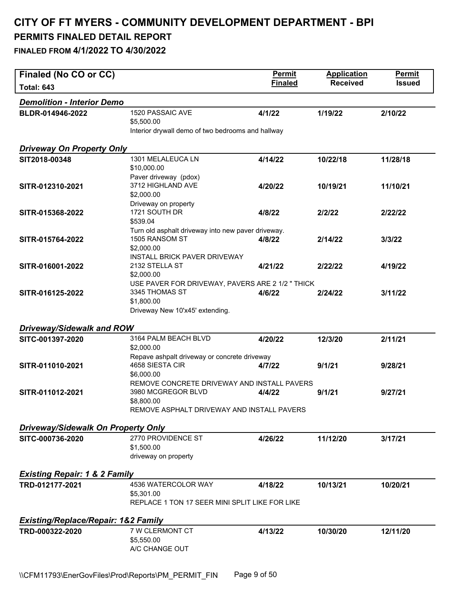| Finaled (No CO or CC)                          |                                                                   | <b>Permit</b>  | <b>Application</b> | <b>Permit</b> |  |
|------------------------------------------------|-------------------------------------------------------------------|----------------|--------------------|---------------|--|
| <b>Total: 643</b>                              |                                                                   | <b>Finaled</b> | <b>Received</b>    | <b>Issued</b> |  |
| <b>Demolition - Interior Demo</b>              |                                                                   |                |                    |               |  |
| BLDR-014946-2022                               | 1520 PASSAIC AVE                                                  | 4/1/22         | 1/19/22            | 2/10/22       |  |
|                                                | \$5,500.00                                                        |                |                    |               |  |
|                                                | Interior drywall demo of two bedrooms and hallway                 |                |                    |               |  |
| <b>Driveway On Property Only</b>               |                                                                   |                |                    |               |  |
| SIT2018-00348                                  | 1301 MELALEUCA LN                                                 | 4/14/22        | 10/22/18           | 11/28/18      |  |
|                                                | \$10,000.00                                                       |                |                    |               |  |
| SITR-012310-2021                               | Paver driveway (pdox)<br>3712 HIGHLAND AVE                        |                | 10/19/21           |               |  |
|                                                | \$2,000.00                                                        | 4/20/22        |                    | 11/10/21      |  |
|                                                | Driveway on property                                              |                |                    |               |  |
| SITR-015368-2022                               | 1721 SOUTH DR                                                     | 4/8/22         | 2/2/22             | 2/22/22       |  |
|                                                | \$539.04                                                          |                |                    |               |  |
|                                                | Turn old asphalt driveway into new paver driveway.                |                |                    |               |  |
| SITR-015764-2022                               | 1505 RANSOM ST                                                    | 4/8/22         | 2/14/22            | 3/3/22        |  |
|                                                | \$2,000.00<br><b>INSTALL BRICK PAVER DRIVEWAY</b>                 |                |                    |               |  |
| SITR-016001-2022                               | 2132 STELLA ST                                                    | 4/21/22        | 2/22/22            | 4/19/22       |  |
|                                                | \$2,000.00                                                        |                |                    |               |  |
|                                                | USE PAVER FOR DRIVEWAY, PAVERS ARE 2 1/2 " THICK                  |                |                    |               |  |
| SITR-016125-2022                               | 3345 THOMAS ST                                                    | 4/6/22         | 2/24/22            | 3/11/22       |  |
|                                                | \$1,800.00                                                        |                |                    |               |  |
|                                                | Driveway New 10'x45' extending.                                   |                |                    |               |  |
| <b>Driveway/Sidewalk and ROW</b>               |                                                                   |                |                    |               |  |
| SITC-001397-2020                               | 3164 PALM BEACH BLVD                                              | 4/20/22        | 12/3/20            | 2/11/21       |  |
|                                                | \$2,000.00                                                        |                |                    |               |  |
|                                                | Repave ashpalt driveway or concrete driveway                      |                |                    |               |  |
| SITR-011010-2021                               | 4658 SIESTA CIR                                                   | 4/7/22         | 9/1/21             | 9/28/21       |  |
|                                                | \$6,000.00                                                        |                |                    |               |  |
| SITR-011012-2021                               | REMOVE CONCRETE DRIVEWAY AND INSTALL PAVERS<br>3980 MCGREGOR BLVD | 4/4/22         | 9/1/21             | 9/27/21       |  |
|                                                | \$8,800.00                                                        |                |                    |               |  |
|                                                | REMOVE ASPHALT DRIVEWAY AND INSTALL PAVERS                        |                |                    |               |  |
|                                                |                                                                   |                |                    |               |  |
| <b>Driveway/Sidewalk On Property Only</b>      |                                                                   |                |                    |               |  |
| SITC-000736-2020                               | 2770 PROVIDENCE ST                                                | 4/26/22        | 11/12/20           | 3/17/21       |  |
|                                                | \$1,500.00                                                        |                |                    |               |  |
|                                                | driveway on property                                              |                |                    |               |  |
| <b>Existing Repair: 1 &amp; 2 Family</b>       |                                                                   |                |                    |               |  |
| TRD-012177-2021                                | 4536 WATERCOLOR WAY                                               | 4/18/22        | 10/13/21           | 10/20/21      |  |
|                                                | \$5,301.00                                                        |                |                    |               |  |
|                                                | REPLACE 1 TON 17 SEER MINI SPLIT LIKE FOR LIKE                    |                |                    |               |  |
|                                                |                                                                   |                |                    |               |  |
| <b>Existing/Replace/Repair: 1&amp;2 Family</b> | 7 W CLERMONT CT                                                   |                |                    |               |  |
| TRD-000322-2020                                | \$5,550.00                                                        | 4/13/22        | 10/30/20           | 12/11/20      |  |
|                                                | A/C CHANGE OUT                                                    |                |                    |               |  |
|                                                |                                                                   |                |                    |               |  |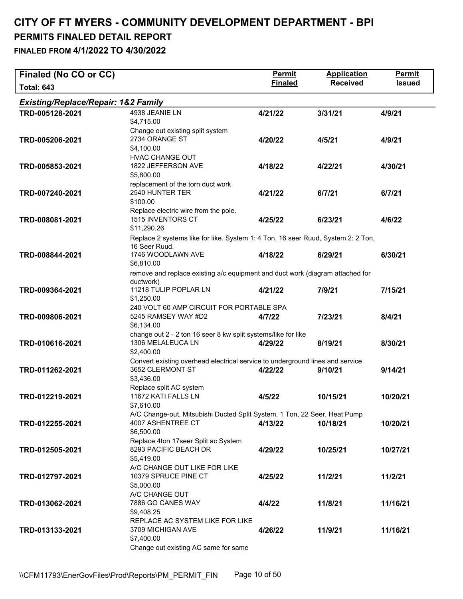| Finaled (No CO or CC)                          |                                                                                                                                      | <b>Permit</b>  | <b>Application</b> | <b>Permit</b> |
|------------------------------------------------|--------------------------------------------------------------------------------------------------------------------------------------|----------------|--------------------|---------------|
| <b>Total: 643</b>                              |                                                                                                                                      | <b>Finaled</b> | <b>Received</b>    | <b>Issued</b> |
| <b>Existing/Replace/Repair: 1&amp;2 Family</b> |                                                                                                                                      |                |                    |               |
| TRD-005128-2021                                | 4938 JEANIE LN<br>\$4,715.00                                                                                                         | 4/21/22        | 3/31/21            | 4/9/21        |
| TRD-005206-2021                                | Change out existing split system<br>2734 ORANGE ST<br>\$4,100.00                                                                     | 4/20/22        | 4/5/21             | 4/9/21        |
| TRD-005853-2021                                | HVAC CHANGE OUT<br>1822 JEFFERSON AVE<br>\$5,800.00                                                                                  | 4/18/22        | 4/22/21            | 4/30/21       |
| TRD-007240-2021                                | replacement of the torn duct work<br>2540 HUNTER TER<br>\$100.00                                                                     | 4/21/22        | 6/7/21             | 6/7/21        |
| TRD-008081-2021                                | Replace electric wire from the pole.<br>1515 INVENTORS CT<br>\$11,290.26                                                             | 4/25/22        | 6/23/21            | 4/6/22        |
| TRD-008844-2021                                | Replace 2 systems like for like. System 1: 4 Ton, 16 seer Ruud, System 2: 2 Ton,<br>16 Seer Ruud.<br>1746 WOODLAWN AVE<br>\$6,810.00 | 4/18/22        | 6/29/21            | 6/30/21       |
| TRD-009364-2021                                | remove and replace existing a/c equipment and duct work (diagram attached for<br>ductwork)<br>11218 TULIP POPLAR LN<br>\$1,250.00    | 4/21/22        | 7/9/21             | 7/15/21       |
| TRD-009806-2021                                | 240 VOLT 60 AMP CIRCUIT FOR PORTABLE SPA<br>5245 RAMSEY WAY #D2<br>\$6,134.00                                                        | 4/7/22         | 7/23/21            | 8/4/21        |
| TRD-010616-2021                                | change out 2 - 2 ton 16 seer 8 kw split systems/like for like<br>1306 MELALEUCA LN<br>\$2,400.00                                     | 4/29/22        | 8/19/21            | 8/30/21       |
| TRD-011262-2021                                | Convert existing overhead electrical service to underground lines and service<br>3652 CLERMONT ST<br>\$3,436.00                      | 4/22/22        | 9/10/21            | 9/14/21       |
| TRD-012219-2021                                | Replace split AC system<br>11672 KATI FALLS LN<br>\$7,610.00                                                                         | 4/5/22         | 10/15/21           | 10/20/21      |
| TRD-012255-2021                                | A/C Change-out, Mitsubishi Ducted Split System, 1 Ton, 22 Seer, Heat Pump<br>4007 ASHENTREE CT<br>\$6,500.00                         | 4/13/22        | 10/18/21           | 10/20/21      |
| TRD-012505-2021                                | Replace 4ton 17seer Split ac System<br>8293 PACIFIC BEACH DR<br>\$5,419.00<br>A/C CHANGE OUT LIKE FOR LIKE                           | 4/29/22        | 10/25/21           | 10/27/21      |
| TRD-012797-2021                                | 10379 SPRUCE PINE CT<br>\$5,000.00<br>A/C CHANGE OUT                                                                                 | 4/25/22        | 11/2/21            | 11/2/21       |
| TRD-013062-2021                                | 7886 GO CANES WAY<br>\$9,408.25                                                                                                      | 4/4/22         | 11/8/21            | 11/16/21      |
| TRD-013133-2021                                | REPLACE AC SYSTEM LIKE FOR LIKE<br>3709 MICHIGAN AVE<br>\$7,400.00<br>Change out existing AC same for same                           | 4/26/22        | 11/9/21            | 11/16/21      |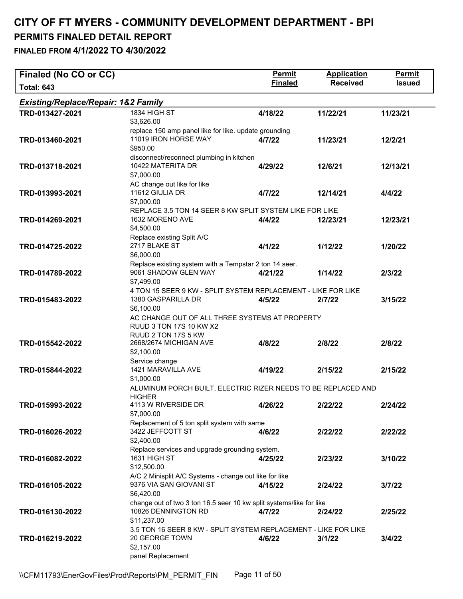| Finaled (No CO or CC)                          |                                                                     | <b>Permit</b>  | <b>Application</b> | <b>Permit</b> |
|------------------------------------------------|---------------------------------------------------------------------|----------------|--------------------|---------------|
| <b>Total: 643</b>                              |                                                                     | <b>Finaled</b> | <b>Received</b>    | <b>Issued</b> |
| <b>Existing/Replace/Repair: 1&amp;2 Family</b> |                                                                     |                |                    |               |
| TRD-013427-2021                                | 1834 HIGH ST                                                        | 4/18/22        | 11/22/21           | 11/23/21      |
|                                                | \$3,626.00                                                          |                |                    |               |
|                                                | replace 150 amp panel like for like. update grounding               |                |                    |               |
| TRD-013460-2021                                | 11019 IRON HORSE WAY                                                | 4/7/22         | 11/23/21           | 12/2/21       |
|                                                | \$950.00                                                            |                |                    |               |
|                                                | disconnect/reconnect plumbing in kitchen                            |                |                    |               |
| TRD-013718-2021                                | 10422 MATERITA DR                                                   | 4/29/22        | 12/6/21            | 12/13/21      |
|                                                | \$7,000.00                                                          |                |                    |               |
| TRD-013993-2021                                | AC change out like for like<br>11612 GIULIA DR                      | 4/7/22         | 12/14/21           | 4/4/22        |
|                                                | \$7,000.00                                                          |                |                    |               |
|                                                | REPLACE 3.5 TON 14 SEER 8 KW SPLIT SYSTEM LIKE FOR LIKE             |                |                    |               |
| TRD-014269-2021                                | 1632 MORENO AVE                                                     | 4/4/22         | 12/23/21           | 12/23/21      |
|                                                | \$4,500.00                                                          |                |                    |               |
|                                                | Replace existing Split A/C                                          |                |                    |               |
| TRD-014725-2022                                | 2717 BLAKE ST                                                       | 4/1/22         | 1/12/22            | 1/20/22       |
|                                                | \$6,000.00                                                          |                |                    |               |
|                                                | Replace existing system with a Tempstar 2 ton 14 seer.              |                |                    |               |
| TRD-014789-2022                                | 9061 SHADOW GLEN WAY                                                | 4/21/22        | 1/14/22            | 2/3/22        |
|                                                | \$7,499.00                                                          |                |                    |               |
|                                                | 4 TON 15 SEER 9 KW - SPLIT SYSTEM REPLACEMENT - LIKE FOR LIKE       |                |                    |               |
| TRD-015483-2022                                | 1380 GASPARILLA DR                                                  | 4/5/22         | 2/7/22             | 3/15/22       |
|                                                | \$6,100.00                                                          |                |                    |               |
|                                                | AC CHANGE OUT OF ALL THREE SYSTEMS AT PROPERTY                      |                |                    |               |
|                                                | RUUD 3 TON 17S 10 KW X2<br>RUUD 2 TON 17S 5 KW                      |                |                    |               |
| TRD-015542-2022                                | 2668/2674 MICHIGAN AVE                                              | 4/8/22         | 2/8/22             | 2/8/22        |
|                                                | \$2,100.00                                                          |                |                    |               |
|                                                | Service change                                                      |                |                    |               |
| TRD-015844-2022                                | 1421 MARAVILLA AVE                                                  | 4/19/22        | 2/15/22            | 2/15/22       |
|                                                | \$1,000.00                                                          |                |                    |               |
|                                                | ALUMINUM PORCH BUILT, ELECTRIC RIZER NEEDS TO BE REPLACED AND       |                |                    |               |
|                                                | <b>HIGHER</b>                                                       |                |                    |               |
| TRD-015993-2022                                | 4113 W RIVERSIDE DR                                                 | 4/26/22        | 2/22/22            | 2/24/22       |
|                                                | \$7,000.00                                                          |                |                    |               |
|                                                | Replacement of 5 ton split system with same                         |                |                    |               |
| TRD-016026-2022                                | 3422 JEFFCOTT ST<br>\$2,400.00                                      | 4/6/22         | 2/22/22            | 2/22/22       |
|                                                | Replace services and upgrade grounding system.                      |                |                    |               |
| TRD-016082-2022                                | 1631 HIGH ST                                                        | 4/25/22        | 2/23/22            | 3/10/22       |
|                                                | \$12,500.00                                                         |                |                    |               |
|                                                | A/C 2 Minisplit A/C Systems - change out like for like              |                |                    |               |
| TRD-016105-2022                                | 9376 VIA SAN GIOVANI ST                                             | 4/15/22        | 2/24/22            | 3/7/22        |
|                                                | \$6,420.00                                                          |                |                    |               |
|                                                | change out of two 3 ton 16.5 seer 10 kw split systems/like for like |                |                    |               |
| TRD-016130-2022                                | 10826 DENNINGTON RD                                                 | 4/7/22         | 2/24/22            | 2/25/22       |
|                                                | \$11,237.00                                                         |                |                    |               |
|                                                | 3.5 TON 16 SEER 8 KW - SPLIT SYSTEM REPLACEMENT - LIKE FOR LIKE     |                |                    |               |
| TRD-016219-2022                                | 20 GEORGE TOWN                                                      | 4/6/22         | 3/1/22             | 3/4/22        |
|                                                | \$2,157.00                                                          |                |                    |               |
|                                                | panel Replacement                                                   |                |                    |               |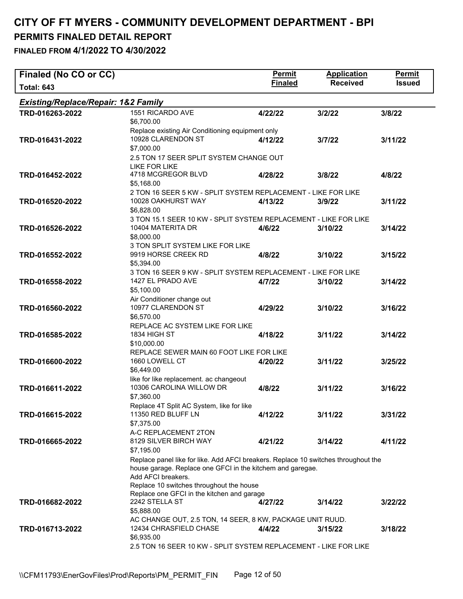| Finaled (No CO or CC)                          |                                                                                                                                                                                                                    | <b>Permit</b>  | <b>Application</b> | <b>Permit</b> |  |
|------------------------------------------------|--------------------------------------------------------------------------------------------------------------------------------------------------------------------------------------------------------------------|----------------|--------------------|---------------|--|
| <b>Total: 643</b>                              |                                                                                                                                                                                                                    | <b>Finaled</b> | <b>Received</b>    | <b>Issued</b> |  |
| <b>Existing/Replace/Repair: 1&amp;2 Family</b> |                                                                                                                                                                                                                    |                |                    |               |  |
| TRD-016263-2022                                | 1551 RICARDO AVE<br>\$6,700.00                                                                                                                                                                                     | 4/22/22        | 3/2/22             | 3/8/22        |  |
| TRD-016431-2022                                | Replace existing Air Conditioning equipment only<br>10928 CLARENDON ST<br>\$7,000.00                                                                                                                               | 4/12/22        | 3/7/22             | 3/11/22       |  |
| TRD-016452-2022                                | 2.5 TON 17 SEER SPLIT SYSTEM CHANGE OUT<br>LIKE FOR LIKE<br>4718 MCGREGOR BLVD<br>\$5,168.00                                                                                                                       | 4/28/22        | 3/8/22             | 4/8/22        |  |
| TRD-016520-2022                                | 2 TON 16 SEER 5 KW - SPLIT SYSTEM REPLACEMENT - LIKE FOR LIKE<br>10028 OAKHURST WAY<br>\$6,828.00                                                                                                                  | 4/13/22        | 3/9/22             | 3/11/22       |  |
| TRD-016526-2022                                | 3 TON 15.1 SEER 10 KW - SPLIT SYSTEM REPLACEMENT - LIKE FOR LIKE<br>10404 MATERITA DR<br>\$8,000.00                                                                                                                | 4/6/22         | 3/10/22            | 3/14/22       |  |
| TRD-016552-2022                                | 3 TON SPLIT SYSTEM LIKE FOR LIKE<br>9919 HORSE CREEK RD<br>\$5,394.00                                                                                                                                              | 4/8/22         | 3/10/22            | 3/15/22       |  |
| TRD-016558-2022                                | 3 TON 16 SEER 9 KW - SPLIT SYSTEM REPLACEMENT - LIKE FOR LIKE<br>1427 EL PRADO AVE<br>\$5,100.00                                                                                                                   | 4/7/22         | 3/10/22            | 3/14/22       |  |
| TRD-016560-2022                                | Air Conditioner change out<br>10977 CLARENDON ST<br>\$6,570.00                                                                                                                                                     | 4/29/22        | 3/10/22            | 3/16/22       |  |
| TRD-016585-2022                                | REPLACE AC SYSTEM LIKE FOR LIKE<br>1834 HIGH ST<br>\$10,000.00<br>REPLACE SEWER MAIN 60 FOOT LIKE FOR LIKE                                                                                                         | 4/18/22        | 3/11/22            | 3/14/22       |  |
| TRD-016600-2022                                | 1660 LOWELL CT<br>\$6,449.00                                                                                                                                                                                       | 4/20/22        | 3/11/22            | 3/25/22       |  |
| TRD-016611-2022                                | like for like replacement. ac changeout<br>10306 CAROLINA WILLOW DR<br>\$7,360.00                                                                                                                                  | 4/8/22         | 3/11/22            | 3/16/22       |  |
| TRD-016615-2022                                | Replace 4T Split AC System, like for like<br>11350 RED BLUFF LN<br>\$7,375.00                                                                                                                                      | 4/12/22        | 3/11/22            | 3/31/22       |  |
| TRD-016665-2022                                | A-C REPLACEMENT 2TON<br>8129 SILVER BIRCH WAY<br>\$7,195.00                                                                                                                                                        | 4/21/22        | 3/14/22            | 4/11/22       |  |
|                                                | Replace panel like for like. Add AFCI breakers. Replace 10 switches throughout the<br>house garage. Replace one GFCI in the kitchem and garegae.<br>Add AFCI breakers.<br>Replace 10 switches throughout the house |                |                    |               |  |
| TRD-016682-2022                                | Replace one GFCI in the kitchen and garage<br>2242 STELLA ST<br>\$5,888.00<br>AC CHANGE OUT, 2.5 TON, 14 SEER, 8 KW, PACKAGE UNIT RUUD.                                                                            | 4/27/22        | 3/14/22            | 3/22/22       |  |
| TRD-016713-2022                                | 12434 CHRASFIELD CHASE<br>\$6,935.00<br>2.5 TON 16 SEER 10 KW - SPLIT SYSTEM REPLACEMENT - LIKE FOR LIKE                                                                                                           | 4/4/22         | 3/15/22            | 3/18/22       |  |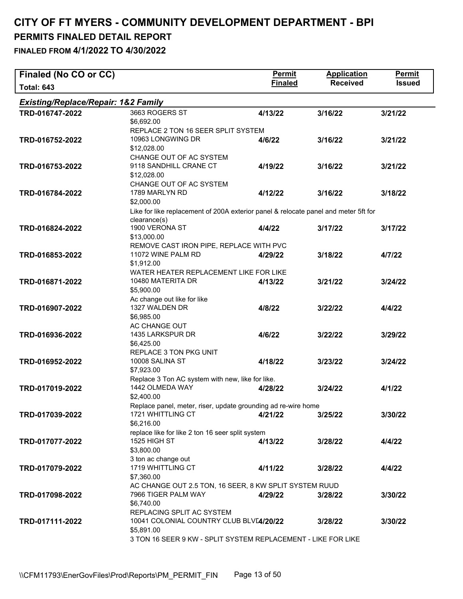| Finaled (No CO or CC)               |                                                                                     | <b>Permit</b>  | <b>Application</b> | Permit        |
|-------------------------------------|-------------------------------------------------------------------------------------|----------------|--------------------|---------------|
| <b>Total: 643</b>                   |                                                                                     | <b>Finaled</b> | <b>Received</b>    | <b>Issued</b> |
| Existing/Replace/Repair: 1&2 Family |                                                                                     |                |                    |               |
| TRD-016747-2022                     | 3663 ROGERS ST                                                                      | 4/13/22        | 3/16/22            | 3/21/22       |
|                                     | \$6,692.00                                                                          |                |                    |               |
|                                     | REPLACE 2 TON 16 SEER SPLIT SYSTEM                                                  |                |                    |               |
| TRD-016752-2022                     | 10963 LONGWING DR                                                                   | 4/6/22         | 3/16/22            | 3/21/22       |
|                                     | \$12,028.00                                                                         |                |                    |               |
|                                     | CHANGE OUT OF AC SYSTEM                                                             |                |                    |               |
| TRD-016753-2022                     | 9118 SANDHILL CRANE CT                                                              | 4/19/22        | 3/16/22            | 3/21/22       |
|                                     | \$12,028.00                                                                         |                |                    |               |
|                                     | CHANGE OUT OF AC SYSTEM                                                             |                |                    |               |
| TRD-016784-2022                     | 1789 MARLYN RD                                                                      | 4/12/22        | 3/16/22            | 3/18/22       |
|                                     | \$2,000.00                                                                          |                |                    |               |
|                                     | Like for like replacement of 200A exterior panel & relocate panel and meter 5ft for |                |                    |               |
|                                     | clearance(s)<br>1900 VERONA ST                                                      |                |                    |               |
| TRD-016824-2022                     |                                                                                     | 4/4/22         | 3/17/22            | 3/17/22       |
|                                     | \$13,000.00                                                                         |                |                    |               |
|                                     | REMOVE CAST IRON PIPE, REPLACE WITH PVC<br>11072 WINE PALM RD                       |                |                    |               |
| TRD-016853-2022                     | \$1,912.00                                                                          | 4/29/22        | 3/18/22            | 4/7/22        |
|                                     | WATER HEATER REPLACEMENT LIKE FOR LIKE                                              |                |                    |               |
| TRD-016871-2022                     | 10480 MATERITA DR                                                                   | 4/13/22        | 3/21/22            | 3/24/22       |
|                                     | \$5,900.00                                                                          |                |                    |               |
|                                     | Ac change out like for like                                                         |                |                    |               |
| TRD-016907-2022                     | 1327 WALDEN DR                                                                      | 4/8/22         | 3/22/22            | 4/4/22        |
|                                     | \$6,985.00                                                                          |                |                    |               |
|                                     | AC CHANGE OUT                                                                       |                |                    |               |
| TRD-016936-2022                     | 1435 LARKSPUR DR                                                                    | 4/6/22         | 3/22/22            | 3/29/22       |
|                                     | \$6,425.00                                                                          |                |                    |               |
|                                     | REPLACE 3 TON PKG UNIT                                                              |                |                    |               |
| TRD-016952-2022                     | 10008 SALINA ST                                                                     | 4/18/22        | 3/23/22            | 3/24/22       |
|                                     | \$7,923.00                                                                          |                |                    |               |
|                                     | Replace 3 Ton AC system with new, like for like.                                    |                |                    |               |
| TRD-017019-2022                     | 1442 OLMEDA WAY                                                                     | 4/28/22        | 3/24/22            | 4/1/22        |
|                                     | \$2,400.00                                                                          |                |                    |               |
|                                     | Replace panel, meter, riser, update grounding ad re-wire home                       |                |                    |               |
| TRD-017039-2022                     | 1721 WHITTLING CT                                                                   | 4/21/22        | 3/25/22            | 3/30/22       |
|                                     | \$6,216.00                                                                          |                |                    |               |
|                                     | replace like for like 2 ton 16 seer split system                                    |                |                    |               |
| TRD-017077-2022                     | 1525 HIGH ST                                                                        | 4/13/22        | 3/28/22            | 4/4/22        |
|                                     | \$3,800.00                                                                          |                |                    |               |
|                                     | 3 ton ac change out                                                                 |                |                    |               |
| TRD-017079-2022                     | 1719 WHITTLING CT                                                                   | 4/11/22        | 3/28/22            | 4/4/22        |
|                                     | \$7,360.00                                                                          |                |                    |               |
|                                     | AC CHANGE OUT 2.5 TON, 16 SEER, 8 KW SPLIT SYSTEM RUUD                              |                |                    |               |
| TRD-017098-2022                     | 7966 TIGER PALM WAY                                                                 | 4/29/22        | 3/28/22            | 3/30/22       |
|                                     | \$6,740.00                                                                          |                |                    |               |
|                                     | REPLACING SPLIT AC SYSTEM                                                           |                |                    |               |
| TRD-017111-2022                     | 10041 COLONIAL COUNTRY CLUB BLV[4/20/22                                             |                | 3/28/22            | 3/30/22       |
|                                     | \$5,891.00                                                                          |                |                    |               |
|                                     | 3 TON 16 SEER 9 KW - SPLIT SYSTEM REPLACEMENT - LIKE FOR LIKE                       |                |                    |               |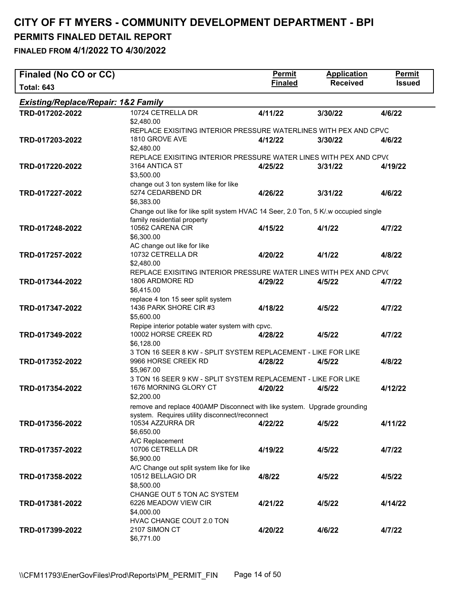| Finaled (No CO or CC)                          |                                                                                                                    | <b>Permit</b>  | <b>Application</b> | Permit        |
|------------------------------------------------|--------------------------------------------------------------------------------------------------------------------|----------------|--------------------|---------------|
| <b>Total: 643</b>                              |                                                                                                                    | <b>Finaled</b> | <b>Received</b>    | <b>Issued</b> |
| <b>Existing/Replace/Repair: 1&amp;2 Family</b> |                                                                                                                    |                |                    |               |
| TRD-017202-2022                                | 10724 CETRELLA DR                                                                                                  | 4/11/22        | 3/30/22            | 4/6/22        |
|                                                | \$2,480.00                                                                                                         |                |                    |               |
|                                                | REPLACE EXISITING INTERIOR PRESSURE WATERLINES WITH PEX AND CPVC                                                   |                |                    |               |
| TRD-017203-2022                                | 1810 GROVE AVE                                                                                                     | 4/12/22        | 3/30/22            | 4/6/22        |
|                                                | \$2,480.00                                                                                                         |                |                    |               |
|                                                | REPLACE EXISITING INTERIOR PRESSURE WATER LINES WITH PEX AND CPV(                                                  |                |                    |               |
| TRD-017220-2022                                | 3164 ANTICA ST                                                                                                     | 4/25/22        | 3/31/22            | 4/19/22       |
|                                                | \$3,500.00                                                                                                         |                |                    |               |
|                                                | change out 3 ton system like for like<br>5274 CEDARBEND DR                                                         |                |                    |               |
| TRD-017227-2022                                | \$6,383.00                                                                                                         | 4/26/22        | 3/31/22            | 4/6/22        |
|                                                |                                                                                                                    |                |                    |               |
|                                                | Change out like for like split system HVAC 14 Seer, 2.0 Ton, 5 K/.w occupied single<br>family residential property |                |                    |               |
| TRD-017248-2022                                | 10562 CARENA CIR                                                                                                   | 4/15/22        | 4/1/22             | 4/7/22        |
|                                                | \$6,300.00                                                                                                         |                |                    |               |
|                                                | AC change out like for like                                                                                        |                |                    |               |
| TRD-017257-2022                                | 10732 CETRELLA DR                                                                                                  | 4/20/22        | 4/1/22             | 4/8/22        |
|                                                | \$2,480.00                                                                                                         |                |                    |               |
|                                                | REPLACE EXISITING INTERIOR PRESSURE WATER LINES WITH PEX AND CPV(                                                  |                |                    |               |
| TRD-017344-2022                                | 1806 ARDMORE RD                                                                                                    | 4/29/22        | 4/5/22             | 4/7/22        |
|                                                | \$6,415.00                                                                                                         |                |                    |               |
|                                                | replace 4 ton 15 seer split system                                                                                 |                |                    |               |
| TRD-017347-2022                                | 1436 PARK SHORE CIR #3                                                                                             | 4/18/22        | 4/5/22             | 4/7/22        |
|                                                | \$5,600.00                                                                                                         |                |                    |               |
|                                                | Repipe interior potable water system with cpvc.                                                                    |                |                    |               |
| TRD-017349-2022                                | 10002 HORSE CREEK RD                                                                                               | 4/28/22        | 4/5/22             | 4/7/22        |
|                                                | \$6,128.00                                                                                                         |                |                    |               |
|                                                | 3 TON 16 SEER 8 KW - SPLIT SYSTEM REPLACEMENT - LIKE FOR LIKE                                                      |                |                    |               |
| TRD-017352-2022                                | 9966 HORSE CREEK RD                                                                                                | 4/28/22        | 4/5/22             | 4/8/22        |
|                                                | \$5,967.00                                                                                                         |                |                    |               |
|                                                | 3 TON 16 SEER 9 KW - SPLIT SYSTEM REPLACEMENT - LIKE FOR LIKE                                                      |                |                    |               |
| TRD-017354-2022                                | 1676 MORNING GLORY CT                                                                                              | 4/20/22        | 4/5/22             | 4/12/22       |
|                                                | \$2,200.00                                                                                                         |                |                    |               |
|                                                | remove and replace 400AMP Disconnect with like system. Upgrade grounding                                           |                |                    |               |
|                                                | system. Requires utility disconnect/reconnect                                                                      |                |                    |               |
| TRD-017356-2022                                | 10534 AZZURRA DR                                                                                                   | 4/22/22        | 4/5/22             | 4/11/22       |
|                                                | \$6,650.00                                                                                                         |                |                    |               |
|                                                | A/C Replacement                                                                                                    |                |                    |               |
| TRD-017357-2022                                | 10706 CETRELLA DR<br>\$6,900.00                                                                                    | 4/19/22        | 4/5/22             | 4/7/22        |
|                                                |                                                                                                                    |                |                    |               |
|                                                | A/C Change out split system like for like<br>10512 BELLAGIO DR                                                     |                |                    |               |
| TRD-017358-2022                                | \$8,500.00                                                                                                         | 4/8/22         | 4/5/22             | 4/5/22        |
|                                                | CHANGE OUT 5 TON AC SYSTEM                                                                                         |                |                    |               |
| TRD-017381-2022                                | 6226 MEADOW VIEW CIR                                                                                               | 4/21/22        | 4/5/22             | 4/14/22       |
|                                                | \$4,000.00                                                                                                         |                |                    |               |
|                                                | HVAC CHANGE COUT 2.0 TON                                                                                           |                |                    |               |
| TRD-017399-2022                                | 2107 SIMON CT                                                                                                      | 4/20/22        | 4/6/22             | 4/7/22        |
|                                                | \$6,771.00                                                                                                         |                |                    |               |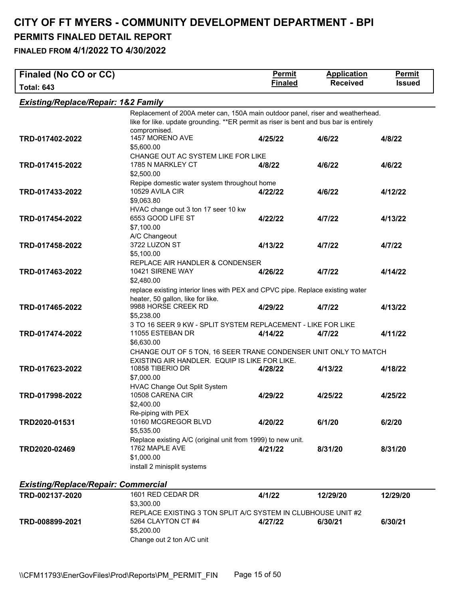**FINALED FROM 4/1/2022 TO 4/30/2022** 

| Finaled (No CO or CC)                          |                                                                                                       | <b>Permit</b>  | <b>Application</b> | <b>Permit</b> |
|------------------------------------------------|-------------------------------------------------------------------------------------------------------|----------------|--------------------|---------------|
| <b>Total: 643</b>                              |                                                                                                       | <b>Finaled</b> | <b>Received</b>    | <b>Issued</b> |
| <b>Existing/Replace/Repair: 1&amp;2 Family</b> |                                                                                                       |                |                    |               |
|                                                | Replacement of 200A meter can, 150A main outdoor panel, riser and weatherhead.                        |                |                    |               |
|                                                | like for like. update grounding. **ER permit as riser is bent and bus bar is entirely<br>compromised. |                |                    |               |
| TRD-017402-2022                                | 1457 MORENO AVE                                                                                       | 4/25/22        | 4/6/22             | 4/8/22        |
|                                                | \$5,600.00                                                                                            |                |                    |               |
|                                                | CHANGE OUT AC SYSTEM LIKE FOR LIKE                                                                    |                |                    |               |
| TRD-017415-2022                                | 1785 N MARKLEY CT                                                                                     | 4/8/22         | 4/6/22             | 4/6/22        |
|                                                | \$2,500.00                                                                                            |                |                    |               |
|                                                | Repipe domestic water system throughout home                                                          |                |                    |               |
| TRD-017433-2022                                | 10529 AVILA CIR                                                                                       | 4/22/22        | 4/6/22             | 4/12/22       |
|                                                | \$9,063.80<br>HVAC change out 3 ton 17 seer 10 kw                                                     |                |                    |               |
| TRD-017454-2022                                | 6553 GOOD LIFE ST                                                                                     | 4/22/22        | 4/7/22             | 4/13/22       |
|                                                | \$7,100.00                                                                                            |                |                    |               |
|                                                | A/C Changeout                                                                                         |                |                    |               |
| TRD-017458-2022                                | 3722 LUZON ST                                                                                         | 4/13/22        | 4/7/22             | 4/7/22        |
|                                                | \$5,100.00                                                                                            |                |                    |               |
|                                                | REPLACE AIR HANDLER & CONDENSER                                                                       |                |                    |               |
| TRD-017463-2022                                | 10421 SIRENE WAY                                                                                      | 4/26/22        | 4/7/22             | 4/14/22       |
|                                                | \$2,480.00                                                                                            |                |                    |               |
|                                                | replace existing interior lines with PEX and CPVC pipe. Replace existing water                        |                |                    |               |
| TRD-017465-2022                                | heater, 50 gallon, like for like.<br>9988 HORSE CREEK RD                                              | 4/29/22        | 4/7/22             | 4/13/22       |
|                                                | \$5,238.00                                                                                            |                |                    |               |
|                                                | 3 TO 16 SEER 9 KW - SPLIT SYSTEM REPLACEMENT - LIKE FOR LIKE                                          |                |                    |               |
| TRD-017474-2022                                | 11055 ESTEBAN DR                                                                                      | 4/14/22        | 4/7/22             | 4/11/22       |
|                                                | \$6,630.00                                                                                            |                |                    |               |
|                                                | CHANGE OUT OF 5 TON, 16 SEER TRANE CONDENSER UNIT ONLY TO MATCH                                       |                |                    |               |
|                                                | EXISTING AIR HANDLER. EQUIP IS LIKE FOR LIKE.                                                         |                |                    |               |
| TRD-017623-2022                                | 10858 TIBERIO DR                                                                                      | 4/28/22        | 4/13/22            | 4/18/22       |
|                                                | \$7,000.00                                                                                            |                |                    |               |
| TRD-017998-2022                                | HVAC Change Out Split System<br>10508 CARENA CIR                                                      | 4/29/22        | 4/25/22            | 4/25/22       |
|                                                | \$2,400.00                                                                                            |                |                    |               |
|                                                | Re-piping with PEX                                                                                    |                |                    |               |
| TRD2020-01531                                  | 10160 MCGREGOR BLVD                                                                                   | 4/20/22        | 6/1/20             | 6/2/20        |
|                                                | \$5,535.00                                                                                            |                |                    |               |
|                                                | Replace existing A/C (original unit from 1999) to new unit.                                           |                |                    |               |
| TRD2020-02469                                  | 1762 MAPLE AVE                                                                                        | 4/21/22        | 8/31/20            | 8/31/20       |
|                                                | \$1,000.00                                                                                            |                |                    |               |
|                                                | install 2 minisplit systems                                                                           |                |                    |               |
| <b>Existing/Replace/Repair: Commercial</b>     |                                                                                                       |                |                    |               |
| TRD-002137-2020                                | 1601 RED CEDAR DR                                                                                     | 4/1/22         | 12/29/20           | 12/29/20      |
|                                                | \$3,300.00                                                                                            |                |                    |               |
|                                                | REPLACE EXISTING 3 TON SPLIT A/C SYSTEM IN CLUBHOUSE UNIT #2                                          |                |                    |               |
| TRD-008899-2021                                | 5264 CLAYTON CT #4                                                                                    | 4/27/22        | 6/30/21            | 6/30/21       |
|                                                | \$5,200.00                                                                                            |                |                    |               |

Change out 2 ton A/C unit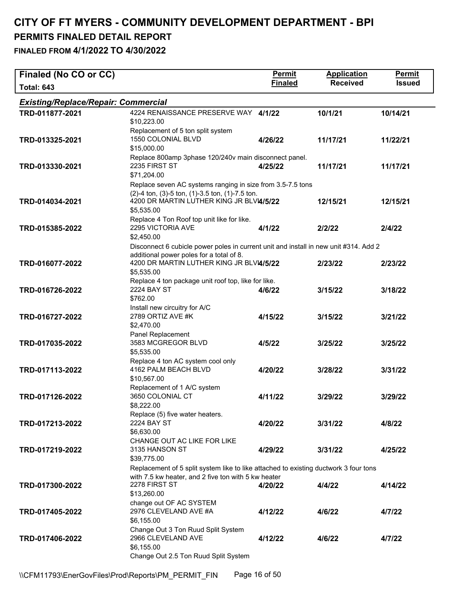| Finaled (No CO or CC)                      |                                                                                                                                                                                                        | Permit         | <b>Application</b> | <b>Permit</b> |
|--------------------------------------------|--------------------------------------------------------------------------------------------------------------------------------------------------------------------------------------------------------|----------------|--------------------|---------------|
| <b>Total: 643</b>                          |                                                                                                                                                                                                        | <b>Finaled</b> | <b>Received</b>    | <b>Issued</b> |
| <b>Existing/Replace/Repair: Commercial</b> |                                                                                                                                                                                                        |                |                    |               |
| TRD-011877-2021                            | 4224 RENAISSANCE PRESERVE WAY 4/1/22<br>\$10,223.00                                                                                                                                                    |                | 10/1/21            | 10/14/21      |
| TRD-013325-2021                            | Replacement of 5 ton split system<br>1550 COLONIAL BLVD<br>\$15,000.00                                                                                                                                 | 4/26/22        | 11/17/21           | 11/22/21      |
| TRD-013330-2021                            | Replace 800amp 3phase 120/240v main disconnect panel.<br>2235 FIRST ST<br>\$71,204.00                                                                                                                  | 4/25/22        | 11/17/21           | 11/17/21      |
| TRD-014034-2021                            | Replace seven AC systems ranging in size from 3.5-7.5 tons<br>(2)-4 ton, (3)-5 ton, (1)-3.5 ton, (1)-7.5 ton.<br>4200 DR MARTIN LUTHER KING JR BLVI4/5/22<br>\$5,535.00                                |                | 12/15/21           | 12/15/21      |
| TRD-015385-2022                            | Replace 4 Ton Roof top unit like for like.<br>2295 VICTORIA AVE<br>\$2,450.00                                                                                                                          | 4/1/22         | 2/2/22             | 2/4/22        |
| TRD-016077-2022                            | Disconnect 6 cubicle power poles in current unit and install in new unit #314. Add 2<br>additional power poles for a total of 8.<br>4200 DR MARTIN LUTHER KING JR BLVI4/5/22<br>\$5,535.00             |                | 2/23/22            | 2/23/22       |
| TRD-016726-2022                            | Replace 4 ton package unit roof top, like for like.<br><b>2224 BAY ST</b><br>\$762.00                                                                                                                  | 4/6/22         | 3/15/22            | 3/18/22       |
| TRD-016727-2022                            | Install new circuitry for A/C<br>2789 ORTIZ AVE #K<br>\$2,470.00                                                                                                                                       | 4/15/22        | 3/15/22            | 3/21/22       |
| TRD-017035-2022                            | Panel Replacement<br>3583 MCGREGOR BLVD<br>\$5,535.00                                                                                                                                                  | 4/5/22         | 3/25/22            | 3/25/22       |
| TRD-017113-2022                            | Replace 4 ton AC system cool only<br>4162 PALM BEACH BLVD<br>\$10,567.00                                                                                                                               | 4/20/22        | 3/28/22            | 3/31/22       |
| TRD-017126-2022                            | Replacement of 1 A/C system<br>3650 COLONIAL CT<br>\$8,222.00                                                                                                                                          | 4/11/22        | 3/29/22            | 3/29/22       |
| TRD-017213-2022                            | Replace (5) five water heaters.<br><b>2224 BAY ST</b><br>\$6,630.00                                                                                                                                    | 4/20/22        | 3/31/22            | 4/8/22        |
| TRD-017219-2022                            | CHANGE OUT AC LIKE FOR LIKE<br>3135 HANSON ST<br>\$39,775.00                                                                                                                                           | 4/29/22        | 3/31/22            | 4/25/22       |
| TRD-017300-2022                            | Replacement of 5 split system like to like attached to existing ductwork 3 four tons<br>with 7.5 kw heater, and 2 five ton with 5 kw heater<br>2278 FIRST ST<br>\$13,260.00<br>change out OF AC SYSTEM | 4/20/22        | 4/4/22             | 4/14/22       |
| TRD-017405-2022                            | 2976 CLEVELAND AVE #A<br>\$6,155.00                                                                                                                                                                    | 4/12/22        | 4/6/22             | 4/7/22        |
| TRD-017406-2022                            | Change Out 3 Ton Ruud Split System<br>2966 CLEVELAND AVE<br>\$6,155.00<br>Change Out 2.5 Ton Ruud Split System                                                                                         | 4/12/22        | 4/6/22             | 4/7/22        |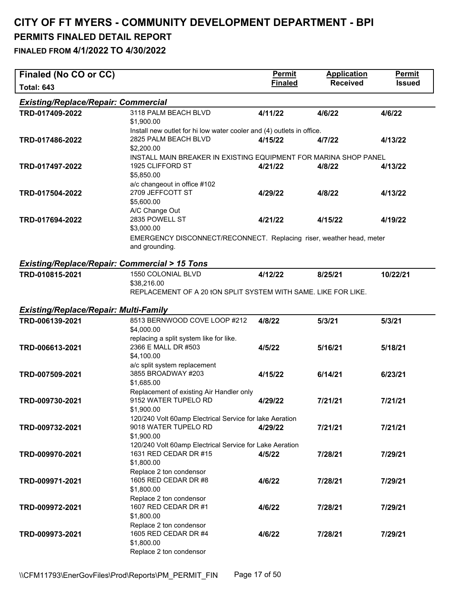| <b>Finaled</b><br><b>Received</b><br><b>Issued</b><br><b>Total: 643</b><br><b>Existing/Replace/Repair: Commercial</b><br>3118 PALM BEACH BLVD<br>TRD-017409-2022<br>4/11/22<br>4/6/22<br>4/6/22<br>\$1,900.00<br>Install new outlet for hi low water cooler and (4) outlets in office.<br>2825 PALM BEACH BLVD<br>TRD-017486-2022<br>4/15/22<br>4/7/22<br>4/13/22<br>\$2,200.00<br>INSTALL MAIN BREAKER IN EXISTING EQUIPMENT FOR MARINA SHOP PANEL<br>1925 CLIFFORD ST<br>TRD-017497-2022<br>4/21/22<br>4/8/22<br>4/13/22<br>\$5,850.00<br>a/c changeout in office #102<br>2709 JEFFCOTT ST<br>4/8/22<br>TRD-017504-2022<br>4/29/22<br>4/13/22<br>\$5,600.00<br>A/C Change Out<br>2835 POWELL ST<br>TRD-017694-2022<br>4/21/22<br>4/15/22<br>4/19/22<br>\$3,000.00<br>EMERGENCY DISCONNECT/RECONNECT. Replacing riser, weather head, meter<br>and grounding.<br><b>Existing/Replace/Repair: Commercial &gt; 15 Tons</b><br>1550 COLONIAL BLVD<br>TRD-010815-2021<br>4/12/22<br>8/25/21<br>10/22/21<br>\$38,216.00<br>REPLACEMENT OF A 20 tON SPLIT SYSTEM WITH SAME. LIKE FOR LIKE.<br><b>Existing/Replace/Repair: Multi-Family</b><br>8513 BERNWOOD COVE LOOP #212<br>TRD-006139-2021<br>4/8/22<br>5/3/21<br>5/3/21<br>\$4,000.00<br>replacing a split system like for like.<br>2366 E MALL DR #503<br>TRD-006613-2021<br>4/5/22<br>5/16/21<br>5/18/21<br>\$4,100.00<br>a/c split system replacement<br>3855 BROADWAY #203<br>TRD-007509-2021<br>4/15/22<br>6/14/21<br>6/23/21<br>\$1,685.00<br>Replacement of existing Air Handler only<br>9152 WATER TUPELO RD<br>TRD-009730-2021<br>7/21/21<br>4/29/22<br>7/21/21<br>\$1,900.00<br>120/240 Volt 60amp Electrical Service for lake Aeration<br>9018 WATER TUPELO RD<br>7/21/21<br>TRD-009732-2021<br>4/29/22<br>7/21/21<br>\$1,900.00<br>120/240 Volt 60amp Electrical Service for Lake Aeration<br>1631 RED CEDAR DR #15<br>TRD-009970-2021<br>7/28/21<br>4/5/22<br>7/29/21<br>\$1,800.00<br>Replace 2 ton condensor<br>1605 RED CEDAR DR #8<br>TRD-009971-2021<br>4/6/22<br>7/28/21<br>7/29/21<br>\$1,800.00<br>Replace 2 ton condensor<br>1607 RED CEDAR DR #1<br>TRD-009972-2021<br>4/6/22<br>7/28/21<br>7/29/21<br>\$1,800.00<br>Replace 2 ton condensor<br>1605 RED CEDAR DR #4<br>TRD-009973-2021<br>4/6/22<br>7/28/21<br>7/29/21<br>\$1,800.00 | Finaled (No CO or CC) |                         | <b>Permit</b> | <b>Application</b> | <b>Permit</b> |
|------------------------------------------------------------------------------------------------------------------------------------------------------------------------------------------------------------------------------------------------------------------------------------------------------------------------------------------------------------------------------------------------------------------------------------------------------------------------------------------------------------------------------------------------------------------------------------------------------------------------------------------------------------------------------------------------------------------------------------------------------------------------------------------------------------------------------------------------------------------------------------------------------------------------------------------------------------------------------------------------------------------------------------------------------------------------------------------------------------------------------------------------------------------------------------------------------------------------------------------------------------------------------------------------------------------------------------------------------------------------------------------------------------------------------------------------------------------------------------------------------------------------------------------------------------------------------------------------------------------------------------------------------------------------------------------------------------------------------------------------------------------------------------------------------------------------------------------------------------------------------------------------------------------------------------------------------------------------------------------------------------------------------------------------------------------------------------------------------------------------------------------------------------------------------------------------------------------------------------------------------------------------------------------------------------|-----------------------|-------------------------|---------------|--------------------|---------------|
|                                                                                                                                                                                                                                                                                                                                                                                                                                                                                                                                                                                                                                                                                                                                                                                                                                                                                                                                                                                                                                                                                                                                                                                                                                                                                                                                                                                                                                                                                                                                                                                                                                                                                                                                                                                                                                                                                                                                                                                                                                                                                                                                                                                                                                                                                                            |                       |                         |               |                    |               |
|                                                                                                                                                                                                                                                                                                                                                                                                                                                                                                                                                                                                                                                                                                                                                                                                                                                                                                                                                                                                                                                                                                                                                                                                                                                                                                                                                                                                                                                                                                                                                                                                                                                                                                                                                                                                                                                                                                                                                                                                                                                                                                                                                                                                                                                                                                            |                       |                         |               |                    |               |
|                                                                                                                                                                                                                                                                                                                                                                                                                                                                                                                                                                                                                                                                                                                                                                                                                                                                                                                                                                                                                                                                                                                                                                                                                                                                                                                                                                                                                                                                                                                                                                                                                                                                                                                                                                                                                                                                                                                                                                                                                                                                                                                                                                                                                                                                                                            |                       |                         |               |                    |               |
|                                                                                                                                                                                                                                                                                                                                                                                                                                                                                                                                                                                                                                                                                                                                                                                                                                                                                                                                                                                                                                                                                                                                                                                                                                                                                                                                                                                                                                                                                                                                                                                                                                                                                                                                                                                                                                                                                                                                                                                                                                                                                                                                                                                                                                                                                                            |                       |                         |               |                    |               |
|                                                                                                                                                                                                                                                                                                                                                                                                                                                                                                                                                                                                                                                                                                                                                                                                                                                                                                                                                                                                                                                                                                                                                                                                                                                                                                                                                                                                                                                                                                                                                                                                                                                                                                                                                                                                                                                                                                                                                                                                                                                                                                                                                                                                                                                                                                            |                       |                         |               |                    |               |
|                                                                                                                                                                                                                                                                                                                                                                                                                                                                                                                                                                                                                                                                                                                                                                                                                                                                                                                                                                                                                                                                                                                                                                                                                                                                                                                                                                                                                                                                                                                                                                                                                                                                                                                                                                                                                                                                                                                                                                                                                                                                                                                                                                                                                                                                                                            |                       |                         |               |                    |               |
|                                                                                                                                                                                                                                                                                                                                                                                                                                                                                                                                                                                                                                                                                                                                                                                                                                                                                                                                                                                                                                                                                                                                                                                                                                                                                                                                                                                                                                                                                                                                                                                                                                                                                                                                                                                                                                                                                                                                                                                                                                                                                                                                                                                                                                                                                                            |                       |                         |               |                    |               |
|                                                                                                                                                                                                                                                                                                                                                                                                                                                                                                                                                                                                                                                                                                                                                                                                                                                                                                                                                                                                                                                                                                                                                                                                                                                                                                                                                                                                                                                                                                                                                                                                                                                                                                                                                                                                                                                                                                                                                                                                                                                                                                                                                                                                                                                                                                            |                       |                         |               |                    |               |
|                                                                                                                                                                                                                                                                                                                                                                                                                                                                                                                                                                                                                                                                                                                                                                                                                                                                                                                                                                                                                                                                                                                                                                                                                                                                                                                                                                                                                                                                                                                                                                                                                                                                                                                                                                                                                                                                                                                                                                                                                                                                                                                                                                                                                                                                                                            |                       |                         |               |                    |               |
|                                                                                                                                                                                                                                                                                                                                                                                                                                                                                                                                                                                                                                                                                                                                                                                                                                                                                                                                                                                                                                                                                                                                                                                                                                                                                                                                                                                                                                                                                                                                                                                                                                                                                                                                                                                                                                                                                                                                                                                                                                                                                                                                                                                                                                                                                                            |                       |                         |               |                    |               |
|                                                                                                                                                                                                                                                                                                                                                                                                                                                                                                                                                                                                                                                                                                                                                                                                                                                                                                                                                                                                                                                                                                                                                                                                                                                                                                                                                                                                                                                                                                                                                                                                                                                                                                                                                                                                                                                                                                                                                                                                                                                                                                                                                                                                                                                                                                            |                       |                         |               |                    |               |
|                                                                                                                                                                                                                                                                                                                                                                                                                                                                                                                                                                                                                                                                                                                                                                                                                                                                                                                                                                                                                                                                                                                                                                                                                                                                                                                                                                                                                                                                                                                                                                                                                                                                                                                                                                                                                                                                                                                                                                                                                                                                                                                                                                                                                                                                                                            |                       |                         |               |                    |               |
|                                                                                                                                                                                                                                                                                                                                                                                                                                                                                                                                                                                                                                                                                                                                                                                                                                                                                                                                                                                                                                                                                                                                                                                                                                                                                                                                                                                                                                                                                                                                                                                                                                                                                                                                                                                                                                                                                                                                                                                                                                                                                                                                                                                                                                                                                                            |                       |                         |               |                    |               |
|                                                                                                                                                                                                                                                                                                                                                                                                                                                                                                                                                                                                                                                                                                                                                                                                                                                                                                                                                                                                                                                                                                                                                                                                                                                                                                                                                                                                                                                                                                                                                                                                                                                                                                                                                                                                                                                                                                                                                                                                                                                                                                                                                                                                                                                                                                            |                       |                         |               |                    |               |
|                                                                                                                                                                                                                                                                                                                                                                                                                                                                                                                                                                                                                                                                                                                                                                                                                                                                                                                                                                                                                                                                                                                                                                                                                                                                                                                                                                                                                                                                                                                                                                                                                                                                                                                                                                                                                                                                                                                                                                                                                                                                                                                                                                                                                                                                                                            |                       |                         |               |                    |               |
|                                                                                                                                                                                                                                                                                                                                                                                                                                                                                                                                                                                                                                                                                                                                                                                                                                                                                                                                                                                                                                                                                                                                                                                                                                                                                                                                                                                                                                                                                                                                                                                                                                                                                                                                                                                                                                                                                                                                                                                                                                                                                                                                                                                                                                                                                                            |                       |                         |               |                    |               |
|                                                                                                                                                                                                                                                                                                                                                                                                                                                                                                                                                                                                                                                                                                                                                                                                                                                                                                                                                                                                                                                                                                                                                                                                                                                                                                                                                                                                                                                                                                                                                                                                                                                                                                                                                                                                                                                                                                                                                                                                                                                                                                                                                                                                                                                                                                            |                       |                         |               |                    |               |
|                                                                                                                                                                                                                                                                                                                                                                                                                                                                                                                                                                                                                                                                                                                                                                                                                                                                                                                                                                                                                                                                                                                                                                                                                                                                                                                                                                                                                                                                                                                                                                                                                                                                                                                                                                                                                                                                                                                                                                                                                                                                                                                                                                                                                                                                                                            |                       |                         |               |                    |               |
|                                                                                                                                                                                                                                                                                                                                                                                                                                                                                                                                                                                                                                                                                                                                                                                                                                                                                                                                                                                                                                                                                                                                                                                                                                                                                                                                                                                                                                                                                                                                                                                                                                                                                                                                                                                                                                                                                                                                                                                                                                                                                                                                                                                                                                                                                                            |                       |                         |               |                    |               |
|                                                                                                                                                                                                                                                                                                                                                                                                                                                                                                                                                                                                                                                                                                                                                                                                                                                                                                                                                                                                                                                                                                                                                                                                                                                                                                                                                                                                                                                                                                                                                                                                                                                                                                                                                                                                                                                                                                                                                                                                                                                                                                                                                                                                                                                                                                            |                       |                         |               |                    |               |
|                                                                                                                                                                                                                                                                                                                                                                                                                                                                                                                                                                                                                                                                                                                                                                                                                                                                                                                                                                                                                                                                                                                                                                                                                                                                                                                                                                                                                                                                                                                                                                                                                                                                                                                                                                                                                                                                                                                                                                                                                                                                                                                                                                                                                                                                                                            |                       |                         |               |                    |               |
|                                                                                                                                                                                                                                                                                                                                                                                                                                                                                                                                                                                                                                                                                                                                                                                                                                                                                                                                                                                                                                                                                                                                                                                                                                                                                                                                                                                                                                                                                                                                                                                                                                                                                                                                                                                                                                                                                                                                                                                                                                                                                                                                                                                                                                                                                                            |                       |                         |               |                    |               |
|                                                                                                                                                                                                                                                                                                                                                                                                                                                                                                                                                                                                                                                                                                                                                                                                                                                                                                                                                                                                                                                                                                                                                                                                                                                                                                                                                                                                                                                                                                                                                                                                                                                                                                                                                                                                                                                                                                                                                                                                                                                                                                                                                                                                                                                                                                            |                       |                         |               |                    |               |
|                                                                                                                                                                                                                                                                                                                                                                                                                                                                                                                                                                                                                                                                                                                                                                                                                                                                                                                                                                                                                                                                                                                                                                                                                                                                                                                                                                                                                                                                                                                                                                                                                                                                                                                                                                                                                                                                                                                                                                                                                                                                                                                                                                                                                                                                                                            |                       |                         |               |                    |               |
|                                                                                                                                                                                                                                                                                                                                                                                                                                                                                                                                                                                                                                                                                                                                                                                                                                                                                                                                                                                                                                                                                                                                                                                                                                                                                                                                                                                                                                                                                                                                                                                                                                                                                                                                                                                                                                                                                                                                                                                                                                                                                                                                                                                                                                                                                                            |                       |                         |               |                    |               |
|                                                                                                                                                                                                                                                                                                                                                                                                                                                                                                                                                                                                                                                                                                                                                                                                                                                                                                                                                                                                                                                                                                                                                                                                                                                                                                                                                                                                                                                                                                                                                                                                                                                                                                                                                                                                                                                                                                                                                                                                                                                                                                                                                                                                                                                                                                            |                       |                         |               |                    |               |
|                                                                                                                                                                                                                                                                                                                                                                                                                                                                                                                                                                                                                                                                                                                                                                                                                                                                                                                                                                                                                                                                                                                                                                                                                                                                                                                                                                                                                                                                                                                                                                                                                                                                                                                                                                                                                                                                                                                                                                                                                                                                                                                                                                                                                                                                                                            |                       |                         |               |                    |               |
|                                                                                                                                                                                                                                                                                                                                                                                                                                                                                                                                                                                                                                                                                                                                                                                                                                                                                                                                                                                                                                                                                                                                                                                                                                                                                                                                                                                                                                                                                                                                                                                                                                                                                                                                                                                                                                                                                                                                                                                                                                                                                                                                                                                                                                                                                                            |                       |                         |               |                    |               |
|                                                                                                                                                                                                                                                                                                                                                                                                                                                                                                                                                                                                                                                                                                                                                                                                                                                                                                                                                                                                                                                                                                                                                                                                                                                                                                                                                                                                                                                                                                                                                                                                                                                                                                                                                                                                                                                                                                                                                                                                                                                                                                                                                                                                                                                                                                            |                       |                         |               |                    |               |
|                                                                                                                                                                                                                                                                                                                                                                                                                                                                                                                                                                                                                                                                                                                                                                                                                                                                                                                                                                                                                                                                                                                                                                                                                                                                                                                                                                                                                                                                                                                                                                                                                                                                                                                                                                                                                                                                                                                                                                                                                                                                                                                                                                                                                                                                                                            |                       |                         |               |                    |               |
|                                                                                                                                                                                                                                                                                                                                                                                                                                                                                                                                                                                                                                                                                                                                                                                                                                                                                                                                                                                                                                                                                                                                                                                                                                                                                                                                                                                                                                                                                                                                                                                                                                                                                                                                                                                                                                                                                                                                                                                                                                                                                                                                                                                                                                                                                                            |                       |                         |               |                    |               |
|                                                                                                                                                                                                                                                                                                                                                                                                                                                                                                                                                                                                                                                                                                                                                                                                                                                                                                                                                                                                                                                                                                                                                                                                                                                                                                                                                                                                                                                                                                                                                                                                                                                                                                                                                                                                                                                                                                                                                                                                                                                                                                                                                                                                                                                                                                            |                       |                         |               |                    |               |
|                                                                                                                                                                                                                                                                                                                                                                                                                                                                                                                                                                                                                                                                                                                                                                                                                                                                                                                                                                                                                                                                                                                                                                                                                                                                                                                                                                                                                                                                                                                                                                                                                                                                                                                                                                                                                                                                                                                                                                                                                                                                                                                                                                                                                                                                                                            |                       |                         |               |                    |               |
|                                                                                                                                                                                                                                                                                                                                                                                                                                                                                                                                                                                                                                                                                                                                                                                                                                                                                                                                                                                                                                                                                                                                                                                                                                                                                                                                                                                                                                                                                                                                                                                                                                                                                                                                                                                                                                                                                                                                                                                                                                                                                                                                                                                                                                                                                                            |                       |                         |               |                    |               |
|                                                                                                                                                                                                                                                                                                                                                                                                                                                                                                                                                                                                                                                                                                                                                                                                                                                                                                                                                                                                                                                                                                                                                                                                                                                                                                                                                                                                                                                                                                                                                                                                                                                                                                                                                                                                                                                                                                                                                                                                                                                                                                                                                                                                                                                                                                            |                       |                         |               |                    |               |
|                                                                                                                                                                                                                                                                                                                                                                                                                                                                                                                                                                                                                                                                                                                                                                                                                                                                                                                                                                                                                                                                                                                                                                                                                                                                                                                                                                                                                                                                                                                                                                                                                                                                                                                                                                                                                                                                                                                                                                                                                                                                                                                                                                                                                                                                                                            |                       |                         |               |                    |               |
|                                                                                                                                                                                                                                                                                                                                                                                                                                                                                                                                                                                                                                                                                                                                                                                                                                                                                                                                                                                                                                                                                                                                                                                                                                                                                                                                                                                                                                                                                                                                                                                                                                                                                                                                                                                                                                                                                                                                                                                                                                                                                                                                                                                                                                                                                                            |                       |                         |               |                    |               |
|                                                                                                                                                                                                                                                                                                                                                                                                                                                                                                                                                                                                                                                                                                                                                                                                                                                                                                                                                                                                                                                                                                                                                                                                                                                                                                                                                                                                                                                                                                                                                                                                                                                                                                                                                                                                                                                                                                                                                                                                                                                                                                                                                                                                                                                                                                            |                       |                         |               |                    |               |
|                                                                                                                                                                                                                                                                                                                                                                                                                                                                                                                                                                                                                                                                                                                                                                                                                                                                                                                                                                                                                                                                                                                                                                                                                                                                                                                                                                                                                                                                                                                                                                                                                                                                                                                                                                                                                                                                                                                                                                                                                                                                                                                                                                                                                                                                                                            |                       |                         |               |                    |               |
|                                                                                                                                                                                                                                                                                                                                                                                                                                                                                                                                                                                                                                                                                                                                                                                                                                                                                                                                                                                                                                                                                                                                                                                                                                                                                                                                                                                                                                                                                                                                                                                                                                                                                                                                                                                                                                                                                                                                                                                                                                                                                                                                                                                                                                                                                                            |                       |                         |               |                    |               |
|                                                                                                                                                                                                                                                                                                                                                                                                                                                                                                                                                                                                                                                                                                                                                                                                                                                                                                                                                                                                                                                                                                                                                                                                                                                                                                                                                                                                                                                                                                                                                                                                                                                                                                                                                                                                                                                                                                                                                                                                                                                                                                                                                                                                                                                                                                            |                       |                         |               |                    |               |
|                                                                                                                                                                                                                                                                                                                                                                                                                                                                                                                                                                                                                                                                                                                                                                                                                                                                                                                                                                                                                                                                                                                                                                                                                                                                                                                                                                                                                                                                                                                                                                                                                                                                                                                                                                                                                                                                                                                                                                                                                                                                                                                                                                                                                                                                                                            |                       |                         |               |                    |               |
|                                                                                                                                                                                                                                                                                                                                                                                                                                                                                                                                                                                                                                                                                                                                                                                                                                                                                                                                                                                                                                                                                                                                                                                                                                                                                                                                                                                                                                                                                                                                                                                                                                                                                                                                                                                                                                                                                                                                                                                                                                                                                                                                                                                                                                                                                                            |                       |                         |               |                    |               |
|                                                                                                                                                                                                                                                                                                                                                                                                                                                                                                                                                                                                                                                                                                                                                                                                                                                                                                                                                                                                                                                                                                                                                                                                                                                                                                                                                                                                                                                                                                                                                                                                                                                                                                                                                                                                                                                                                                                                                                                                                                                                                                                                                                                                                                                                                                            |                       |                         |               |                    |               |
|                                                                                                                                                                                                                                                                                                                                                                                                                                                                                                                                                                                                                                                                                                                                                                                                                                                                                                                                                                                                                                                                                                                                                                                                                                                                                                                                                                                                                                                                                                                                                                                                                                                                                                                                                                                                                                                                                                                                                                                                                                                                                                                                                                                                                                                                                                            |                       | Replace 2 ton condensor |               |                    |               |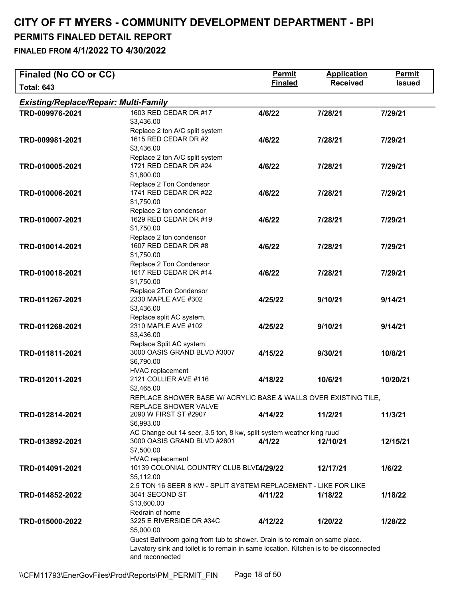| Finaled (No CO or CC)                        |                                                                                                                                                                                        | <b>Permit</b>  | <b>Application</b> | <b>Permit</b> |
|----------------------------------------------|----------------------------------------------------------------------------------------------------------------------------------------------------------------------------------------|----------------|--------------------|---------------|
| <b>Total: 643</b>                            |                                                                                                                                                                                        | <b>Finaled</b> | <b>Received</b>    | <b>Issued</b> |
| <b>Existing/Replace/Repair: Multi-Family</b> |                                                                                                                                                                                        |                |                    |               |
| TRD-009976-2021                              | 1603 RED CEDAR DR #17<br>\$3,436.00                                                                                                                                                    | 4/6/22         | 7/28/21            | 7/29/21       |
| TRD-009981-2021                              | Replace 2 ton A/C split system<br>1615 RED CEDAR DR #2<br>\$3,436.00                                                                                                                   | 4/6/22         | 7/28/21            | 7/29/21       |
| TRD-010005-2021                              | Replace 2 ton A/C split system<br>1721 RED CEDAR DR #24<br>\$1,800.00                                                                                                                  | 4/6/22         | 7/28/21            | 7/29/21       |
| TRD-010006-2021                              | Replace 2 Ton Condensor<br>1741 RED CEDAR DR #22<br>\$1,750.00                                                                                                                         | 4/6/22         | 7/28/21            | 7/29/21       |
| TRD-010007-2021                              | Replace 2 ton condensor<br>1629 RED CEDAR DR #19<br>\$1,750.00                                                                                                                         | 4/6/22         | 7/28/21            | 7/29/21       |
| TRD-010014-2021                              | Replace 2 ton condensor<br>1607 RED CEDAR DR #8<br>\$1,750.00                                                                                                                          | 4/6/22         | 7/28/21            | 7/29/21       |
| TRD-010018-2021                              | Replace 2 Ton Condensor<br>1617 RED CEDAR DR #14<br>\$1,750.00                                                                                                                         | 4/6/22         | 7/28/21            | 7/29/21       |
| TRD-011267-2021                              | Replace 2Ton Condensor<br>2330 MAPLE AVE #302<br>\$3,436.00                                                                                                                            | 4/25/22        | 9/10/21            | 9/14/21       |
| TRD-011268-2021                              | Replace split AC system.<br>2310 MAPLE AVE #102<br>\$3,436.00                                                                                                                          | 4/25/22        | 9/10/21            | 9/14/21       |
| TRD-011811-2021                              | Replace Split AC system.<br>3000 OASIS GRAND BLVD #3007<br>\$6,790.00                                                                                                                  | 4/15/22        | 9/30/21            | 10/8/21       |
| TRD-012011-2021                              | <b>HVAC</b> replacement<br>2121 COLLIER AVE #116<br>\$2,465.00                                                                                                                         | 4/18/22        | 10/6/21            | 10/20/21      |
|                                              | REPLACE SHOWER BASE W/ ACRYLIC BASE & WALLS OVER EXISTING TILE,<br>REPLACE SHOWER VALVE                                                                                                |                |                    |               |
| TRD-012814-2021                              | 2090 W FIRST ST #2907<br>\$6,993.00                                                                                                                                                    | 4/14/22        | 11/2/21            | 11/3/21       |
| TRD-013892-2021                              | AC Change out 14 seer, 3.5 ton, 8 kw, split system weather king ruud<br>3000 OASIS GRAND BLVD #2601<br>\$7,500.00<br><b>HVAC</b> replacement                                           | 4/1/22         | 12/10/21           | 12/15/21      |
| TRD-014091-2021                              | 10139 COLONIAL COUNTRY CLUB BLVE4/29/22<br>\$5,112.00                                                                                                                                  |                | 12/17/21           | 1/6/22        |
| TRD-014852-2022                              | 2.5 TON 16 SEER 8 KW - SPLIT SYSTEM REPLACEMENT - LIKE FOR LIKE<br>3041 SECOND ST<br>\$13,600.00                                                                                       | 4/11/22        | 1/18/22            | 1/18/22       |
| TRD-015000-2022                              | Redrain of home<br>3225 E RIVERSIDE DR #34C<br>\$5,000.00                                                                                                                              | 4/12/22        | 1/20/22            | 1/28/22       |
|                                              | Guest Bathroom going from tub to shower. Drain is to remain on same place.<br>Lavatory sink and toilet is to remain in same location. Kitchen is to be disconnected<br>and reconnected |                |                    |               |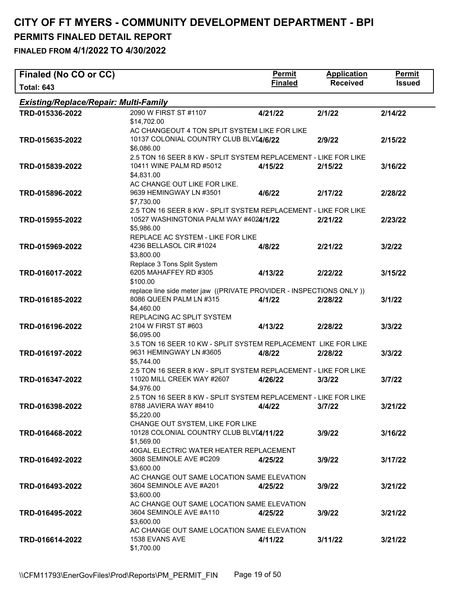# **CITY OF FT MYERS - COMMUNITY DEVELOPMENT DEPARTMENT - BPI**

# **PERMITS FINALED DETAIL REPORT**

| Finaled (No CO or CC)                        |                                                                     | <b>Permit</b>  | <b>Application</b> | <b>Permit</b> |
|----------------------------------------------|---------------------------------------------------------------------|----------------|--------------------|---------------|
| <b>Total: 643</b>                            |                                                                     | <b>Finaled</b> | <b>Received</b>    | <b>Issued</b> |
| <b>Existing/Replace/Repair: Multi-Family</b> |                                                                     |                |                    |               |
| TRD-015336-2022                              | 2090 W FIRST ST #1107                                               | 4/21/22        | 2/1/22             | 2/14/22       |
|                                              | \$14,702.00                                                         |                |                    |               |
|                                              | AC CHANGEOUT 4 TON SPLIT SYSTEM LIKE FOR LIKE                       |                |                    |               |
| TRD-015635-2022                              | 10137 COLONIAL COUNTRY CLUB BLVL4/6/22                              |                | 2/9/22             | 2/15/22       |
|                                              | \$6,086.00                                                          |                |                    |               |
|                                              | 2.5 TON 16 SEER 8 KW - SPLIT SYSTEM REPLACEMENT - LIKE FOR LIKE     |                |                    |               |
| TRD-015839-2022                              | 10411 WINE PALM RD #5012                                            | 4/15/22        | 2/15/22            | 3/16/22       |
|                                              | \$4,831.00                                                          |                |                    |               |
|                                              | AC CHANGE OUT LIKE FOR LIKE.                                        |                |                    |               |
| TRD-015896-2022                              | 9639 HEMINGWAY LN #3501                                             | 4/6/22         | 2/17/22            | 2/28/22       |
|                                              | \$7,730.00                                                          |                |                    |               |
|                                              | 2.5 TON 16 SEER 8 KW - SPLIT SYSTEM REPLACEMENT - LIKE FOR LIKE     |                |                    |               |
| TRD-015955-2022                              | 10527 WASHINGTONIA PALM WAY #4024/1/22                              |                | 2/21/22            | 2/23/22       |
|                                              | \$5,986.00                                                          |                |                    |               |
|                                              | REPLACE AC SYSTEM - LIKE FOR LIKE<br>4236 BELLASOL CIR #1024        |                |                    |               |
| TRD-015969-2022                              | \$3,800.00                                                          | 4/8/22         | 2/21/22            | 3/2/22        |
|                                              | Replace 3 Tons Split System                                         |                |                    |               |
| TRD-016017-2022                              | 6205 MAHAFFEY RD #305                                               | 4/13/22        | 2/22/22            | 3/15/22       |
|                                              | \$100.00                                                            |                |                    |               |
|                                              | replace line side meter jaw ((PRIVATE PROVIDER - INSPECTIONS ONLY)) |                |                    |               |
| TRD-016185-2022                              | 8086 QUEEN PALM LN #315                                             | 4/1/22         | 2/28/22            | 3/1/22        |
|                                              | \$4,460.00                                                          |                |                    |               |
|                                              | REPLACING AC SPLIT SYSTEM                                           |                |                    |               |
| TRD-016196-2022                              | 2104 W FIRST ST #603                                                | 4/13/22        | 2/28/22            | 3/3/22        |
|                                              | \$6,095.00                                                          |                |                    |               |
|                                              | 3.5 TON 16 SEER 10 KW - SPLIT SYSTEM REPLACEMENT LIKE FOR LIKE      |                |                    |               |
| TRD-016197-2022                              | 9631 HEMINGWAY LN #3605                                             | 4/8/22         | 2/28/22            | 3/3/22        |
|                                              | \$5,744.00                                                          |                |                    |               |
|                                              | 2.5 TON 16 SEER 8 KW - SPLIT SYSTEM REPLACEMENT - LIKE FOR LIKE     |                |                    |               |
| TRD-016347-2022                              | 11020 MILL CREEK WAY #2607                                          | 4/26/22        | 3/3/22             | 3/7/22        |
|                                              | \$4,976.00                                                          |                |                    |               |
|                                              | 2.5 TON 16 SEER 8 KW - SPLIT SYSTEM REPLACEMENT - LIKE FOR LIKE     |                |                    |               |
| TRD-016398-2022                              | 8788 JAVIERA WAY #8410                                              | 4/4/22         | 3/7/22             | 3/21/22       |
|                                              | \$5,220.00                                                          |                |                    |               |
|                                              | CHANGE OUT SYSTEM, LIKE FOR LIKE                                    |                |                    |               |
| TRD-016468-2022                              | 10128 COLONIAL COUNTRY CLUB BLVL4/11/22                             |                | 3/9/22             | 3/16/22       |
|                                              | \$1,569.00                                                          |                |                    |               |
|                                              | 40GAL ELECTRIC WATER HEATER REPLACEMENT                             |                |                    |               |
| TRD-016492-2022                              | 3608 SEMINOLE AVE #C209                                             | 4/25/22        | 3/9/22             | 3/17/22       |
|                                              | \$3,600.00                                                          |                |                    |               |
|                                              | AC CHANGE OUT SAME LOCATION SAME ELEVATION                          |                |                    |               |
| TRD-016493-2022                              | 3604 SEMINOLE AVE #A201                                             | 4/25/22        | 3/9/22             | 3/21/22       |
|                                              | \$3,600.00<br>AC CHANGE OUT SAME LOCATION SAME ELEVATION            |                |                    |               |
|                                              | 3604 SEMINOLE AVE #A110                                             |                |                    | 3/21/22       |
| TRD-016495-2022                              | \$3,600.00                                                          | 4/25/22        | 3/9/22             |               |
|                                              | AC CHANGE OUT SAME LOCATION SAME ELEVATION                          |                |                    |               |
| TRD-016614-2022                              | 1538 EVANS AVE                                                      | 4/11/22        | 3/11/22            | 3/21/22       |
|                                              | \$1,700.00                                                          |                |                    |               |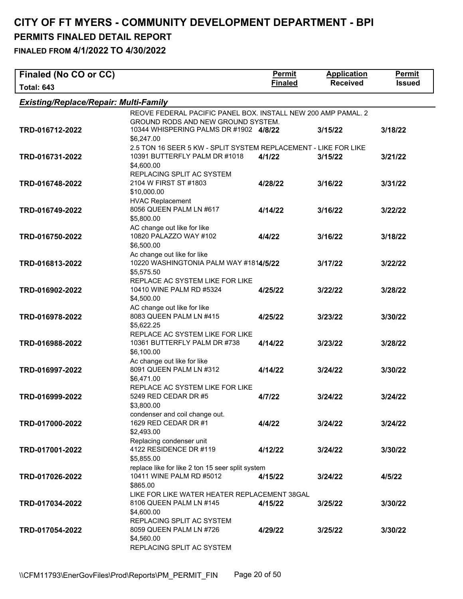| Finaled (No CO or CC)                        |                                                                 | <b>Permit</b>  | <b>Application</b> | Permit        |
|----------------------------------------------|-----------------------------------------------------------------|----------------|--------------------|---------------|
| <b>Total: 643</b>                            |                                                                 | <b>Finaled</b> | <b>Received</b>    | <b>Issued</b> |
| <b>Existing/Replace/Repair: Multi-Family</b> |                                                                 |                |                    |               |
|                                              | REOVE FEDERAL PACIFIC PANEL BOX. INSTALL NEW 200 AMP PAMAL. 2   |                |                    |               |
|                                              | <b>GROUND RODS AND NEW GROUND SYSTEM.</b>                       |                |                    |               |
| TRD-016712-2022                              | 10344 WHISPERING PALMS DR #1902 4/8/22                          |                | 3/15/22            | 3/18/22       |
|                                              | \$6,247.00                                                      |                |                    |               |
|                                              | 2.5 TON 16 SEER 5 KW - SPLIT SYSTEM REPLACEMENT - LIKE FOR LIKE |                |                    |               |
| TRD-016731-2022                              | 10391 BUTTERFLY PALM DR #1018<br>\$4,600.00                     | 4/1/22         | 3/15/22            | 3/21/22       |
|                                              | REPLACING SPLIT AC SYSTEM                                       |                |                    |               |
| TRD-016748-2022                              | 2104 W FIRST ST #1803                                           | 4/28/22        | 3/16/22            | 3/31/22       |
|                                              | \$10,000.00                                                     |                |                    |               |
|                                              | <b>HVAC Replacement</b>                                         |                |                    |               |
| TRD-016749-2022                              | 8056 QUEEN PALM LN #617                                         | 4/14/22        | 3/16/22            | 3/22/22       |
|                                              | \$5,800.00                                                      |                |                    |               |
|                                              | AC change out like for like                                     |                |                    |               |
| TRD-016750-2022                              | 10820 PALAZZO WAY #102                                          | 4/4/22         | 3/16/22            | 3/18/22       |
|                                              | \$6,500.00<br>Ac change out like for like                       |                |                    |               |
| TRD-016813-2022                              | 10220 WASHINGTONIA PALM WAY #1814/5/22                          |                | 3/17/22            | 3/22/22       |
|                                              | \$5,575.50                                                      |                |                    |               |
|                                              | REPLACE AC SYSTEM LIKE FOR LIKE                                 |                |                    |               |
| TRD-016902-2022                              | 10410 WINE PALM RD #5324                                        | 4/25/22        | 3/22/22            | 3/28/22       |
|                                              | \$4,500.00                                                      |                |                    |               |
|                                              | AC change out like for like                                     |                |                    |               |
| TRD-016978-2022                              | 8083 QUEEN PALM LN #415                                         | 4/25/22        | 3/23/22            | 3/30/22       |
|                                              | \$5,622.25                                                      |                |                    |               |
| TRD-016988-2022                              | REPLACE AC SYSTEM LIKE FOR LIKE<br>10361 BUTTERFLY PALM DR #738 | 4/14/22        |                    |               |
|                                              | \$6,100.00                                                      |                | 3/23/22            | 3/28/22       |
|                                              | Ac change out like for like                                     |                |                    |               |
| TRD-016997-2022                              | 8091 QUEEN PALM LN #312                                         | 4/14/22        | 3/24/22            | 3/30/22       |
|                                              | \$6,471.00                                                      |                |                    |               |
|                                              | REPLACE AC SYSTEM LIKE FOR LIKE                                 |                |                    |               |
| TRD-016999-2022                              | 5249 RED CEDAR DR #5                                            | 4/7/22         | 3/24/22            | 3/24/22       |
|                                              | \$3,800.00                                                      |                |                    |               |
|                                              | condenser and coil change out.<br>1629 RED CEDAR DR #1          |                |                    |               |
| TRD-017000-2022                              | \$2,493.00                                                      | 4/4/22         | 3/24/22            | 3/24/22       |
|                                              | Replacing condenser unit                                        |                |                    |               |
| TRD-017001-2022                              | 4122 RESIDENCE DR #119                                          | 4/12/22        | 3/24/22            | 3/30/22       |
|                                              | \$5,855.00                                                      |                |                    |               |
|                                              | replace like for like 2 ton 15 seer split system                |                |                    |               |
| TRD-017026-2022                              | 10411 WINE PALM RD #5012                                        | 4/15/22        | 3/24/22            | 4/5/22        |
|                                              | \$865.00                                                        |                |                    |               |
|                                              | LIKE FOR LIKE WATER HEATER REPLACEMENT 38GAL                    |                |                    |               |
| TRD-017034-2022                              | 8106 QUEEN PALM LN #145<br>\$4,600.00                           | 4/15/22        | 3/25/22            | 3/30/22       |
|                                              | REPLACING SPLIT AC SYSTEM                                       |                |                    |               |
| TRD-017054-2022                              | 8059 QUEEN PALM LN #726                                         | 4/29/22        | 3/25/22            | 3/30/22       |
|                                              | \$4,560.00                                                      |                |                    |               |
|                                              | REPLACING SPLIT AC SYSTEM                                       |                |                    |               |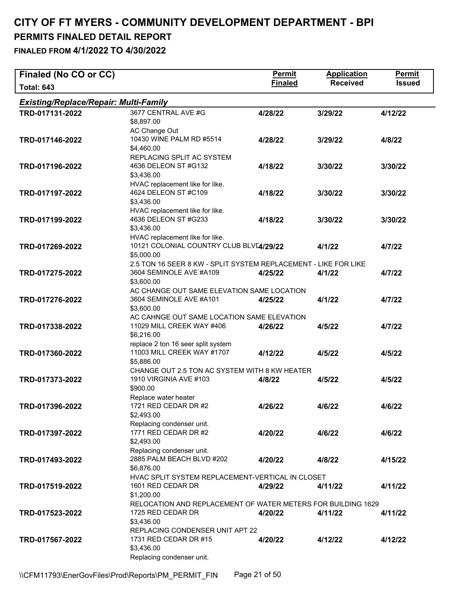| Finaled (No CO or CC)                        |                                                                                                          | <b>Permit</b>  | <b>Application</b> | Permit        |
|----------------------------------------------|----------------------------------------------------------------------------------------------------------|----------------|--------------------|---------------|
| <b>Total: 643</b>                            |                                                                                                          | <b>Finaled</b> | <b>Received</b>    | <b>Issued</b> |
| <b>Existing/Replace/Repair: Multi-Family</b> |                                                                                                          |                |                    |               |
| TRD-017131-2022                              | 3677 CENTRAL AVE #G<br>\$8,897.00                                                                        | 4/28/22        | 3/29/22            | 4/12/22       |
| TRD-017146-2022                              | AC Change Out<br>10430 WINE PALM RD #5514<br>\$4,460.00                                                  | 4/28/22        | 3/29/22            | 4/8/22        |
| TRD-017196-2022                              | REPLACING SPLIT AC SYSTEM<br>4636 DELEON ST #G132<br>\$3,436.00                                          | 4/18/22        | 3/30/22            | 3/30/22       |
| TRD-017197-2022                              | HVAC replacement like for like.<br>4624 DELEON ST #C109<br>\$3,436.00                                    | 4/18/22        | 3/30/22            | 3/30/22       |
| TRD-017199-2022                              | HVAC replacement like for like.<br>4636 DELEON ST #G233<br>\$3,436.00                                    | 4/18/22        | 3/30/22            | 3/30/22       |
| TRD-017269-2022                              | HVAC replacement like for like.<br>10121 COLONIAL COUNTRY CLUB BLVE4/29/22<br>\$5,000.00                 |                | 4/1/22             | 4/7/22        |
| TRD-017275-2022                              | 2.5 TON 16 SEER 8 KW - SPLIT SYSTEM REPLACEMENT - LIKE FOR LIKE<br>3604 SEMINOLE AVE #A109<br>\$3,600.00 | 4/25/22        | 4/1/22             | 4/7/22        |
| TRD-017276-2022                              | AC CHANGE OUT SAME ELEVATION SAME LOCATION<br>3604 SEMINOLE AVE #A101<br>\$3,600.00                      | 4/25/22        | 4/1/22             | 4/7/22        |
| TRD-017338-2022                              | AC CAHNGE OUT SAME LOCATION SAME ELEVATION<br>11029 MILL CREEK WAY #406<br>\$6,216.00                    | 4/26/22        | 4/5/22             | 4/7/22        |
| TRD-017360-2022                              | replace 2 ton 16 seer split system<br>11003 MILL CREEK WAY #1707<br>\$5,886.00                           | 4/12/22        | 4/5/22             | 4/5/22        |
| TRD-017373-2022                              | CHANGE OUT 2.5 TON AC SYSTEM WITH 8 KW HEATER<br>1910 VIRGINIA AVE #103<br>\$900.00                      | 4/8/22         | 4/5/22             | 4/5/22        |
| TRD-017396-2022                              | Replace water heater<br>1721 RED CEDAR DR #2<br>\$2,493.00                                               | 4/26/22        | 4/6/22             | 4/6/22        |
| TRD-017397-2022                              | Replacing condenser unit.<br>1771 RED CEDAR DR #2<br>\$2,493.00                                          | 4/20/22        | 4/6/22             | 4/6/22        |
| TRD-017493-2022                              | Replacing condenser unit.<br>2885 PALM BEACH BLVD #202<br>\$6,876.00                                     | 4/20/22        | 4/8/22             | 4/15/22       |
| TRD-017519-2022                              | HVAC SPLIT SYSTEM REPLACEMENT-VERTICAL IN CLOSET<br>1601 RED CEDAR DR<br>\$1,200.00                      | 4/29/22        | 4/11/22            | 4/11/22       |
| TRD-017523-2022                              | RELOCATION AND REPLACEMENT OF WATER METERS FOR BUILDING 1629<br>1725 RED CEDAR DR<br>\$3,436.00          | 4/20/22        | 4/11/22            | 4/11/22       |
| TRD-017567-2022                              | REPLACING CONDENSER UNIT APT 22<br>1731 RED CEDAR DR #15<br>\$3,436.00<br>Replacing condenser unit.      | 4/20/22        | 4/12/22            | 4/12/22       |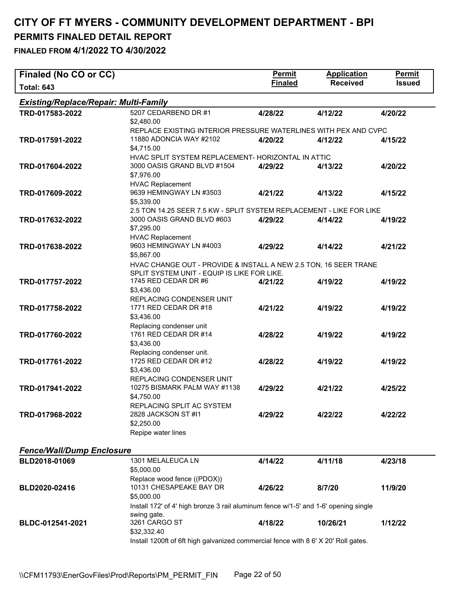| Finaled (No CO or CC)                        |                                                                                                    | <b>Permit</b>  | <b>Application</b> | Permit        |
|----------------------------------------------|----------------------------------------------------------------------------------------------------|----------------|--------------------|---------------|
| <b>Total: 643</b>                            |                                                                                                    | <b>Finaled</b> | <b>Received</b>    | <b>Issued</b> |
| <b>Existing/Replace/Repair: Multi-Family</b> |                                                                                                    |                |                    |               |
| TRD-017583-2022                              | 5207 CEDARBEND DR #1                                                                               | 4/28/22        | 4/12/22            | 4/20/22       |
|                                              | \$2,480.00                                                                                         |                |                    |               |
|                                              | REPLACE EXISTING INTERIOR PRESSURE WATERLINES WITH PEX AND CVPC                                    |                |                    |               |
| TRD-017591-2022                              | 11880 ADONCIA WAY #2102<br>\$4,715.00                                                              | 4/20/22        | 4/12/22            | 4/15/22       |
|                                              | HVAC SPLIT SYSTEM REPLACEMENT- HORIZONTAL IN ATTIC                                                 |                |                    |               |
| TRD-017604-2022                              | 3000 OASIS GRAND BLVD #1504                                                                        | 4/29/22        | 4/13/22            | 4/20/22       |
|                                              | \$7,976.00                                                                                         |                |                    |               |
|                                              | <b>HVAC Replacement</b>                                                                            |                |                    |               |
| TRD-017609-2022                              | 9639 HEMINGWAY LN #3503                                                                            | 4/21/22        | 4/13/22            | 4/15/22       |
|                                              | \$5,339.00                                                                                         |                |                    |               |
| TRD-017632-2022                              | 2.5 TON 14.25 SEER 7.5 KW - SPLIT SYSTEM REPLACEMENT - LIKE FOR LIKE<br>3000 OASIS GRAND BLVD #603 | 4/29/22        | 4/14/22            | 4/19/22       |
|                                              | \$7,295.00                                                                                         |                |                    |               |
|                                              | <b>HVAC Replacement</b>                                                                            |                |                    |               |
| TRD-017638-2022                              | 9603 HEMINGWAY LN #4003                                                                            | 4/29/22        | 4/14/22            | 4/21/22       |
|                                              | \$5,867.00                                                                                         |                |                    |               |
|                                              | HVAC CHANGE OUT - PROVIDE & INSTALL A NEW 2.5 TON, 16 SEER TRANE                                   |                |                    |               |
|                                              | SPLIT SYSTEM UNIT - EQUIP IS LIKE FOR LIKE.                                                        |                |                    |               |
| TRD-017757-2022                              | 1745 RED CEDAR DR #6<br>\$3,436.00                                                                 | 4/21/22        | 4/19/22            | 4/19/22       |
|                                              | REPLACING CONDENSER UNIT                                                                           |                |                    |               |
| TRD-017758-2022                              | 1771 RED CEDAR DR #18                                                                              | 4/21/22        | 4/19/22            | 4/19/22       |
|                                              | \$3,436.00                                                                                         |                |                    |               |
|                                              | Replacing condenser unit                                                                           |                |                    |               |
| TRD-017760-2022                              | 1761 RED CEDAR DR #14                                                                              | 4/28/22        | 4/19/22            | 4/19/22       |
|                                              | \$3,436.00                                                                                         |                |                    |               |
| TRD-017761-2022                              | Replacing condenser unit.<br>1725 RED CEDAR DR #12                                                 | 4/28/22        | 4/19/22            | 4/19/22       |
|                                              | \$3,436.00                                                                                         |                |                    |               |
|                                              | REPLACING CONDENSER UNIT                                                                           |                |                    |               |
| TRD-017941-2022                              | 10275 BISMARK PALM WAY #1138                                                                       | 4/29/22        | 4/21/22            | 4/25/22       |
|                                              | \$4,750.00                                                                                         |                |                    |               |
|                                              | REPLACING SPLIT AC SYSTEM                                                                          |                |                    |               |
| TRD-017968-2022                              | 2828 JACKSON ST #11<br>\$2,250.00                                                                  | 4/29/22        | 4/22/22            | 4/22/22       |
|                                              | Repipe water lines                                                                                 |                |                    |               |
|                                              |                                                                                                    |                |                    |               |
| <b>Fence/Wall/Dump Enclosure</b>             |                                                                                                    |                |                    |               |
| BLD2018-01069                                | 1301 MELALEUCA LN                                                                                  | 4/14/22        | 4/11/18            | 4/23/18       |
|                                              | \$5,000.00                                                                                         |                |                    |               |
|                                              | Replace wood fence ((PDOX))<br>10131 CHESAPEAKE BAY DR                                             |                |                    |               |
| BLD2020-02416                                | \$5,000.00                                                                                         | 4/26/22        | 8/7/20             | 11/9/20       |
|                                              | Install 172' of 4' high bronze 3 rail aluminum fence w/1-5' and 1-6' opening single                |                |                    |               |
|                                              | swing gate.                                                                                        |                |                    |               |
| BLDC-012541-2021                             | 3261 CARGO ST                                                                                      | 4/18/22        | 10/26/21           | 1/12/22       |
|                                              | \$32,332.40                                                                                        |                |                    |               |
|                                              | Install 1200ft of 6ft high galvanized commercial fence with 8 6' X 20' Roll gates.                 |                |                    |               |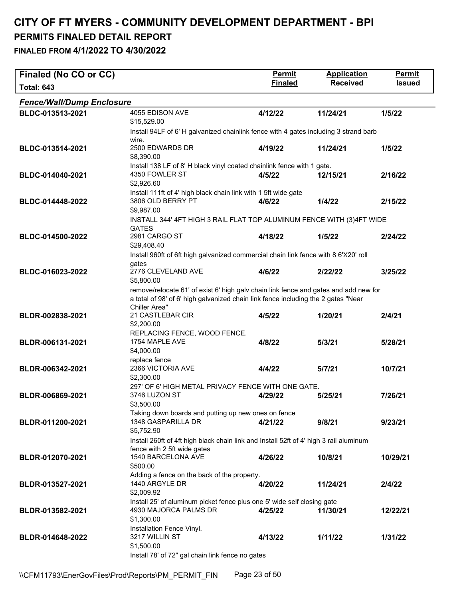| Finaled (No CO or CC)            |                                                                                                                                                                                            | <b>Permit</b>  | <b>Application</b> | <b>Permit</b> |
|----------------------------------|--------------------------------------------------------------------------------------------------------------------------------------------------------------------------------------------|----------------|--------------------|---------------|
| <b>Total: 643</b>                |                                                                                                                                                                                            | <b>Finaled</b> | <b>Received</b>    | <b>Issued</b> |
| <b>Fence/Wall/Dump Enclosure</b> |                                                                                                                                                                                            |                |                    |               |
| BLDC-013513-2021                 | 4055 EDISON AVE<br>\$15,529.00                                                                                                                                                             | 4/12/22        | 11/24/21           | 1/5/22        |
|                                  | Install 94LF of 6'H galvanized chainlink fence with 4 gates including 3 strand barb<br>wire.                                                                                               |                |                    |               |
| BLDC-013514-2021                 | 2500 EDWARDS DR<br>\$8,390.00                                                                                                                                                              | 4/19/22        | 11/24/21           | 1/5/22        |
| BLDC-014040-2021                 | Install 138 LF of 8' H black vinyl coated chainlink fence with 1 gate.<br>4350 FOWLER ST                                                                                                   | 4/5/22         | 12/15/21           | 2/16/22       |
|                                  | \$2,926.60<br>Install 111ft of 4' high black chain link with 1 5ft wide gate                                                                                                               |                |                    |               |
| BLDC-014448-2022                 | 3806 OLD BERRY PT<br>\$9,987.00                                                                                                                                                            | 4/6/22         | 1/4/22             | 2/15/22       |
|                                  | INSTALL 344' 4FT HIGH 3 RAIL FLAT TOP ALUMINUM FENCE WITH (3)4FT WIDE<br><b>GATES</b>                                                                                                      |                |                    |               |
| BLDC-014500-2022                 | 2981 CARGO ST<br>\$29,408.40                                                                                                                                                               | 4/18/22        | 1/5/22             | 2/24/22       |
|                                  | Install 960ft of 6ft high galvanized commercial chain link fence with 8 6'X20' roll<br>gates                                                                                               |                |                    |               |
| BLDC-016023-2022                 | 2776 CLEVELAND AVE<br>\$5,800.00                                                                                                                                                           | 4/6/22         | 2/22/22            | 3/25/22       |
|                                  | remove/relocate 61' of exist 6' high galv chain link fence and gates and add new for<br>a total of 98' of 6' high galvanized chain link fence including the 2 gates "Near<br>Chiller Area" |                |                    |               |
| BLDR-002838-2021                 | 21 CASTLEBAR CIR<br>\$2,200.00                                                                                                                                                             | 4/5/22         | 1/20/21            | 2/4/21        |
| BLDR-006131-2021                 | REPLACING FENCE, WOOD FENCE.<br>1754 MAPLE AVE<br>\$4,000.00<br>replace fence                                                                                                              | 4/8/22         | 5/3/21             | 5/28/21       |
| BLDR-006342-2021                 | 2366 VICTORIA AVE<br>\$2,300.00                                                                                                                                                            | 4/4/22         | 5/7/21             | 10/7/21       |
| BLDR-006869-2021                 | 297' OF 6' HIGH METAL PRIVACY FENCE WITH ONE GATE.<br>3746 LUZON ST<br>\$3,500.00                                                                                                          | 4/29/22        | 5/25/21            | 7/26/21       |
| BLDR-011200-2021                 | Taking down boards and putting up new ones on fence<br>1348 GASPARILLA DR<br>\$5,752.90                                                                                                    | 4/21/22        | 9/8/21             | 9/23/21       |
|                                  | Install 260ft of 4ft high black chain link and Install 52ft of 4' high 3 rail aluminum                                                                                                     |                |                    |               |
| BLDR-012070-2021                 | fence with 2 5ft wide gates<br>1540 BARCELONA AVE<br>\$500.00                                                                                                                              | 4/26/22        | 10/8/21            | 10/29/21      |
| BLDR-013527-2021                 | Adding a fence on the back of the property.<br>1440 ARGYLE DR<br>\$2,009.92                                                                                                                | 4/20/22        | 11/24/21           | 2/4/22        |
| BLDR-013582-2021                 | Install 25' of aluminum picket fence plus one 5' wide self closing gate<br>4930 MAJORCA PALMS DR                                                                                           | 4/25/22        | 11/30/21           | 12/22/21      |
| BLDR-014648-2022                 | \$1,300.00<br>Installation Fence Vinyl.<br>3217 WILLIN ST<br>\$1,500.00                                                                                                                    | 4/13/22        | 1/11/22            | 1/31/22       |
|                                  | Install 78' of 72" gal chain link fence no gates                                                                                                                                           |                |                    |               |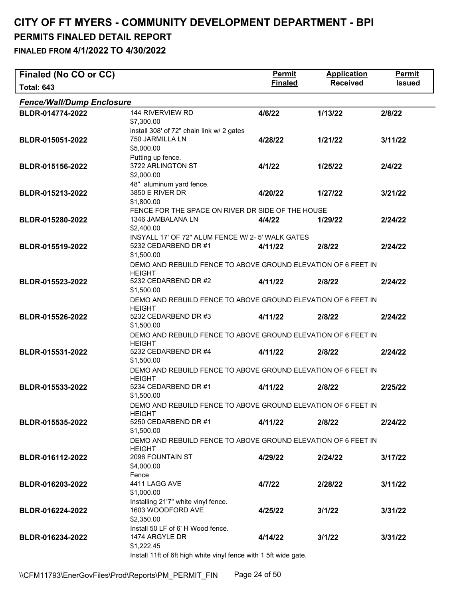| <b>Received</b><br><b>Finaled</b><br><b>Total: 643</b>                                                                       |               |
|------------------------------------------------------------------------------------------------------------------------------|---------------|
|                                                                                                                              | <b>Issued</b> |
| <b>Fence/Wall/Dump Enclosure</b>                                                                                             |               |
| 144 RIVERVIEW RD<br>BLDR-014774-2022<br>4/6/22<br>1/13/22<br>2/8/22                                                          |               |
| \$7,300.00                                                                                                                   |               |
| install 308' of 72" chain link w/ 2 gates                                                                                    |               |
| 750 JARMILLA LN<br>BLDR-015051-2022<br>4/28/22<br>1/21/22<br>3/11/22<br>\$5,000.00                                           |               |
| Putting up fence.                                                                                                            |               |
| 3722 ARLINGTON ST<br>BLDR-015156-2022<br>4/1/22<br>1/25/22<br>2/4/22                                                         |               |
| \$2,000.00                                                                                                                   |               |
| 48" aluminum yard fence.                                                                                                     |               |
| 3850 E RIVER DR<br>BLDR-015213-2022<br>4/20/22<br>1/27/22<br>3/21/22                                                         |               |
| \$1,800.00                                                                                                                   |               |
| FENCE FOR THE SPACE ON RIVER DR SIDE OF THE HOUSE                                                                            |               |
| 1346 JAMBALANA LN<br>BLDR-015280-2022<br>4/4/22<br>1/29/22<br>2/24/22                                                        |               |
| \$2,400.00                                                                                                                   |               |
| INSYALL 17' OF 72" ALUM FENCE W/ 2-5' WALK GATES<br>5232 CEDARBEND DR #1<br>BLDR-015519-2022<br>4/11/22<br>2/8/22<br>2/24/22 |               |
| \$1,500.00                                                                                                                   |               |
| DEMO AND REBUILD FENCE TO ABOVE GROUND ELEVATION OF 6 FEET IN                                                                |               |
| <b>HEIGHT</b>                                                                                                                |               |
| 5232 CEDARBEND DR #2<br>BLDR-015523-2022<br>4/11/22<br>2/8/22<br>2/24/22                                                     |               |
| \$1,500.00                                                                                                                   |               |
| DEMO AND REBUILD FENCE TO ABOVE GROUND ELEVATION OF 6 FEET IN                                                                |               |
| <b>HEIGHT</b><br>5232 CEDARBEND DR #3<br>BLDR-015526-2022<br>2/8/22<br>2/24/22                                               |               |
| 4/11/22<br>\$1,500.00                                                                                                        |               |
| DEMO AND REBUILD FENCE TO ABOVE GROUND ELEVATION OF 6 FEET IN                                                                |               |
| <b>HEIGHT</b>                                                                                                                |               |
| 5232 CEDARBEND DR #4<br>BLDR-015531-2022<br>2/8/22<br>2/24/22<br>4/11/22                                                     |               |
| \$1,500.00                                                                                                                   |               |
| DEMO AND REBUILD FENCE TO ABOVE GROUND ELEVATION OF 6 FEET IN                                                                |               |
| <b>HEIGHT</b><br>5234 CEDARBEND DR #1<br>BLDR-015533-2022<br>4/11/22<br>2/25/22<br>2/8/22                                    |               |
| \$1,500.00                                                                                                                   |               |
| DEMO AND REBUILD FENCE TO ABOVE GROUND ELEVATION OF 6 FEET IN                                                                |               |
| <b>HEIGHT</b>                                                                                                                |               |
| 5250 CEDARBEND DR #1<br>BLDR-015535-2022<br>2/8/22<br>2/24/22<br>4/11/22                                                     |               |
| \$1,500.00                                                                                                                   |               |
| DEMO AND REBUILD FENCE TO ABOVE GROUND ELEVATION OF 6 FEET IN                                                                |               |
| <b>HEIGHT</b><br>2096 FOUNTAIN ST<br>BLDR-016112-2022<br>4/29/22<br>2/24/22<br>3/17/22                                       |               |
| \$4,000.00                                                                                                                   |               |
| Fence                                                                                                                        |               |
| 4411 LAGG AVE<br>BLDR-016203-2022<br>4/7/22<br>2/28/22<br>3/11/22                                                            |               |
| \$1,000.00                                                                                                                   |               |
|                                                                                                                              |               |
| Installing 21'7" white vinyl fence.                                                                                          |               |
| 1603 WOODFORD AVE<br>BLDR-016224-2022<br>3/1/22<br>4/25/22<br>3/31/22                                                        |               |
| \$2,350.00                                                                                                                   |               |
| Install 50 LF of 6' H Wood fence.                                                                                            |               |
| 1474 ARGYLE DR<br>BLDR-016234-2022<br>3/1/22<br>3/31/22<br>4/14/22<br>\$1,222.45                                             |               |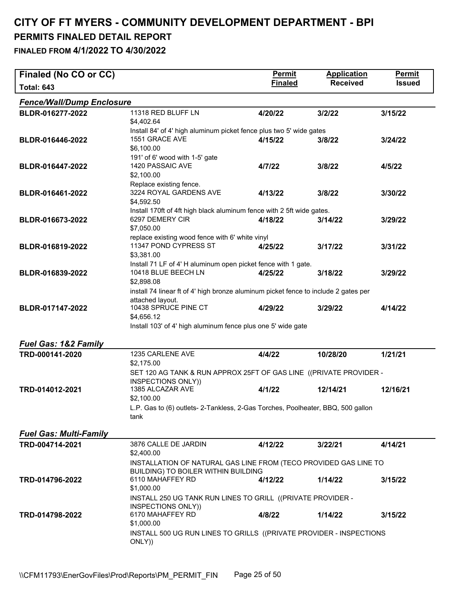| Finaled (No CO or CC)            |                                                                                          | <b>Permit</b>  | <b>Application</b> | Permit        |
|----------------------------------|------------------------------------------------------------------------------------------|----------------|--------------------|---------------|
| <b>Total: 643</b>                |                                                                                          | <b>Finaled</b> | <b>Received</b>    | <b>Issued</b> |
| <b>Fence/Wall/Dump Enclosure</b> |                                                                                          |                |                    |               |
| BLDR-016277-2022                 | 11318 RED BLUFF LN                                                                       | 4/20/22        | 3/2/22             | 3/15/22       |
|                                  | \$4,402.64<br>Install 84' of 4' high aluminum picket fence plus two 5' wide gates        |                |                    |               |
| BLDR-016446-2022                 | 1551 GRACE AVE                                                                           | 4/15/22        | 3/8/22             | 3/24/22       |
|                                  | \$6,100.00                                                                               |                |                    |               |
| BLDR-016447-2022                 | 191' of 6' wood with 1-5' gate<br>1420 PASSAIC AVE                                       | 4/7/22         | 3/8/22             | 4/5/22        |
|                                  | \$2,100.00                                                                               |                |                    |               |
|                                  | Replace existing fence.                                                                  |                |                    |               |
| BLDR-016461-2022                 | 3224 ROYAL GARDENS AVE<br>\$4,592.50                                                     | 4/13/22        | 3/8/22             | 3/30/22       |
|                                  | Install 170ft of 4ft high black aluminum fence with 2 5ft wide gates.                    |                |                    |               |
| BLDR-016673-2022                 | 6297 DEMERY CIR<br>\$7,050.00                                                            | 4/18/22        | 3/14/22            | 3/29/22       |
|                                  | replace existing wood fence with 6' white vinyl                                          |                |                    |               |
| BLDR-016819-2022                 | 11347 POND CYPRESS ST                                                                    | 4/25/22        | 3/17/22            | 3/31/22       |
|                                  | \$3,381.00<br>Install 71 LF of 4' H aluminum open picket fence with 1 gate.              |                |                    |               |
| BLDR-016839-2022                 | 10418 BLUE BEECH LN                                                                      | 4/25/22        | 3/18/22            | 3/29/22       |
|                                  | \$2,898.08                                                                               |                |                    |               |
|                                  | install 74 linear ft of 4' high bronze aluminum picket fence to include 2 gates per      |                |                    |               |
| BLDR-017147-2022                 | attached layout.<br>10438 SPRUCE PINE CT                                                 | 4/29/22        | 3/29/22            | 4/14/22       |
|                                  | \$4,656.12                                                                               |                |                    |               |
|                                  | Install 103' of 4' high aluminum fence plus one 5' wide gate                             |                |                    |               |
| <b>Fuel Gas: 1&amp;2 Family</b>  |                                                                                          |                |                    |               |
| TRD-000141-2020                  | 1235 CARLENE AVE                                                                         | 4/4/22         | 10/28/20           | 1/21/21       |
|                                  | \$2,175.00                                                                               |                |                    |               |
|                                  | SET 120 AG TANK & RUN APPROX 25FT OF GAS LINE ((PRIVATE PROVIDER -<br>INSPECTIONS ONLY)) |                |                    |               |
| TRD-014012-2021                  | 1385 ALCAZAR AVE                                                                         | 4/1/22         | 12/14/21           | 12/16/21      |
|                                  | \$2,100.00                                                                               |                |                    |               |
|                                  | L.P. Gas to (6) outlets- 2-Tankless, 2-Gas Torches, Poolheater, BBQ, 500 gallon<br>tank  |                |                    |               |
|                                  |                                                                                          |                |                    |               |
| <b>Fuel Gas: Multi-Family</b>    |                                                                                          |                |                    |               |
| TRD-004714-2021                  | 3876 CALLE DE JARDIN<br>\$2,400.00                                                       | 4/12/22        | 3/22/21            | 4/14/21       |
|                                  | INSTALLATION OF NATURAL GAS LINE FROM (TECO PROVIDED GAS LINE TO                         |                |                    |               |
| TRD-014796-2022                  | BUILDING) TO BOILER WITHIN BUILDING<br>6110 MAHAFFEY RD                                  | 4/12/22        | 1/14/22            | 3/15/22       |
|                                  | \$1,000.00                                                                               |                |                    |               |
|                                  | INSTALL 250 UG TANK RUN LINES TO GRILL ((PRIVATE PROVIDER -                              |                |                    |               |
|                                  | INSPECTIONS ONLY))                                                                       |                |                    |               |
| TRD-014798-2022                  | 6170 MAHAFFEY RD<br>\$1,000.00                                                           | 4/8/22         | 1/14/22            | 3/15/22       |
|                                  | INSTALL 500 UG RUN LINES TO GRILLS ((PRIVATE PROVIDER - INSPECTIONS                      |                |                    |               |
|                                  | ONLY))                                                                                   |                |                    |               |
|                                  |                                                                                          |                |                    |               |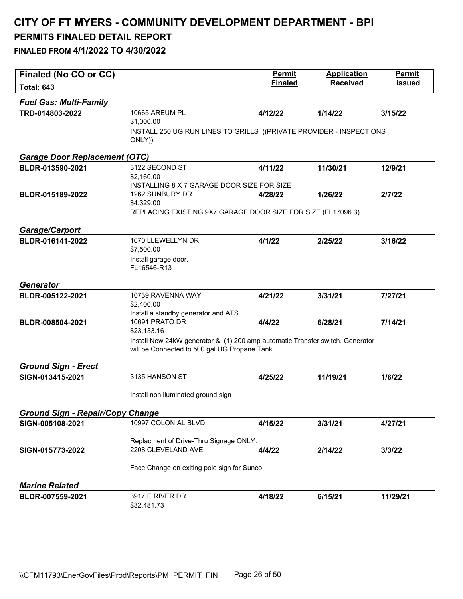| Finaled (No CO or CC)                   |                                                                                                                                | <b>Permit</b>  | <b>Application</b> | Permit        |
|-----------------------------------------|--------------------------------------------------------------------------------------------------------------------------------|----------------|--------------------|---------------|
| <b>Total: 643</b>                       |                                                                                                                                | <b>Finaled</b> | <b>Received</b>    | <b>Issued</b> |
| <b>Fuel Gas: Multi-Family</b>           |                                                                                                                                |                |                    |               |
| TRD-014803-2022                         | 10665 AREUM PL                                                                                                                 | 4/12/22        | 1/14/22            | 3/15/22       |
|                                         | \$1,000.00                                                                                                                     |                |                    |               |
|                                         | INSTALL 250 UG RUN LINES TO GRILLS ((PRIVATE PROVIDER - INSPECTIONS                                                            |                |                    |               |
|                                         | ONLY))                                                                                                                         |                |                    |               |
| <b>Garage Door Replacement (OTC)</b>    |                                                                                                                                |                |                    |               |
| BLDR-013590-2021                        | 3122 SECOND ST                                                                                                                 | 4/11/22        | 11/30/21           | 12/9/21       |
|                                         | \$2,160.00                                                                                                                     |                |                    |               |
|                                         | INSTALLING 8 X 7 GARAGE DOOR SIZE FOR SIZE                                                                                     |                |                    |               |
| BLDR-015189-2022                        | 1262 SUNBURY DR                                                                                                                | 4/28/22        | 1/26/22            | 2/7/22        |
|                                         | \$4,329.00<br>REPLACING EXISTING 9X7 GARAGE DOOR SIZE FOR SIZE (FL17096.3)                                                     |                |                    |               |
|                                         |                                                                                                                                |                |                    |               |
| <b>Garage/Carport</b>                   |                                                                                                                                |                |                    |               |
| BLDR-016141-2022                        | 1670 LLEWELLYN DR                                                                                                              | 4/1/22         | 2/25/22            | 3/16/22       |
|                                         | \$7,500.00                                                                                                                     |                |                    |               |
|                                         | Install garage door.                                                                                                           |                |                    |               |
|                                         | FL16546-R13                                                                                                                    |                |                    |               |
| <b>Generator</b>                        |                                                                                                                                |                |                    |               |
| BLDR-005122-2021                        | 10739 RAVENNA WAY                                                                                                              | 4/21/22        | 3/31/21            | 7/27/21       |
|                                         | \$2,400.00                                                                                                                     |                |                    |               |
|                                         | Install a standby generator and ATS                                                                                            |                |                    |               |
| BLDR-008504-2021                        | 10691 PRATO DR                                                                                                                 | 4/4/22         | 6/28/21            | 7/14/21       |
|                                         | \$23,133.16                                                                                                                    |                |                    |               |
|                                         | Install New 24kW generator & (1) 200 amp automatic Transfer switch. Generator<br>will be Connected to 500 gal UG Propane Tank. |                |                    |               |
|                                         |                                                                                                                                |                |                    |               |
| <b>Ground Sign - Erect</b>              |                                                                                                                                |                |                    |               |
| SIGN-013415-2021                        | 3135 HANSON ST                                                                                                                 | 4/25/22        | 11/19/21           | 1/6/22        |
|                                         |                                                                                                                                |                |                    |               |
|                                         | Install non iluminated ground sign                                                                                             |                |                    |               |
| <b>Ground Sign - Repair/Copy Change</b> |                                                                                                                                |                |                    |               |
| SIGN-005108-2021                        | 10997 COLONIAL BLVD                                                                                                            | 4/15/22        | 3/31/21            | 4/27/21       |
|                                         |                                                                                                                                |                |                    |               |
|                                         | Replacment of Drive-Thru Signage ONLY.                                                                                         |                |                    |               |
| SIGN-015773-2022                        | 2208 CLEVELAND AVE                                                                                                             | 4/4/22         | 2/14/22            | 3/3/22        |
|                                         | Face Change on exiting pole sign for Sunco                                                                                     |                |                    |               |
|                                         |                                                                                                                                |                |                    |               |
| <b>Marine Related</b>                   |                                                                                                                                |                |                    |               |
| BLDR-007559-2021                        | 3917 E RIVER DR                                                                                                                | 4/18/22        | 6/15/21            | 11/29/21      |
|                                         | \$32,481.73                                                                                                                    |                |                    |               |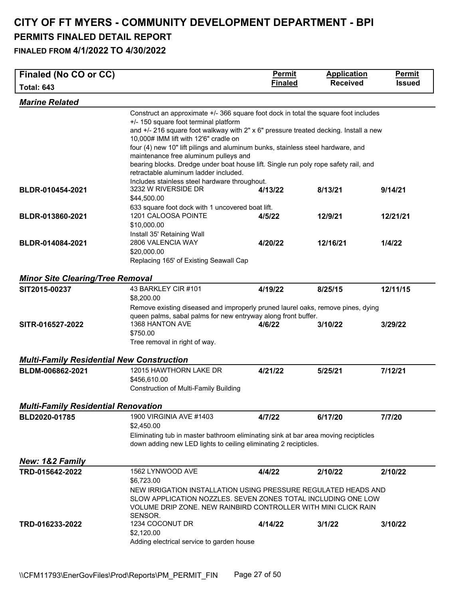#### **CITY OF FT MYERS - COMMUNITY DEVELOPMENT DEPARTMENT - BPI PERMITS FINALED DETAIL REPORT FINALED FROM 4/1/2022 TO 4/30/2022**

| Finaled (No CO or CC)                            |                                                                                                                                                        | <b>Permit</b>  | <b>Application</b> | <b>Permit</b> |  |  |
|--------------------------------------------------|--------------------------------------------------------------------------------------------------------------------------------------------------------|----------------|--------------------|---------------|--|--|
| <b>Total: 643</b>                                |                                                                                                                                                        | <b>Finaled</b> | <b>Received</b>    | <b>Issued</b> |  |  |
| <b>Marine Related</b>                            |                                                                                                                                                        |                |                    |               |  |  |
|                                                  | Construct an approximate +/- 366 square foot dock in total the square foot includes                                                                    |                |                    |               |  |  |
|                                                  | +/- 150 square foot terminal platform<br>and +/- 216 square foot walkway with 2" x 6" pressure treated decking. Install a new                          |                |                    |               |  |  |
|                                                  | 10,000# IMM lift with 12'6" cradle on                                                                                                                  |                |                    |               |  |  |
|                                                  | four (4) new 10" lift pilings and aluminum bunks, stainless steel hardware, and                                                                        |                |                    |               |  |  |
|                                                  | maintenance free aluminum pulleys and                                                                                                                  |                |                    |               |  |  |
|                                                  | bearing blocks. Dredge under boat house lift. Single run poly rope safety rail, and<br>retractable aluminum ladder included.                           |                |                    |               |  |  |
|                                                  | Includes stainless steel hardware throughout.                                                                                                          |                |                    |               |  |  |
| BLDR-010454-2021                                 | 3232 W RIVERSIDE DR<br>\$44,500.00                                                                                                                     | 4/13/22        | 8/13/21            | 9/14/21       |  |  |
|                                                  | 633 square foot dock with 1 uncovered boat lift.                                                                                                       |                |                    |               |  |  |
| BLDR-013860-2021                                 | 1201 CALOOSA POINTE                                                                                                                                    | 4/5/22         | 12/9/21            | 12/21/21      |  |  |
|                                                  | \$10,000.00                                                                                                                                            |                |                    |               |  |  |
|                                                  | Install 35' Retaining Wall                                                                                                                             |                |                    |               |  |  |
| BLDR-014084-2021                                 | 2806 VALENCIA WAY<br>\$20,000.00                                                                                                                       | 4/20/22        | 12/16/21           | 1/4/22        |  |  |
|                                                  | Replacing 165' of Existing Seawall Cap                                                                                                                 |                |                    |               |  |  |
|                                                  |                                                                                                                                                        |                |                    |               |  |  |
| <b>Minor Site Clearing/Tree Removal</b>          |                                                                                                                                                        |                |                    |               |  |  |
| SIT2015-00237                                    | 43 BARKLEY CIR #101<br>\$8,200.00                                                                                                                      | 4/19/22        | 8/25/15            | 12/11/15      |  |  |
|                                                  | Remove existing diseased and improperly pruned laurel oaks, remove pines, dying                                                                        |                |                    |               |  |  |
| SITR-016527-2022                                 | queen palms, sabal palms for new entryway along front buffer.<br>1368 HANTON AVE                                                                       | 4/6/22         | 3/10/22            | 3/29/22       |  |  |
|                                                  | \$750.00                                                                                                                                               |                |                    |               |  |  |
|                                                  | Tree removal in right of way.                                                                                                                          |                |                    |               |  |  |
| <b>Multi-Family Residential New Construction</b> |                                                                                                                                                        |                |                    |               |  |  |
| BLDM-006862-2021                                 | 12015 HAWTHORN LAKE DR                                                                                                                                 | 4/21/22        | 5/25/21            | 7/12/21       |  |  |
|                                                  | \$456,610.00                                                                                                                                           |                |                    |               |  |  |
|                                                  | <b>Construction of Multi-Family Building</b>                                                                                                           |                |                    |               |  |  |
| <b>Multi-Family Residential Renovation</b>       |                                                                                                                                                        |                |                    |               |  |  |
| BLD2020-01785                                    | 1900 VIRGINIA AVE #1403                                                                                                                                | 4/7/22         | 6/17/20            | 7/7/20        |  |  |
|                                                  | \$2,450.00                                                                                                                                             |                |                    |               |  |  |
|                                                  | Eliminating tub in master bathroom eliminating sink at bar area moving recipticles<br>down adding new LED lights to ceiling eliminating 2 recipticles. |                |                    |               |  |  |
| New: 1&2 Family                                  |                                                                                                                                                        |                |                    |               |  |  |
| TRD-015642-2022                                  | 1562 LYNWOOD AVE<br>\$6,723.00                                                                                                                         | 4/4/22         | 2/10/22            | 2/10/22       |  |  |
|                                                  | NEW IRRIGATION INSTALLATION USING PRESSURE REGULATED HEADS AND                                                                                         |                |                    |               |  |  |
|                                                  | SLOW APPLICATION NOZZLES. SEVEN ZONES TOTAL INCLUDING ONE LOW                                                                                          |                |                    |               |  |  |
|                                                  | VOLUME DRIP ZONE. NEW RAINBIRD CONTROLLER WITH MINI CLICK RAIN                                                                                         |                |                    |               |  |  |
| TRD-016233-2022                                  | SENSOR.<br>1234 COCONUT DR                                                                                                                             | 4/14/22        | 3/1/22             | 3/10/22       |  |  |
|                                                  | \$2,120.00                                                                                                                                             |                |                    |               |  |  |
|                                                  | Adding electrical service to garden house                                                                                                              |                |                    |               |  |  |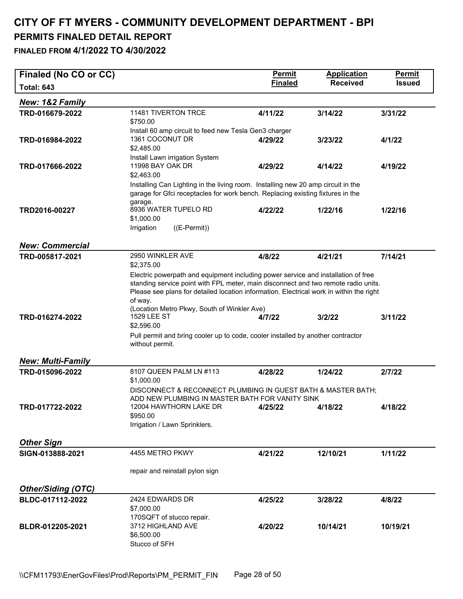| Finaled (No CO or CC)     |                                                                                                                 | Permit         | <b>Application</b> | <b>Permit</b> |
|---------------------------|-----------------------------------------------------------------------------------------------------------------|----------------|--------------------|---------------|
| <b>Total: 643</b>         |                                                                                                                 | <b>Finaled</b> | <b>Received</b>    | <b>Issued</b> |
| New: 1&2 Family           |                                                                                                                 |                |                    |               |
| TRD-016679-2022           | 11481 TIVERTON TRCE                                                                                             | 4/11/22        | 3/14/22            | 3/31/22       |
|                           | \$750.00<br>Install 60 amp circuit to feed new Tesla Gen3 charger                                               |                |                    |               |
| TRD-016984-2022           | 1361 COCONUT DR                                                                                                 | 4/29/22        | 3/23/22            | 4/1/22        |
|                           | \$2,485.00                                                                                                      |                |                    |               |
|                           | Install Lawn irrigation System                                                                                  |                |                    |               |
| TRD-017666-2022           | 11998 BAY OAK DR<br>\$2,463.00                                                                                  | 4/29/22        | 4/14/22            | 4/19/22       |
|                           | Installing Can Lighting in the living room. Installing new 20 amp circuit in the                                |                |                    |               |
|                           | garage for Gfci receptacles for work bench. Replacing existing fixtures in the                                  |                |                    |               |
|                           | garage.                                                                                                         |                |                    |               |
| TRD2016-00227             | 8936 WATER TUPELO RD<br>\$1,000.00                                                                              | 4/22/22        | 1/22/16            | 1/22/16       |
|                           | Irrigation<br>$((E-Permit))$                                                                                    |                |                    |               |
|                           |                                                                                                                 |                |                    |               |
| <b>New: Commercial</b>    |                                                                                                                 |                |                    |               |
| TRD-005817-2021           | 2950 WINKLER AVE                                                                                                | 4/8/22         | 4/21/21            | 7/14/21       |
|                           | \$2,375.00<br>Electric powerpath and equipment including power service and installation of free                 |                |                    |               |
|                           | standing service point with FPL meter, main disconnect and two remote radio units.                              |                |                    |               |
|                           | Please see plans for detailed location information. Electrical work in within the right                         |                |                    |               |
|                           | of way.<br>(Location Metro Pkwy, South of Winkler Ave)                                                          |                |                    |               |
| TRD-016274-2022           | <b>1529 LEE ST</b>                                                                                              | 4/7/22         | 3/2/22             | 3/11/22       |
|                           | \$2,596.00                                                                                                      |                |                    |               |
|                           | Pull permit and bring cooler up to code, cooler installed by another contractor                                 |                |                    |               |
|                           | without permit.                                                                                                 |                |                    |               |
| <b>New: Multi-Family</b>  |                                                                                                                 |                |                    |               |
| TRD-015096-2022           | 8107 QUEEN PALM LN #113                                                                                         | 4/28/22        | 1/24/22            | 2/7/22        |
|                           | \$1,000.00                                                                                                      |                |                    |               |
|                           | DISCONNECT & RECONNECT PLUMBING IN GUEST BATH & MASTER BATH;<br>ADD NEW PLUMBING IN MASTER BATH FOR VANITY SINK |                |                    |               |
| TRD-017722-2022           | 12004 HAWTHORN LAKE DR                                                                                          | 4/25/22        | 4/18/22            | 4/18/22       |
|                           | \$950.00                                                                                                        |                |                    |               |
|                           | Irrigation / Lawn Sprinklers.                                                                                   |                |                    |               |
| Other Sign                |                                                                                                                 |                |                    |               |
| SIGN-013888-2021          | 4455 METRO PKWY                                                                                                 | 4/21/22        | 12/10/21           | 1/11/22       |
|                           |                                                                                                                 |                |                    |               |
|                           | repair and reinstall pylon sign                                                                                 |                |                    |               |
| <b>Other/Siding (OTC)</b> |                                                                                                                 |                |                    |               |
| BLDC-017112-2022          | 2424 EDWARDS DR                                                                                                 | 4/25/22        | 3/28/22            | 4/8/22        |
|                           | \$7,000.00                                                                                                      |                |                    |               |
|                           | 170SQFT of stucco repair.                                                                                       |                |                    |               |
| BLDR-012205-2021          | 3712 HIGHLAND AVE<br>\$6,500.00                                                                                 | 4/20/22        | 10/14/21           | 10/19/21      |
|                           | Stucco of SFH                                                                                                   |                |                    |               |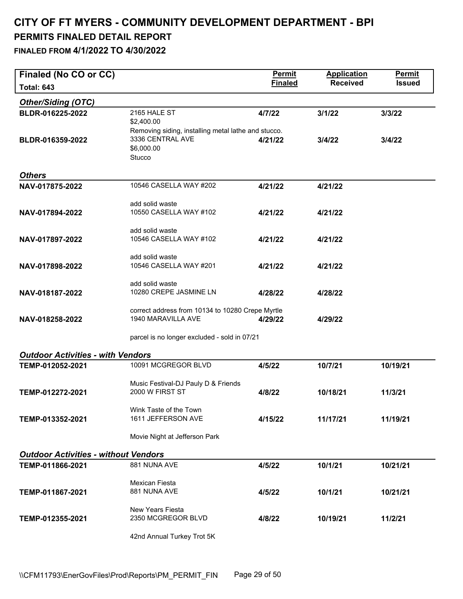#### **CITY OF FT MYERS - COMMUNITY DEVELOPMENT DEPARTMENT - BPI PERMITS FINALED DETAIL REPORT FINALED FROM 4/1/2022 TO 4/30/2022**

| Finaled (No CO or CC)<br><b>Total: 643</b>  |                                                                         | <b>Permit</b><br><b>Finaled</b> | <b>Application</b><br><b>Received</b> | Permit<br><b>Issued</b> |
|---------------------------------------------|-------------------------------------------------------------------------|---------------------------------|---------------------------------------|-------------------------|
| <b>Other/Siding (OTC)</b>                   |                                                                         |                                 |                                       |                         |
| BLDR-016225-2022                            | 2165 HALE ST                                                            | 4/7/22                          | 3/1/22                                | 3/3/22                  |
|                                             | \$2,400.00                                                              |                                 |                                       |                         |
| BLDR-016359-2022                            | Removing siding, installing metal lathe and stucco.<br>3336 CENTRAL AVE | 4/21/22                         | 3/4/22                                | 3/4/22                  |
|                                             | \$6,000.00<br>Stucco                                                    |                                 |                                       |                         |
| <b>Others</b>                               |                                                                         |                                 |                                       |                         |
| NAV-017875-2022                             | 10546 CASELLA WAY #202                                                  | 4/21/22                         | 4/21/22                               |                         |
|                                             | add solid waste                                                         |                                 |                                       |                         |
| NAV-017894-2022                             | 10550 CASELLA WAY #102                                                  | 4/21/22                         | 4/21/22                               |                         |
|                                             | add solid waste                                                         |                                 |                                       |                         |
| NAV-017897-2022                             | 10546 CASELLA WAY #102                                                  | 4/21/22                         | 4/21/22                               |                         |
|                                             | add solid waste                                                         |                                 |                                       |                         |
| NAV-017898-2022                             | 10546 CASELLA WAY #201                                                  | 4/21/22                         | 4/21/22                               |                         |
|                                             | add solid waste                                                         |                                 |                                       |                         |
| NAV-018187-2022                             | 10280 CREPE JASMINE LN                                                  | 4/28/22                         | 4/28/22                               |                         |
|                                             | correct address from 10134 to 10280 Crepe Myrtle                        |                                 |                                       |                         |
| NAV-018258-2022                             | 1940 MARAVILLA AVE                                                      | 4/29/22                         | 4/29/22                               |                         |
|                                             | parcel is no longer excluded - sold in 07/21                            |                                 |                                       |                         |
| <b>Outdoor Activities - with Vendors</b>    |                                                                         |                                 |                                       |                         |
| TEMP-012052-2021                            | 10091 MCGREGOR BLVD                                                     | 4/5/22                          | 10/7/21                               | 10/19/21                |
|                                             | Music Festival-DJ Pauly D & Friends                                     |                                 |                                       |                         |
| TEMP-012272-2021                            | 2000 W FIRST ST                                                         | 4/8/22                          | 10/18/21                              | 11/3/21                 |
|                                             | Wink Taste of the Town                                                  |                                 |                                       |                         |
| TEMP-013352-2021                            | 1611 JEFFERSON AVE                                                      | 4/15/22                         | 11/17/21                              | 11/19/21                |
|                                             | Movie Night at Jefferson Park                                           |                                 |                                       |                         |
| <b>Outdoor Activities - without Vendors</b> |                                                                         |                                 |                                       |                         |
| TEMP-011866-2021                            | 881 NUNA AVE                                                            | 4/5/22                          | 10/1/21                               | 10/21/21                |
|                                             | <b>Mexican Fiesta</b>                                                   |                                 |                                       |                         |
| TEMP-011867-2021                            | 881 NUNA AVE                                                            | 4/5/22                          | 10/1/21                               | 10/21/21                |
|                                             | New Years Fiesta                                                        |                                 |                                       |                         |
| TEMP-012355-2021                            | 2350 MCGREGOR BLVD                                                      | 4/8/22                          | 10/19/21                              | 11/2/21                 |
|                                             |                                                                         |                                 |                                       |                         |

42nd Annual Turkey Trot 5K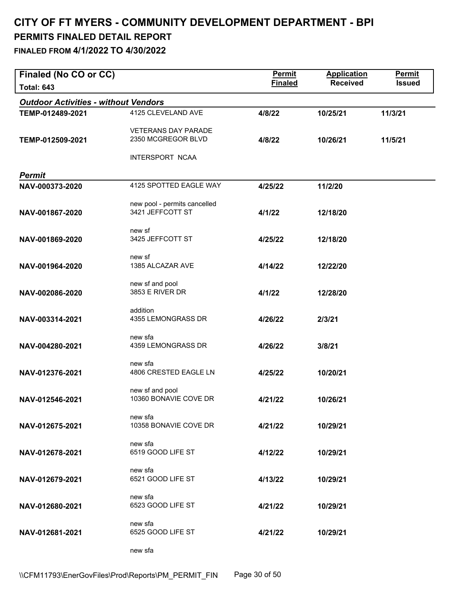| Finaled (No CO or CC)                       |                                                  | <b>Permit</b>  | <b>Application</b> | <b>Permit</b> |
|---------------------------------------------|--------------------------------------------------|----------------|--------------------|---------------|
| <b>Total: 643</b>                           |                                                  | <b>Finaled</b> | <b>Received</b>    | <b>Issued</b> |
| <b>Outdoor Activities - without Vendors</b> |                                                  |                |                    |               |
| TEMP-012489-2021                            | 4125 CLEVELAND AVE                               | 4/8/22         | 10/25/21           | 11/3/21       |
|                                             | <b>VETERANS DAY PARADE</b>                       |                |                    |               |
| TEMP-012509-2021                            | 2350 MCGREGOR BLVD                               | 4/8/22         | 10/26/21           | 11/5/21       |
|                                             |                                                  |                |                    |               |
|                                             | INTERSPORT NCAA                                  |                |                    |               |
| <b>Permit</b>                               |                                                  |                |                    |               |
| NAV-000373-2020                             | 4125 SPOTTED EAGLE WAY                           | 4/25/22        | 11/2/20            |               |
|                                             |                                                  |                |                    |               |
| NAV-001867-2020                             | new pool - permits cancelled<br>3421 JEFFCOTT ST | 4/1/22         | 12/18/20           |               |
|                                             |                                                  |                |                    |               |
| NAV-001869-2020                             | new sf<br>3425 JEFFCOTT ST                       |                |                    |               |
|                                             |                                                  | 4/25/22        | 12/18/20           |               |
|                                             | new sf                                           |                |                    |               |
| NAV-001964-2020                             | 1385 ALCAZAR AVE                                 | 4/14/22        | 12/22/20           |               |
|                                             | new sf and pool                                  |                |                    |               |
| NAV-002086-2020                             | 3853 E RIVER DR                                  | 4/1/22         | 12/28/20           |               |
|                                             | addition                                         |                |                    |               |
| NAV-003314-2021                             | 4355 LEMONGRASS DR                               | 4/26/22        | 2/3/21             |               |
|                                             |                                                  |                |                    |               |
| NAV-004280-2021                             | new sfa<br>4359 LEMONGRASS DR                    | 4/26/22        | 3/8/21             |               |
|                                             |                                                  |                |                    |               |
|                                             | new sfa                                          |                |                    |               |
| NAV-012376-2021                             | 4806 CRESTED EAGLE LN                            | 4/25/22        | 10/20/21           |               |
|                                             | new sf and pool                                  |                |                    |               |
| NAV-012546-2021                             | 10360 BONAVIE COVE DR                            | 4/21/22        | 10/26/21           |               |
|                                             | new sfa                                          |                |                    |               |
| NAV-012675-2021                             | 10358 BONAVIE COVE DR                            | 4/21/22        | 10/29/21           |               |
|                                             |                                                  |                |                    |               |
| NAV-012678-2021                             | new sfa<br>6519 GOOD LIFE ST                     | 4/12/22        | 10/29/21           |               |
|                                             |                                                  |                |                    |               |
|                                             | new sfa                                          |                |                    |               |
| NAV-012679-2021                             | 6521 GOOD LIFE ST                                | 4/13/22        | 10/29/21           |               |
|                                             | new sfa                                          |                |                    |               |
| NAV-012680-2021                             | 6523 GOOD LIFE ST                                | 4/21/22        | 10/29/21           |               |
|                                             | new sfa                                          |                |                    |               |
| NAV-012681-2021                             | 6525 GOOD LIFE ST                                | 4/21/22        | 10/29/21           |               |
|                                             |                                                  |                |                    |               |
|                                             | new sfa                                          |                |                    |               |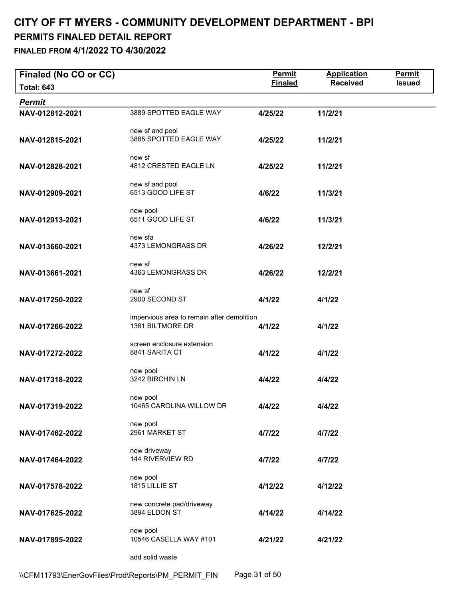#### **CITY OF FT MYERS - COMMUNITY DEVELOPMENT DEPARTMENT - BPI PERMITS FINALED DETAIL REPORT FINALED FROM 4/1/2022 TO 4/30/2022**

| Finaled (No CO or CC) |                                                                | <b>Permit</b>  | <b>Application</b> | Permit        |
|-----------------------|----------------------------------------------------------------|----------------|--------------------|---------------|
| <b>Total: 643</b>     |                                                                | <b>Finaled</b> | <b>Received</b>    | <b>Issued</b> |
| <b>Permit</b>         |                                                                |                |                    |               |
| NAV-012812-2021       | 3889 SPOTTED EAGLE WAY                                         | 4/25/22        | 11/2/21            |               |
| NAV-012815-2021       | new sf and pool<br>3885 SPOTTED EAGLE WAY                      | 4/25/22        | 11/2/21            |               |
| NAV-012828-2021       | new sf<br>4812 CRESTED EAGLE LN                                | 4/25/22        | 11/2/21            |               |
| NAV-012909-2021       | new sf and pool<br>6513 GOOD LIFE ST                           | 4/6/22         | 11/3/21            |               |
| NAV-012913-2021       | new pool<br>6511 GOOD LIFE ST                                  | 4/6/22         | 11/3/21            |               |
| NAV-013660-2021       | new sfa<br>4373 LEMONGRASS DR                                  | 4/26/22        | 12/2/21            |               |
| NAV-013661-2021       | new sf<br>4363 LEMONGRASS DR                                   | 4/26/22        | 12/2/21            |               |
| NAV-017250-2022       | new sf<br>2900 SECOND ST                                       | 4/1/22         | 4/1/22             |               |
| NAV-017266-2022       | impervious area to remain after demolition<br>1361 BILTMORE DR | 4/1/22         | 4/1/22             |               |
| NAV-017272-2022       | screen enclosure extension<br>8841 SARITA CT                   | 4/1/22         | 4/1/22             |               |
| NAV-017318-2022       | new pool<br>3242 BIRCHIN LN                                    | 4/4/22         | 4/4/22             |               |
| NAV-017319-2022       | new pool<br>10465 CAROLINA WILLOW DR                           | 4/4/22         | 4/4/22             |               |
| NAV-017462-2022       | new pool<br>2961 MARKET ST                                     | 4/7/22         | 4/7/22             |               |
| NAV-017464-2022       | new driveway<br>144 RIVERVIEW RD                               | 4/7/22         | 4/7/22             |               |
| NAV-017578-2022       | new pool<br>1815 LILLIE ST                                     | 4/12/22        | 4/12/22            |               |
| NAV-017625-2022       | new concrete pad/driveway<br>3894 ELDON ST                     | 4/14/22        | 4/14/22            |               |
| NAV-017895-2022       | new pool<br>10546 CASELLA WAY #101                             | 4/21/22        | 4/21/22            |               |
|                       | add solid waste                                                |                |                    |               |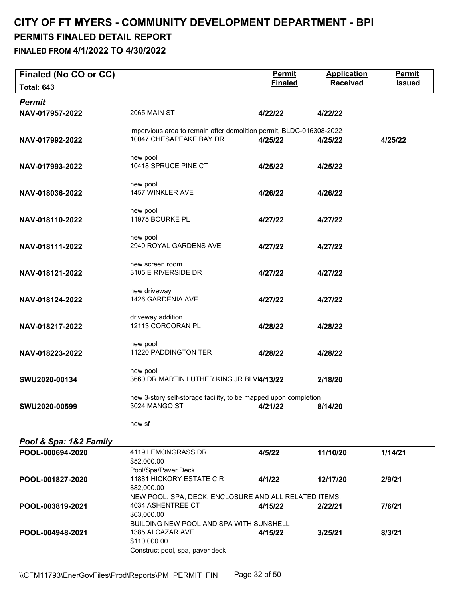#### **CITY OF FT MYERS - COMMUNITY DEVELOPMENT DEPARTMENT - BPI PERMITS FINALED DETAIL REPORT FINALED FROM 4/1/2022 TO 4/30/2022**

| Finaled (No CO or CC)  |                                                                                                | <b>Permit</b>  | <b>Application</b> | <b>Permit</b> |
|------------------------|------------------------------------------------------------------------------------------------|----------------|--------------------|---------------|
| <b>Total: 643</b>      |                                                                                                | <b>Finaled</b> | <b>Received</b>    | <b>Issued</b> |
| <b>Permit</b>          |                                                                                                |                |                    |               |
| NAV-017957-2022        | 2065 MAIN ST                                                                                   | 4/22/22        | 4/22/22            |               |
|                        |                                                                                                |                |                    |               |
| NAV-017992-2022        | impervious area to remain after demolition permit, BLDC-016308-2022<br>10047 CHESAPEAKE BAY DR | 4/25/22        | 4/25/22            | 4/25/22       |
|                        |                                                                                                |                |                    |               |
|                        | new pool                                                                                       |                |                    |               |
| NAV-017993-2022        | 10418 SPRUCE PINE CT                                                                           | 4/25/22        | 4/25/22            |               |
|                        | new pool                                                                                       |                |                    |               |
| NAV-018036-2022        | 1457 WINKLER AVE                                                                               | 4/26/22        | 4/26/22            |               |
|                        | new pool                                                                                       |                |                    |               |
| NAV-018110-2022        | 11975 BOURKE PL                                                                                | 4/27/22        | 4/27/22            |               |
|                        |                                                                                                |                |                    |               |
|                        | new pool                                                                                       |                |                    |               |
| NAV-018111-2022        | 2940 ROYAL GARDENS AVE                                                                         | 4/27/22        | 4/27/22            |               |
|                        | new screen room                                                                                |                |                    |               |
| NAV-018121-2022        | 3105 E RIVERSIDE DR                                                                            | 4/27/22        | 4/27/22            |               |
|                        | new driveway                                                                                   |                |                    |               |
| NAV-018124-2022        | 1426 GARDENIA AVE                                                                              | 4/27/22        | 4/27/22            |               |
|                        |                                                                                                |                |                    |               |
| NAV-018217-2022        | driveway addition<br>12113 CORCORAN PL                                                         | 4/28/22        | 4/28/22            |               |
|                        |                                                                                                |                |                    |               |
|                        | new pool                                                                                       |                |                    |               |
| NAV-018223-2022        | 11220 PADDINGTON TER                                                                           | 4/28/22        | 4/28/22            |               |
|                        | new pool                                                                                       |                |                    |               |
| SWU2020-00134          | 3660 DR MARTIN LUTHER KING JR BLVI4/13/22                                                      |                | 2/18/20            |               |
|                        |                                                                                                |                |                    |               |
| <b>SWU2020-00599</b>   | new 3-story self-storage facility, to be mapped upon completion<br>3024 MANGO ST               | 4/21/22        | 8/14/20            |               |
|                        |                                                                                                |                |                    |               |
|                        | new sf                                                                                         |                |                    |               |
| Pool & Spa: 1&2 Family |                                                                                                |                |                    |               |
| POOL-000694-2020       | 4119 LEMONGRASS DR                                                                             | 4/5/22         | 11/10/20           | 1/14/21       |
|                        | \$52,000.00                                                                                    |                |                    |               |
|                        | Pool/Spa/Paver Deck<br>11881 HICKORY ESTATE CIR                                                |                |                    |               |
| POOL-001827-2020       | \$82,000.00                                                                                    | 4/1/22         | 12/17/20           | 2/9/21        |
|                        | NEW POOL, SPA, DECK, ENCLOSURE AND ALL RELATED ITEMS.                                          |                |                    |               |
| POOL-003819-2021       | 4034 ASHENTREE CT                                                                              | 4/15/22        | 2/22/21            | 7/6/21        |
|                        | \$63,000.00<br>BUILDING NEW POOL AND SPA WITH SUNSHELL                                         |                |                    |               |
| POOL-004948-2021       | 1385 ALCAZAR AVE                                                                               | 4/15/22        | 3/25/21            | 8/3/21        |
|                        | \$110,000.00                                                                                   |                |                    |               |
|                        | Construct pool, spa, paver deck                                                                |                |                    |               |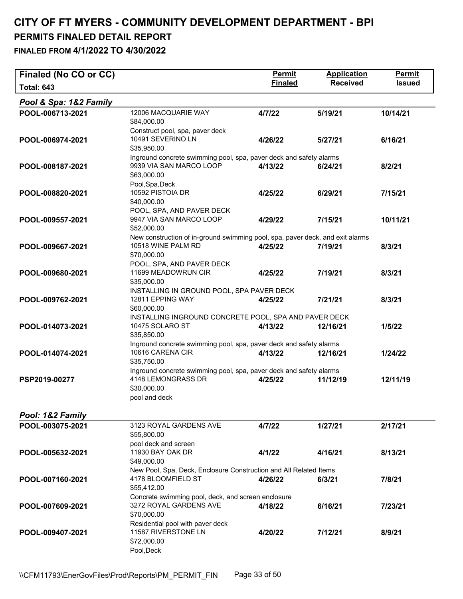| Finaled (No CO or CC)  |                                                                                                                          | <b>Permit</b>  | <b>Application</b> | Permit        |
|------------------------|--------------------------------------------------------------------------------------------------------------------------|----------------|--------------------|---------------|
| <b>Total: 643</b>      |                                                                                                                          | <b>Finaled</b> | <b>Received</b>    | <b>Issued</b> |
| Pool & Spa: 1&2 Family |                                                                                                                          |                |                    |               |
| POOL-006713-2021       | 12006 MACQUARIE WAY<br>\$84,000.00                                                                                       | 4/7/22         | 5/19/21            | 10/14/21      |
| POOL-006974-2021       | Construct pool, spa, paver deck<br>10491 SEVERINO LN<br>\$35,950.00                                                      | 4/26/22        | 5/27/21            | 6/16/21       |
| POOL-008187-2021       | Inground concrete swimming pool, spa, paver deck and safety alarms<br>9939 VIA SAN MARCO LOOP<br>\$63,000.00             | 4/13/22        | 6/24/21            | 8/2/21        |
| POOL-008820-2021       | Pool, Spa, Deck<br>10592 PISTOIA DR<br>\$40,000.00                                                                       | 4/25/22        | 6/29/21            | 7/15/21       |
| POOL-009557-2021       | POOL, SPA, AND PAVER DECK<br>9947 VIA SAN MARCO LOOP<br>\$52,000.00                                                      | 4/29/22        | 7/15/21            | 10/11/21      |
| POOL-009667-2021       | New construction of in-ground swimming pool, spa, paver deck, and exit alarms<br>10518 WINE PALM RD<br>\$70,000.00       | 4/25/22        | 7/19/21            | 8/3/21        |
| POOL-009680-2021       | POOL, SPA, AND PAVER DECK<br>11699 MEADOWRUN CIR<br>\$35,000.00                                                          | 4/25/22        | 7/19/21            | 8/3/21        |
| POOL-009762-2021       | INSTALLING IN GROUND POOL, SPA PAVER DECK<br>12811 EPPING WAY<br>\$60,000.00                                             | 4/25/22        | 7/21/21            | 8/3/21        |
| POOL-014073-2021       | INSTALLING INGROUND CONCRETE POOL, SPA AND PAVER DECK<br>10475 SOLARO ST<br>\$35,850.00                                  | 4/13/22        | 12/16/21           | 1/5/22        |
| POOL-014074-2021       | Inground concrete swimming pool, spa, paver deck and safety alarms<br>10616 CARENA CIR<br>\$35,750.00                    | 4/13/22        | 12/16/21           | 1/24/22       |
| PSP2019-00277          | Inground concrete swimming pool, spa, paver deck and safety alarms<br>4148 LEMONGRASS DR<br>\$30,000.00<br>pool and deck | 4/25/22        | 11/12/19           | 12/11/19      |
| Pool: 1&2 Family       |                                                                                                                          |                |                    |               |
| POOL-003075-2021       | 3123 ROYAL GARDENS AVE<br>\$55,800.00                                                                                    | 4/7/22         | 1/27/21            | 2/17/21       |
| POOL-005632-2021       | pool deck and screen<br>11930 BAY OAK DR<br>\$49,000.00                                                                  | 4/1/22         | 4/16/21            | 8/13/21       |
| POOL-007160-2021       | New Pool, Spa, Deck, Enclosure Construction and All Related Items<br>4178 BLOOMFIELD ST<br>\$55,412.00                   | 4/26/22        | 6/3/21             | 7/8/21        |
| POOL-007609-2021       | Concrete swimming pool, deck, and screen enclosure<br>3272 ROYAL GARDENS AVE<br>\$70,000.00                              | 4/18/22        | 6/16/21            | 7/23/21       |
| POOL-009407-2021       | Residential pool with paver deck<br>11587 RIVERSTONE LN<br>\$72,000.00<br>Pool, Deck                                     | 4/20/22        | 7/12/21            | 8/9/21        |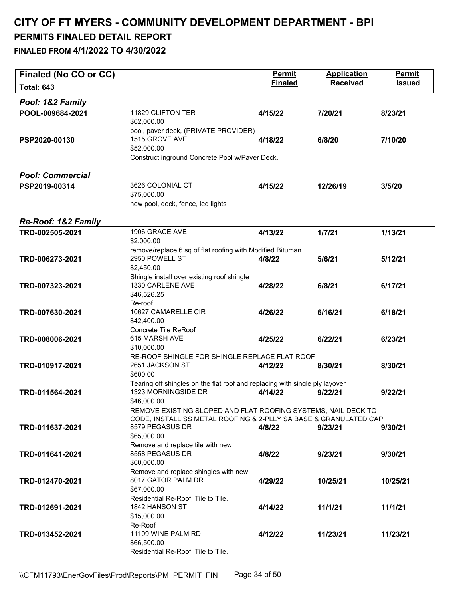| Finaled (No CO or CC)          |                                                                                         | <b>Permit</b>  | <b>Application</b> | <b>Permit</b> |
|--------------------------------|-----------------------------------------------------------------------------------------|----------------|--------------------|---------------|
| <b>Total: 643</b>              |                                                                                         | <b>Finaled</b> | <b>Received</b>    | <b>Issued</b> |
| Pool: 1&2 Family               |                                                                                         |                |                    |               |
| POOL-009684-2021               | 11829 CLIFTON TER<br>\$62,000.00                                                        | 4/15/22        | 7/20/21            | 8/23/21       |
| PSP2020-00130                  | pool, paver deck, (PRIVATE PROVIDER)<br>1515 GROVE AVE<br>\$52,000.00                   | 4/18/22        | 6/8/20             | 7/10/20       |
|                                | Construct inground Concrete Pool w/Paver Deck.                                          |                |                    |               |
| <b>Pool: Commercial</b>        |                                                                                         |                |                    |               |
| PSP2019-00314                  | 3626 COLONIAL CT                                                                        | 4/15/22        | 12/26/19           | 3/5/20        |
|                                | \$75,000.00                                                                             |                |                    |               |
|                                | new pool, deck, fence, led lights                                                       |                |                    |               |
| <b>Re-Roof: 1&amp;2 Family</b> |                                                                                         |                |                    |               |
| TRD-002505-2021                | 1906 GRACE AVE                                                                          | 4/13/22        | 1/7/21             | 1/13/21       |
|                                | \$2,000.00                                                                              |                |                    |               |
|                                | remove/replace 6 sq of flat roofing with Modified Bituman                               |                |                    |               |
| TRD-006273-2021                | 2950 POWELL ST                                                                          | 4/8/22         | 5/6/21             | 5/12/21       |
|                                | \$2,450.00<br>Shingle install over existing roof shingle                                |                |                    |               |
| TRD-007323-2021                | 1330 CARLENE AVE                                                                        | 4/28/22        | 6/8/21             | 6/17/21       |
|                                | \$46,526.25                                                                             |                |                    |               |
|                                | Re-roof                                                                                 |                |                    |               |
| TRD-007630-2021                | 10627 CAMARELLE CIR                                                                     | 4/26/22        | 6/16/21            | 6/18/21       |
|                                | \$42,400.00<br><b>Concrete Tile ReRoof</b>                                              |                |                    |               |
| TRD-008006-2021                | 615 MARSH AVE                                                                           | 4/25/22        | 6/22/21            | 6/23/21       |
|                                | \$10,000.00                                                                             |                |                    |               |
|                                | RE-ROOF SHINGLE FOR SHINGLE REPLACE FLAT ROOF                                           |                |                    |               |
| TRD-010917-2021                | 2651 JACKSON ST                                                                         | 4/12/22        | 8/30/21            | 8/30/21       |
|                                | \$600.00<br>Tearing off shingles on the flat roof and replacing with single ply layover |                |                    |               |
| TRD-011564-2021                | 1323 MORNINGSIDE DR                                                                     | 4/14/22        | 9/22/21            | 9/22/21       |
|                                | \$46,000.00                                                                             |                |                    |               |
|                                | REMOVE EXISTING SLOPED AND FLAT ROOFING SYSTEMS, NAIL DECK TO                           |                |                    |               |
| TRD-011637-2021                | CODE, INSTALL SS METAL ROOFING & 2-PLLY SA BASE & GRANULATED CAP<br>8579 PEGASUS DR     | 4/8/22         | 9/23/21            | 9/30/21       |
|                                | \$65,000.00                                                                             |                |                    |               |
|                                | Remove and replace tile with new                                                        |                |                    |               |
| TRD-011641-2021                | 8558 PEGASUS DR                                                                         | 4/8/22         | 9/23/21            | 9/30/21       |
|                                | \$60,000.00                                                                             |                |                    |               |
| TRD-012470-2021                | Remove and replace shingles with new.<br>8017 GATOR PALM DR                             | 4/29/22        | 10/25/21           | 10/25/21      |
|                                | \$67,000.00                                                                             |                |                    |               |
|                                | Residential Re-Roof, Tile to Tile.                                                      |                |                    |               |
| TRD-012691-2021                | 1842 HANSON ST                                                                          | 4/14/22        | 11/1/21            | 11/1/21       |
|                                | \$15,000.00                                                                             |                |                    |               |
| TRD-013452-2021                | Re-Roof<br>11109 WINE PALM RD                                                           | 4/12/22        | 11/23/21           | 11/23/21      |
|                                | \$66,500.00                                                                             |                |                    |               |
|                                | Residential Re-Roof, Tile to Tile.                                                      |                |                    |               |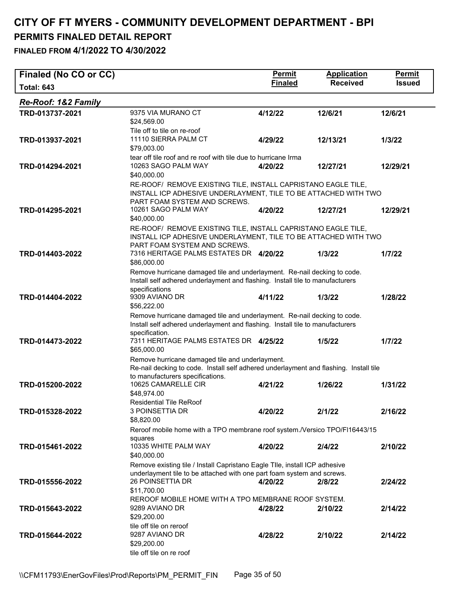| Finaled (No CO or CC) |                                                                                                                                                                                                            | <b>Permit</b>  | <b>Application</b> | <b>Permit</b> |
|-----------------------|------------------------------------------------------------------------------------------------------------------------------------------------------------------------------------------------------------|----------------|--------------------|---------------|
| <b>Total: 643</b>     |                                                                                                                                                                                                            | <b>Finaled</b> | <b>Received</b>    | <b>Issued</b> |
| Re-Roof: 1&2 Family   |                                                                                                                                                                                                            |                |                    |               |
| TRD-013737-2021       | 9375 VIA MURANO CT<br>\$24,569.00                                                                                                                                                                          | 4/12/22        | 12/6/21            | 12/6/21       |
| TRD-013937-2021       | Tile off to tile on re-roof<br>11110 SIERRA PALM CT<br>\$79,003.00                                                                                                                                         | 4/29/22        | 12/13/21           | 1/3/22        |
| TRD-014294-2021       | tear off tile roof and re roof with tile due to hurricane Irma<br>10263 SAGO PALM WAY<br>\$40,000.00                                                                                                       | 4/20/22        | 12/27/21           | 12/29/21      |
| TRD-014295-2021       | RE-ROOF/ REMOVE EXISTING TILE, INSTALL CAPRISTANO EAGLE TILE,<br>INSTALL ICP ADHESIVE UNDERLAYMENT, TILE TO BE ATTACHED WITH TWO<br>PART FOAM SYSTEM AND SCREWS.<br>10261 SAGO PALM WAY                    | 4/20/22        | 12/27/21           | 12/29/21      |
|                       | \$40,000.00                                                                                                                                                                                                |                |                    |               |
| TRD-014403-2022       | RE-ROOF/ REMOVE EXISTING TILE, INSTALL CAPRISTANO EAGLE TILE,<br>INSTALL ICP ADHESIVE UNDERLAYMENT, TILE TO BE ATTACHED WITH TWO<br>PART FOAM SYSTEM AND SCREWS.<br>7316 HERITAGE PALMS ESTATES DR 4/20/22 |                | 1/3/22             | 1/7/22        |
|                       | \$86,000.00                                                                                                                                                                                                |                |                    |               |
|                       | Remove hurricane damaged tile and underlayment. Re-nail decking to code.<br>Install self adhered underlayment and flashing. Install tile to manufacturers<br>specifications                                |                |                    |               |
| TRD-014404-2022       | 9309 AVIANO DR<br>\$56,222.00                                                                                                                                                                              | 4/11/22        | 1/3/22             | 1/28/22       |
|                       | Remove hurricane damaged tile and underlayment. Re-nail decking to code.<br>Install self adhered underlayment and flashing. Install tile to manufacturers<br>specification.                                |                |                    |               |
| TRD-014473-2022       | 7311 HERITAGE PALMS ESTATES DR 4/25/22<br>\$65,000.00                                                                                                                                                      |                | 1/5/22             | 1/7/22        |
|                       | Remove hurricane damaged tile and underlayment.<br>Re-nail decking to code. Install self adhered underlayment and flashing. Install tile<br>to manufacturers specifications.                               |                |                    |               |
| TRD-015200-2022       | 10625 CAMARELLE CIR<br>\$48,974.00                                                                                                                                                                         | 4/21/22        | 1/26/22            | 1/31/22       |
| TRD-015328-2022       | <b>Residential Tile ReRoof</b><br>3 POINSETTIA DR<br>\$8,820.00                                                                                                                                            | 4/20/22        | 2/1/22             | 2/16/22       |
|                       | Reroof mobile home with a TPO membrane roof system./Versico TPO/FI16443/15                                                                                                                                 |                |                    |               |
| TRD-015461-2022       | squares<br>10335 WHITE PALM WAY<br>\$40,000.00                                                                                                                                                             | 4/20/22        | 2/4/22             | 2/10/22       |
|                       | Remove existing tile / Install Capristano Eagle Tlle, install ICP adhesive                                                                                                                                 |                |                    |               |
| TRD-015556-2022       | underlayment tile to be attached with one part foam system and screws.<br>26 POINSETTIA DR<br>\$11,700.00                                                                                                  | 4/20/22        | 2/8/22             | 2/24/22       |
| TRD-015643-2022       | REROOF MOBILE HOME WITH A TPO MEMBRANE ROOF SYSTEM.<br>9289 AVIANO DR<br>\$29,200.00                                                                                                                       | 4/28/22        | 2/10/22            | 2/14/22       |
| TRD-015644-2022       | tile off tile on reroof<br>9287 AVIANO DR<br>\$29,200.00<br>tile off tile on re roof                                                                                                                       | 4/28/22        | 2/10/22            | 2/14/22       |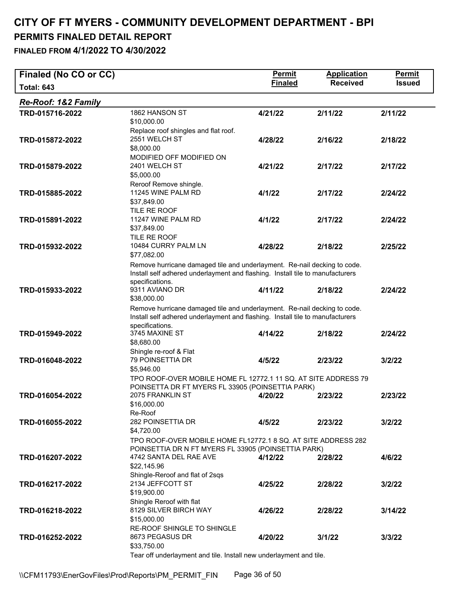| Finaled (No CO or CC)          |                                                                               | <b>Permit</b>  | <b>Application</b> | Permit        |
|--------------------------------|-------------------------------------------------------------------------------|----------------|--------------------|---------------|
| <b>Total: 643</b>              |                                                                               | <b>Finaled</b> | <b>Received</b>    | <b>Issued</b> |
| <b>Re-Roof: 1&amp;2 Family</b> |                                                                               |                |                    |               |
| TRD-015716-2022                | 1862 HANSON ST                                                                | 4/21/22        | 2/11/22            | 2/11/22       |
|                                | \$10,000.00                                                                   |                |                    |               |
|                                | Replace roof shingles and flat roof.                                          |                |                    |               |
| TRD-015872-2022                | 2551 WELCH ST<br>\$8,000.00                                                   | 4/28/22        | 2/16/22            | 2/18/22       |
|                                | MODIFIED OFF MODIFIED ON                                                      |                |                    |               |
| TRD-015879-2022                | 2401 WELCH ST                                                                 | 4/21/22        | 2/17/22            | 2/17/22       |
|                                | \$5,000.00                                                                    |                |                    |               |
|                                | Reroof Remove shingle.                                                        |                |                    |               |
| TRD-015885-2022                | 11245 WINE PALM RD                                                            | 4/1/22         | 2/17/22            | 2/24/22       |
|                                | \$37,849.00                                                                   |                |                    |               |
|                                | TILE RE ROOF                                                                  |                |                    |               |
| TRD-015891-2022                | 11247 WINE PALM RD<br>\$37,849.00                                             | 4/1/22         | 2/17/22            | 2/24/22       |
|                                | TILE RE ROOF                                                                  |                |                    |               |
| TRD-015932-2022                | 10484 CURRY PALM LN                                                           | 4/28/22        | 2/18/22            | 2/25/22       |
|                                | \$77,082.00                                                                   |                |                    |               |
|                                | Remove hurricane damaged tile and underlayment. Re-nail decking to code.      |                |                    |               |
|                                | Install self adhered underlayment and flashing. Install tile to manufacturers |                |                    |               |
|                                | specifications.                                                               |                |                    |               |
| TRD-015933-2022                | 9311 AVIANO DR<br>\$38,000.00                                                 | 4/11/22        | 2/18/22            | 2/24/22       |
|                                | Remove hurricane damaged tile and underlayment. Re-nail decking to code.      |                |                    |               |
|                                | Install self adhered underlayment and flashing. Install tile to manufacturers |                |                    |               |
|                                | specifications.                                                               |                |                    |               |
| TRD-015949-2022                | 3745 MAXINE ST                                                                | 4/14/22        | 2/18/22            | 2/24/22       |
|                                | \$8,680.00                                                                    |                |                    |               |
| TRD-016048-2022                | Shingle re-roof & Flat<br>79 POINSETTIA DR                                    | 4/5/22         | 2/23/22            | 3/2/22        |
|                                | \$5,946.00                                                                    |                |                    |               |
|                                | TPO ROOF-OVER MOBILE HOME FL 12772.1 11 SQ. AT SITE ADDRESS 79                |                |                    |               |
|                                | POINSETTA DR FT MYERS FL 33905 (POINSETTIA PARK)                              |                |                    |               |
| TRD-016054-2022                | 2075 FRANKLIN ST                                                              | 4/20/22        | 2/23/22            | 2/23/22       |
|                                | \$16,000.00                                                                   |                |                    |               |
|                                | Re-Roof<br>282 POINSETTIA DR                                                  |                |                    |               |
| TRD-016055-2022                | \$4,720.00                                                                    | 4/5/22         | 2/23/22            | 3/2/22        |
|                                | TPO ROOF-OVER MOBILE HOME FL12772.1 8 SQ. AT SITE ADDRESS 282                 |                |                    |               |
|                                | POINSETTIA DR N FT MYERS FL 33905 (POINSETTIA PARK)                           |                |                    |               |
| TRD-016207-2022                | 4742 SANTA DEL RAE AVE                                                        | 4/12/22        | 2/28/22            | 4/6/22        |
|                                | \$22,145.96                                                                   |                |                    |               |
|                                | Shingle-Reroof and flat of 2sqs                                               |                |                    |               |
| TRD-016217-2022                | 2134 JEFFCOTT ST<br>\$19,900.00                                               | 4/25/22        | 2/28/22            | 3/2/22        |
|                                | Shingle Reroof with flat                                                      |                |                    |               |
| TRD-016218-2022                | 8129 SILVER BIRCH WAY                                                         | 4/26/22        | 2/28/22            | 3/14/22       |
|                                | \$15,000.00                                                                   |                |                    |               |
|                                | RE-ROOF SHINGLE TO SHINGLE                                                    |                |                    |               |
| TRD-016252-2022                | 8673 PEGASUS DR                                                               | 4/20/22        | 3/1/22             | 3/3/22        |
|                                | \$33,750.00                                                                   |                |                    |               |
|                                | Tear off underlayment and tile. Install new underlayment and tile.            |                |                    |               |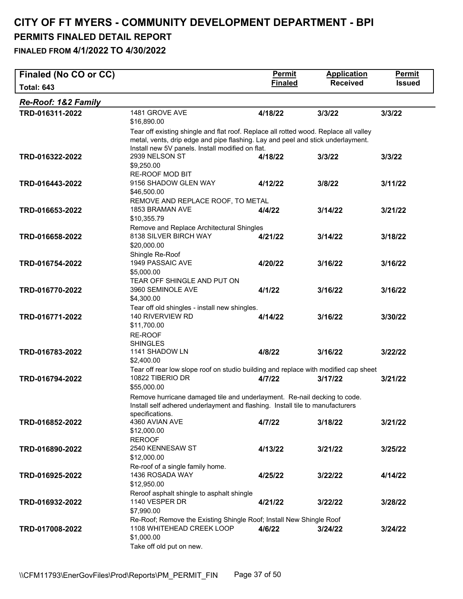| Finaled (No CO or CC)          |                                                                                                                                                                                                                             | <b>Permit</b>  | <b>Application</b> | <b>Permit</b> |  |
|--------------------------------|-----------------------------------------------------------------------------------------------------------------------------------------------------------------------------------------------------------------------------|----------------|--------------------|---------------|--|
| <b>Total: 643</b>              |                                                                                                                                                                                                                             | <b>Finaled</b> | <b>Received</b>    | <b>Issued</b> |  |
| <b>Re-Roof: 1&amp;2 Family</b> |                                                                                                                                                                                                                             |                |                    |               |  |
| TRD-016311-2022                | 1481 GROVE AVE<br>\$16,890.00                                                                                                                                                                                               | 4/18/22        | 3/3/22             | 3/3/22        |  |
|                                | Tear off existing shingle and flat roof. Replace all rotted wood. Replace all valley<br>metal, vents, drip edge and pipe flashing. Lay and peel and stick underlayment.<br>Install new 5V panels. Install modified on flat. |                |                    |               |  |
| TRD-016322-2022                | 2939 NELSON ST<br>\$9,250.00                                                                                                                                                                                                | 4/18/22        | 3/3/22             | 3/3/22        |  |
| TRD-016443-2022                | <b>RE-ROOF MOD BIT</b><br>9156 SHADOW GLEN WAY<br>\$46,500.00                                                                                                                                                               | 4/12/22        | 3/8/22             | 3/11/22       |  |
| TRD-016653-2022                | REMOVE AND REPLACE ROOF, TO METAL<br>1853 BRAMAN AVE<br>\$10,355.79                                                                                                                                                         | 4/4/22         | 3/14/22            | 3/21/22       |  |
| TRD-016658-2022                | Remove and Replace Architectural Shingles<br>8138 SILVER BIRCH WAY<br>\$20,000.00                                                                                                                                           | 4/21/22        | 3/14/22            | 3/18/22       |  |
| TRD-016754-2022                | Shingle Re-Roof<br>1949 PASSAIC AVE<br>\$5,000.00                                                                                                                                                                           | 4/20/22        | 3/16/22            | 3/16/22       |  |
| TRD-016770-2022                | TEAR OFF SHINGLE AND PUT ON<br>3960 SEMINOLE AVE<br>\$4,300.00                                                                                                                                                              | 4/1/22         | 3/16/22            | 3/16/22       |  |
| TRD-016771-2022                | Tear off old shingles - install new shingles.<br>140 RIVERVIEW RD<br>\$11,700.00<br>RE-ROOF                                                                                                                                 | 4/14/22        | 3/16/22            | 3/30/22       |  |
| TRD-016783-2022                | <b>SHINGLES</b><br>1141 SHADOW LN<br>\$2,400.00                                                                                                                                                                             | 4/8/22         | 3/16/22            | 3/22/22       |  |
| TRD-016794-2022                | Tear off rear low slope roof on studio building and replace with modified cap sheet<br>10822 TIBERIO DR<br>\$55,000.00                                                                                                      | 4/7/22         | 3/17/22            | 3/21/22       |  |
|                                | Remove hurricane damaged tile and underlayment. Re-nail decking to code.<br>Install self adhered underlayment and flashing. Install tile to manufacturers                                                                   |                |                    |               |  |
| TRD-016852-2022                | specifications.<br>4360 AVIAN AVE<br>\$12,000.00<br><b>REROOF</b>                                                                                                                                                           | 4/7/22         | 3/18/22            | 3/21/22       |  |
| TRD-016890-2022                | 2540 KENNESAW ST<br>\$12,000.00                                                                                                                                                                                             | 4/13/22        | 3/21/22            | 3/25/22       |  |
| TRD-016925-2022                | Re-roof of a single family home.<br>1436 ROSADA WAY<br>\$12,950.00                                                                                                                                                          | 4/25/22        | 3/22/22            | 4/14/22       |  |
| TRD-016932-2022                | Reroof asphalt shingle to asphalt shingle<br>1140 VESPER DR<br>\$7,990.00                                                                                                                                                   | 4/21/22        | 3/22/22            | 3/28/22       |  |
| TRD-017008-2022                | Re-Roof; Remove the Existing Shingle Roof; Install New Shingle Roof<br>1108 WHITEHEAD CREEK LOOP<br>\$1,000.00<br>Take off old put on new.                                                                                  | 4/6/22         | 3/24/22            | 3/24/22       |  |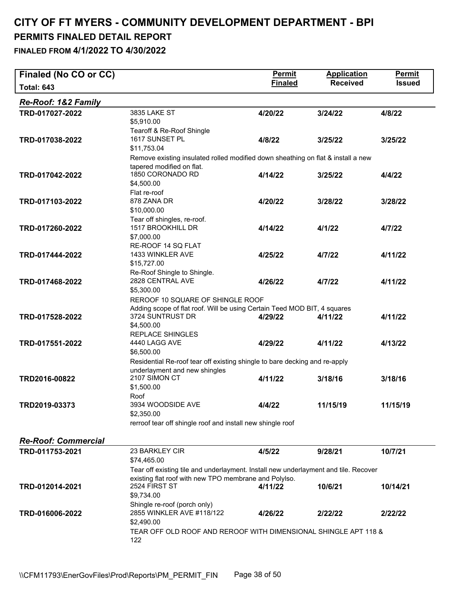| Finaled (No CO or CC)          |                                                                                                               | <b>Permit</b>  | <b>Application</b> | <b>Permit</b> |
|--------------------------------|---------------------------------------------------------------------------------------------------------------|----------------|--------------------|---------------|
| <b>Total: 643</b>              |                                                                                                               | <b>Finaled</b> | <b>Received</b>    | <b>Issued</b> |
| <b>Re-Roof: 1&amp;2 Family</b> |                                                                                                               |                |                    |               |
| TRD-017027-2022                | 3835 LAKE ST                                                                                                  | 4/20/22        | 3/24/22            | 4/8/22        |
|                                | \$5,910.00<br>Tearoff & Re-Roof Shingle                                                                       |                |                    |               |
| TRD-017038-2022                | 1617 SUNSET PL                                                                                                | 4/8/22         | 3/25/22            | 3/25/22       |
|                                | \$11,753.04                                                                                                   |                |                    |               |
|                                | Remove existing insulated rolled modified down sheathing on flat & install a new<br>tapered modified on flat. |                |                    |               |
| TRD-017042-2022                | 1850 CORONADO RD                                                                                              | 4/14/22        | 3/25/22            | 4/4/22        |
|                                | \$4,500.00                                                                                                    |                |                    |               |
|                                | Flat re-roof                                                                                                  |                |                    |               |
| TRD-017103-2022                | 878 ZANA DR                                                                                                   | 4/20/22        | 3/28/22            | 3/28/22       |
|                                | \$10,000.00                                                                                                   |                |                    |               |
|                                | Tear off shingles, re-roof.                                                                                   |                |                    |               |
| TRD-017260-2022                | 1517 BROOKHILL DR                                                                                             | 4/14/22        | 4/1/22             | 4/7/22        |
|                                | \$7,000.00                                                                                                    |                |                    |               |
|                                | RE-ROOF 14 SQ FLAT                                                                                            |                |                    |               |
|                                | 1433 WINKLER AVE                                                                                              |                | 4/7/22             |               |
| TRD-017444-2022                | \$15,727.00                                                                                                   | 4/25/22        |                    | 4/11/22       |
|                                |                                                                                                               |                |                    |               |
|                                | Re-Roof Shingle to Shingle.                                                                                   |                |                    |               |
| TRD-017468-2022                | 2828 CENTRAL AVE                                                                                              | 4/26/22        | 4/7/22             | 4/11/22       |
|                                | \$5,300.00                                                                                                    |                |                    |               |
|                                | REROOF 10 SQUARE OF SHINGLE ROOF                                                                              |                |                    |               |
|                                | Adding scope of flat roof. Will be using Certain Teed MOD BIT, 4 squares                                      |                |                    |               |
| TRD-017528-2022                | 3724 SUNTRUST DR                                                                                              | 4/29/22        | 4/11/22            | 4/11/22       |
|                                | \$4,500.00                                                                                                    |                |                    |               |
|                                | <b>REPLACE SHINGLES</b>                                                                                       |                |                    |               |
| TRD-017551-2022                | 4440 LAGG AVE                                                                                                 | 4/29/22        | 4/11/22            | 4/13/22       |
|                                | \$6,500.00                                                                                                    |                |                    |               |
|                                | Residential Re-roof tear off existing shingle to bare decking and re-apply                                    |                |                    |               |
|                                | underlayment and new shingles                                                                                 |                |                    |               |
| TRD2016-00822                  | 2107 SIMON CT                                                                                                 | 4/11/22        | 3/18/16            | 3/18/16       |
|                                | \$1,500.00                                                                                                    |                |                    |               |
|                                | Roof                                                                                                          |                |                    |               |
| TRD2019-03373                  | 3934 WOODSIDE AVE                                                                                             | 4/4/22         | 11/15/19           | 11/15/19      |
|                                | \$2,350.00                                                                                                    |                |                    |               |
|                                | rerroof tear off shingle roof and install new shingle roof                                                    |                |                    |               |
| <b>Re-Roof: Commercial</b>     |                                                                                                               |                |                    |               |
| TRD-011753-2021                | 23 BARKLEY CIR                                                                                                | 4/5/22         | 9/28/21            | 10/7/21       |
|                                | \$74,465.00                                                                                                   |                |                    |               |
|                                | Tear off existing tile and underlayment. Install new underlayment and tile. Recover                           |                |                    |               |
|                                | existing flat roof with new TPO membrane and Polylso.                                                         |                |                    |               |
| TRD-012014-2021                | 2524 FIRST ST                                                                                                 | 4/11/22        | 10/6/21            | 10/14/21      |
|                                | \$9,734.00                                                                                                    |                |                    |               |
|                                | Shingle re-roof (porch only)                                                                                  |                |                    |               |
| TRD-016006-2022                | 2855 WINKLER AVE #118/122                                                                                     | 4/26/22        | 2/22/22            | 2/22/22       |
|                                | \$2,490.00                                                                                                    |                |                    |               |
|                                |                                                                                                               |                |                    |               |
|                                | TEAR OFF OLD ROOF AND REROOF WITH DIMENSIONAL SHINGLE APT 118 &                                               |                |                    |               |
|                                | 122                                                                                                           |                |                    |               |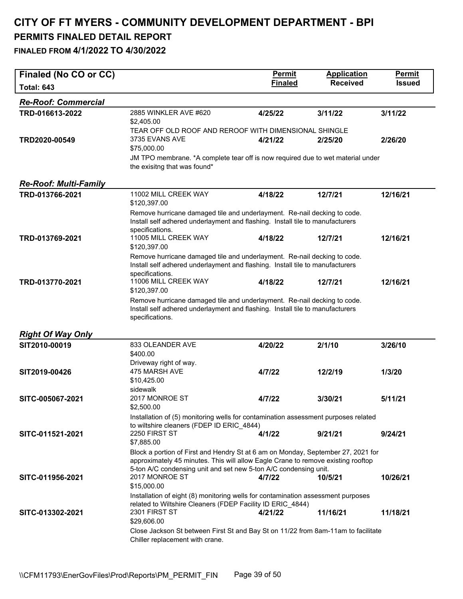| Finaled (No CO or CC)        |                                                                                                                                                                              | <b>Permit</b>  | <b>Application</b> | <b>Permit</b> |
|------------------------------|------------------------------------------------------------------------------------------------------------------------------------------------------------------------------|----------------|--------------------|---------------|
| <b>Total: 643</b>            |                                                                                                                                                                              | <b>Finaled</b> | <b>Received</b>    | <b>Issued</b> |
| <b>Re-Roof: Commercial</b>   |                                                                                                                                                                              |                |                    |               |
| TRD-016613-2022              | 2885 WINKLER AVE #620<br>\$2,405.00                                                                                                                                          | 4/25/22        | 3/11/22            | 3/11/22       |
|                              | TEAR OFF OLD ROOF AND REROOF WITH DIMENSIONAL SHINGLE                                                                                                                        |                |                    |               |
| TRD2020-00549                | 3735 EVANS AVE<br>\$75,000.00                                                                                                                                                | 4/21/22        | 2/25/20            | 2/26/20       |
|                              | JM TPO membrane. *A complete tear off is now required due to wet material under                                                                                              |                |                    |               |
|                              | the exisitng that was found*                                                                                                                                                 |                |                    |               |
| <b>Re-Roof: Multi-Family</b> |                                                                                                                                                                              |                |                    |               |
| TRD-013766-2021              | 11002 MILL CREEK WAY<br>\$120,397.00                                                                                                                                         | 4/18/22        | 12/7/21            | 12/16/21      |
|                              | Remove hurricane damaged tile and underlayment. Re-nail decking to code.<br>Install self adhered underlayment and flashing. Install tile to manufacturers                    |                |                    |               |
| TRD-013769-2021              | specifications.<br>11005 MILL CREEK WAY                                                                                                                                      | 4/18/22        | 12/7/21            | 12/16/21      |
|                              | \$120,397.00                                                                                                                                                                 |                |                    |               |
|                              | Remove hurricane damaged tile and underlayment. Re-nail decking to code.<br>Install self adhered underlayment and flashing. Install tile to manufacturers<br>specifications. |                |                    |               |
| TRD-013770-2021              | 11006 MILL CREEK WAY<br>\$120,397.00                                                                                                                                         | 4/18/22        | 12/7/21            | 12/16/21      |
|                              | Remove hurricane damaged tile and underlayment. Re-nail decking to code.<br>Install self adhered underlayment and flashing. Install tile to manufacturers                    |                |                    |               |
|                              | specifications.                                                                                                                                                              |                |                    |               |
| <b>Right Of Way Only</b>     |                                                                                                                                                                              |                |                    |               |
| SIT2010-00019                | 833 OLEANDER AVE                                                                                                                                                             | 4/20/22        | 2/1/10             | 3/26/10       |
|                              | \$400.00                                                                                                                                                                     |                |                    |               |
|                              | Driveway right of way.                                                                                                                                                       |                |                    |               |
| SIT2019-00426                | 475 MARSH AVE<br>\$10,425.00                                                                                                                                                 | 4/7/22         | 12/2/19            | 1/3/20        |
|                              | sidewalk                                                                                                                                                                     |                |                    |               |
| SITC-005067-2021             | 2017 MONROE ST<br>\$2,500.00                                                                                                                                                 | 4/7/22         | 3/30/21            | 5/11/21       |
|                              | Installation of (5) monitoring wells for contamination assessment purposes related                                                                                           |                |                    |               |
| SITC-011521-2021             | to wiltshire cleaners (FDEP ID ERIC 4844)<br>2250 FIRST ST                                                                                                                   | 4/1/22         | 9/21/21            | 9/24/21       |
|                              | \$7,885.00                                                                                                                                                                   |                |                    |               |
|                              | Block a portion of First and Hendry St at 6 am on Monday, September 27, 2021 for                                                                                             |                |                    |               |
|                              | approximately 45 minutes. This will allow Eagle Crane to remove existing rooftop<br>5-ton A/C condensing unit and set new 5-ton A/C condensing unit.                         |                |                    |               |
| SITC-011956-2021             | 2017 MONROE ST<br>\$15,000.00                                                                                                                                                | 4/7/22         | 10/5/21            | 10/26/21      |
|                              | Installation of eight (8) monitoring wells for contamination assessment purposes                                                                                             |                |                    |               |
| SITC-013302-2021             | related to Wiltshire Cleaners (FDEP Facility ID ERIC 4844)<br>2301 FIRST ST                                                                                                  | 4/21/22        | 11/16/21           | 11/18/21      |
|                              | \$29,606.00                                                                                                                                                                  |                |                    |               |
|                              | Close Jackson St between First St and Bay St on 11/22 from 8am-11am to facilitate<br>Chiller replacement with crane.                                                         |                |                    |               |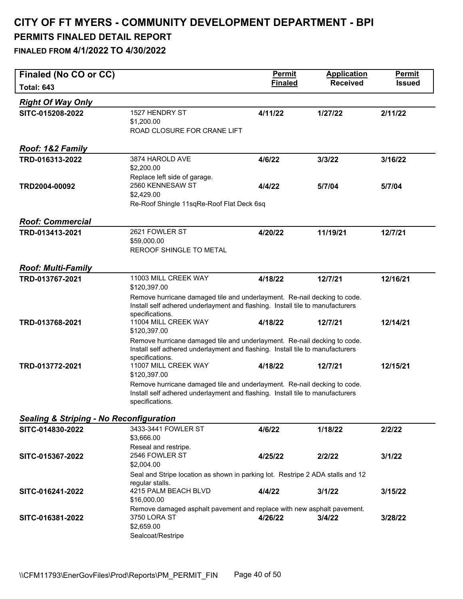| Finaled (No CO or CC)                              |                                                                                                                                                                              | <b>Permit</b>  | <b>Application</b> | <b>Permit</b> |
|----------------------------------------------------|------------------------------------------------------------------------------------------------------------------------------------------------------------------------------|----------------|--------------------|---------------|
| <b>Total: 643</b>                                  |                                                                                                                                                                              | <b>Finaled</b> | <b>Received</b>    | <b>Issued</b> |
| <b>Right Of Way Only</b>                           |                                                                                                                                                                              |                |                    |               |
| SITC-015208-2022                                   | 1527 HENDRY ST<br>\$1,200.00<br>ROAD CLOSURE FOR CRANE LIFT                                                                                                                  | 4/11/22        | 1/27/22            | 2/11/22       |
| Roof: 1&2 Family                                   |                                                                                                                                                                              |                |                    |               |
| TRD-016313-2022                                    | 3874 HAROLD AVE<br>\$2,200.00<br>Replace left side of garage.                                                                                                                | 4/6/22         | 3/3/22             | 3/16/22       |
| TRD2004-00092                                      | 2560 KENNESAW ST<br>\$2,429.00<br>Re-Roof Shingle 11sqRe-Roof Flat Deck 6sq                                                                                                  | 4/4/22         | 5/7/04             | 5/7/04        |
| <b>Roof: Commercial</b>                            |                                                                                                                                                                              |                |                    |               |
| TRD-013413-2021                                    | 2621 FOWLER ST<br>\$59,000.00<br>REROOF SHINGLE TO METAL                                                                                                                     | 4/20/22        | 11/19/21           | 12/7/21       |
| <b>Roof: Multi-Family</b>                          |                                                                                                                                                                              |                |                    |               |
| TRD-013767-2021                                    | 11003 MILL CREEK WAY<br>\$120,397.00                                                                                                                                         | 4/18/22        | 12/7/21            | 12/16/21      |
|                                                    | Remove hurricane damaged tile and underlayment. Re-nail decking to code.<br>Install self adhered underlayment and flashing. Install tile to manufacturers<br>specifications. |                |                    |               |
| TRD-013768-2021                                    | 11004 MILL CREEK WAY<br>\$120,397.00                                                                                                                                         | 4/18/22        | 12/7/21            | 12/14/21      |
|                                                    | Remove hurricane damaged tile and underlayment. Re-nail decking to code.<br>Install self adhered underlayment and flashing. Install tile to manufacturers                    |                |                    |               |
| TRD-013772-2021                                    | specifications.<br>11007 MILL CREEK WAY<br>\$120,397.00                                                                                                                      | 4/18/22        | 12/7/21            | 12/15/21      |
|                                                    | Remove hurricane damaged tile and underlayment. Re-nail decking to code.<br>Install self adhered underlayment and flashing. Install tile to manufacturers<br>specifications. |                |                    |               |
| <b>Sealing &amp; Striping - No Reconfiguration</b> |                                                                                                                                                                              |                |                    |               |
| SITC-014830-2022                                   | 3433-3441 FOWLER ST<br>\$3,666.00<br>Reseal and restripe.                                                                                                                    | 4/6/22         | 1/18/22            | 2/2/22        |
| SITC-015367-2022                                   | 2546 FOWLER ST<br>\$2,004.00                                                                                                                                                 | 4/25/22        | 2/2/22             | 3/1/22        |
|                                                    | Seal and Stripe location as shown in parking lot. Restripe 2 ADA stalls and 12<br>regular stalls.                                                                            |                |                    |               |
| SITC-016241-2022                                   | 4215 PALM BEACH BLVD<br>\$16,000.00                                                                                                                                          | 4/4/22         | 3/1/22             | 3/15/22       |
| SITC-016381-2022                                   | Remove damaged asphalt pavement and replace with new asphalt pavement.<br>3750 LORA ST<br>\$2,659.00<br>Sealcoat/Restripe                                                    | 4/26/22        | 3/4/22             | 3/28/22       |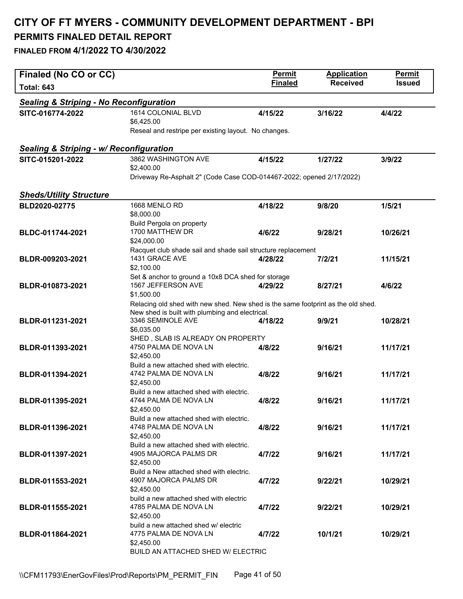| Finaled (No CO or CC)                              |                                                                                    | <b>Permit</b>  | <b>Application</b> | <b>Permit</b> |
|----------------------------------------------------|------------------------------------------------------------------------------------|----------------|--------------------|---------------|
| <b>Total: 643</b>                                  |                                                                                    | <b>Finaled</b> | <b>Received</b>    | <b>Issued</b> |
| <b>Sealing &amp; Striping - No Reconfiguration</b> |                                                                                    |                |                    |               |
| SITC-016774-2022                                   | 1614 COLONIAL BLVD<br>\$6,425.00                                                   | 4/15/22        | 3/16/22            | 4/4/22        |
|                                                    | Reseal and restripe per existing layout. No changes.                               |                |                    |               |
| Sealing & Striping - w/ Reconfiguration            |                                                                                    |                |                    |               |
| SITC-015201-2022                                   | 3862 WASHINGTON AVE                                                                | 4/15/22        | 1/27/22            | 3/9/22        |
|                                                    | \$2,400.00                                                                         |                |                    |               |
|                                                    | Driveway Re-Asphalt 2" (Code Case COD-014467-2022; opened 2/17/2022)               |                |                    |               |
| <b>Sheds/Utility Structure</b>                     |                                                                                    |                |                    |               |
| BLD2020-02775                                      | 1668 MENLO RD<br>\$8,000.00                                                        | 4/18/22        | 9/8/20             | 1/5/21        |
|                                                    | Build Pergola on property<br>1700 MATTHEW DR                                       |                |                    |               |
| BLDC-011744-2021                                   | \$24,000.00                                                                        | 4/6/22         | 9/28/21            | 10/26/21      |
|                                                    | Racquet club shade sail and shade sail structure replacement                       |                |                    |               |
| BLDR-009203-2021                                   | 1431 GRACE AVE                                                                     | 4/28/22        | 7/2/21             | 11/15/21      |
|                                                    | \$2,100.00<br>Set & anchor to ground a 10x8 DCA shed for storage                   |                |                    |               |
| BLDR-010873-2021                                   | 1567 JEFFERSON AVE                                                                 | 4/29/22        | 8/27/21            | 4/6/22        |
|                                                    | \$1,500.00                                                                         |                |                    |               |
|                                                    | Relacing old shed with new shed. New shed is the same footprint as the old shed.   |                |                    |               |
| BLDR-011231-2021                                   | New shed is built with plumbing and electrical.<br>3346 SEMINOLE AVE<br>\$6,035.00 | 4/18/22        | 9/9/21             | 10/28/21      |
|                                                    | SHED, SLAB IS ALREADY ON PROPERTY                                                  |                |                    |               |
| BLDR-011393-2021                                   | 4750 PALMA DE NOVA LN<br>\$2,450.00                                                | 4/8/22         | 9/16/21            | 11/17/21      |
|                                                    | Build a new attached shed with electric.                                           |                |                    |               |
| BLDR-011394-2021                                   | 4742 PALMA DE NOVA LN<br>\$2,450.00                                                | 4/8/22         | 9/16/21            | 11/17/21      |
|                                                    | Build a new attached shed with electric.                                           |                |                    |               |
| BLDR-011395-2021                                   | 4744 PALMA DE NOVA LN                                                              | 4/8/22         | 9/16/21            | 11/17/21      |
|                                                    | \$2,450.00<br>Build a new attached shed with electric.                             |                |                    |               |
| BLDR-011396-2021                                   | 4748 PALMA DE NOVA LN                                                              | 4/8/22         | 9/16/21            | 11/17/21      |
|                                                    | \$2,450.00                                                                         |                |                    |               |
|                                                    | Build a new attached shed with electric.<br>4905 MAJORCA PALMS DR                  |                |                    |               |
| BLDR-011397-2021                                   | \$2,450.00                                                                         | 4/7/22         | 9/16/21            | 11/17/21      |
|                                                    | Build a New attached shed with electric.                                           |                |                    |               |
| BLDR-011553-2021                                   | 4907 MAJORCA PALMS DR<br>\$2,450.00                                                | 4/7/22         | 9/22/21            | 10/29/21      |
|                                                    | build a new attached shed with electric                                            |                |                    |               |
| BLDR-011555-2021                                   | 4785 PALMA DE NOVA LN<br>\$2,450.00                                                | 4/7/22         | 9/22/21            | 10/29/21      |
|                                                    | build a new attached shed w/ electric                                              |                |                    |               |
| BLDR-011864-2021                                   | 4775 PALMA DE NOVA LN                                                              | 4/7/22         | 10/1/21            | 10/29/21      |
|                                                    | \$2,450.00                                                                         |                |                    |               |
|                                                    | BUILD AN ATTACHED SHED W/ ELECTRIC                                                 |                |                    |               |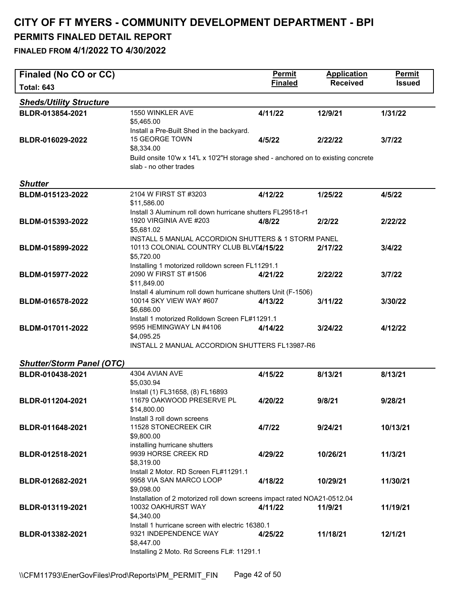| Finaled (No CO or CC)            |                                                                                                | <b>Permit</b>  | <b>Application</b> | Permit        |
|----------------------------------|------------------------------------------------------------------------------------------------|----------------|--------------------|---------------|
| <b>Total: 643</b>                |                                                                                                | <b>Finaled</b> | <b>Received</b>    | <b>Issued</b> |
| <b>Sheds/Utility Structure</b>   |                                                                                                |                |                    |               |
| BLDR-013854-2021                 | 1550 WINKLER AVE                                                                               | 4/11/22        | 12/9/21            |               |
|                                  | \$5,465.00                                                                                     |                |                    | 1/31/22       |
|                                  | Install a Pre-Built Shed in the backyard.                                                      |                |                    |               |
| BLDR-016029-2022                 | <b>15 GEORGE TOWN</b>                                                                          | 4/5/22         | 2/22/22            | 3/7/22        |
|                                  | \$8,334.00                                                                                     |                |                    |               |
|                                  | Build onsite 10'w x 14'L x 10'2"H storage shed - anchored on to existing concrete              |                |                    |               |
|                                  | slab - no other trades                                                                         |                |                    |               |
| <b>Shutter</b>                   |                                                                                                |                |                    |               |
| BLDM-015123-2022                 | 2104 W FIRST ST #3203                                                                          | 4/12/22        | 1/25/22            | 4/5/22        |
|                                  | \$11,586.00                                                                                    |                |                    |               |
|                                  | Install 3 Aluminum roll down hurricane shutters FL29518-r1                                     |                |                    |               |
| BLDM-015393-2022                 | 1920 VIRGINIA AVE #203                                                                         | 4/8/22         | 2/2/22             | 2/22/22       |
|                                  | \$5,681.02                                                                                     |                |                    |               |
| BLDM-015899-2022                 | INSTALL 5 MANUAL ACCORDION SHUTTERS & 1 STORM PANEL<br>10113 COLONIAL COUNTRY CLUB BLV[4/15/22 |                | 2/17/22            | 3/4/22        |
|                                  | \$5,720.00                                                                                     |                |                    |               |
|                                  | Installing 1 motorized rolldown screen FL11291.1                                               |                |                    |               |
| BLDM-015977-2022                 | 2090 W FIRST ST #1506                                                                          | 4/21/22        | 2/22/22            | 3/7/22        |
|                                  | \$11,849.00                                                                                    |                |                    |               |
|                                  | Install 4 aluminum roll down hurricane shutters Unit (F-1506)                                  |                |                    |               |
| BLDM-016578-2022                 | 10014 SKY VIEW WAY #607                                                                        | 4/13/22        | 3/11/22            | 3/30/22       |
|                                  | \$6,686.00<br>Install 1 motorized Rolldown Screen FL#11291.1                                   |                |                    |               |
| BLDM-017011-2022                 | 9595 HEMINGWAY LN #4106                                                                        | 4/14/22        | 3/24/22            | 4/12/22       |
|                                  | \$4,095.25                                                                                     |                |                    |               |
|                                  | INSTALL 2 MANUAL ACCORDION SHUTTERS FL13987-R6                                                 |                |                    |               |
|                                  |                                                                                                |                |                    |               |
| <b>Shutter/Storm Panel (OTC)</b> |                                                                                                |                |                    |               |
| BLDR-010438-2021                 | 4304 AVIAN AVE                                                                                 | 4/15/22        | 8/13/21            | 8/13/21       |
|                                  | \$5,030.94<br>Install (1) FL31658, (8) FL16893                                                 |                |                    |               |
| BLDR-011204-2021                 | 11679 OAKWOOD PRESERVE PL                                                                      | 4/20/22        | 9/8/21             | 9/28/21       |
|                                  | \$14,800.00                                                                                    |                |                    |               |
|                                  | Install 3 roll down screens                                                                    |                |                    |               |
| BLDR-011648-2021                 | 11528 STONECREEK CIR                                                                           | 4/7/22         | 9/24/21            | 10/13/21      |
|                                  | \$9,800.00                                                                                     |                |                    |               |
| BLDR-012518-2021                 | installing hurricane shutters<br>9939 HORSE CREEK RD                                           | 4/29/22        | 10/26/21           | 11/3/21       |
|                                  | \$8,319.00                                                                                     |                |                    |               |
|                                  | Install 2 Motor, RD Screen FL#11291.1                                                          |                |                    |               |
| BLDR-012682-2021                 | 9958 VIA SAN MARCO LOOP                                                                        | 4/18/22        | 10/29/21           | 11/30/21      |
|                                  | \$9,098.00                                                                                     |                |                    |               |
|                                  | Installation of 2 motorized roll down screens impact rated NOA21-0512.04                       |                |                    |               |
| BLDR-013119-2021                 | 10032 OAKHURST WAY                                                                             | 4/11/22        | 11/9/21            | 11/19/21      |
|                                  | \$4,340.00<br>Install 1 hurricane screen with electric 16380.1                                 |                |                    |               |
| BLDR-013382-2021                 | 9321 INDEPENDENCE WAY                                                                          | 4/25/22        | 11/18/21           | 12/1/21       |
|                                  | \$8,447.00                                                                                     |                |                    |               |
|                                  | Installing 2 Moto. Rd Screens FL#: 11291.1                                                     |                |                    |               |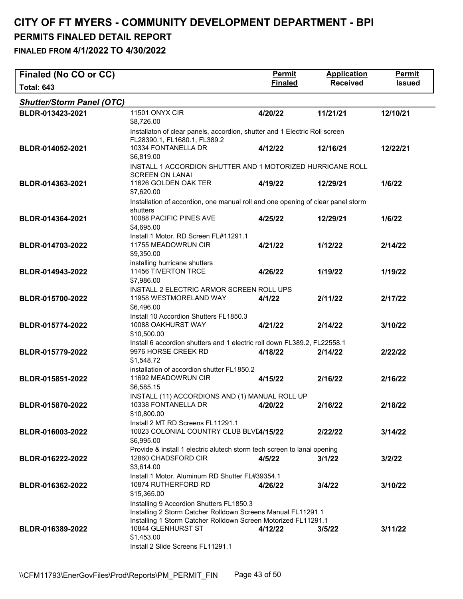| Finaled (No CO or CC)            |                                                                                                                                                                                                                                                     | <b>Permit</b>  | <b>Application</b> | Permit        |
|----------------------------------|-----------------------------------------------------------------------------------------------------------------------------------------------------------------------------------------------------------------------------------------------------|----------------|--------------------|---------------|
| <b>Total: 643</b>                |                                                                                                                                                                                                                                                     | <b>Finaled</b> | <b>Received</b>    | <b>Issued</b> |
| <b>Shutter/Storm Panel (OTC)</b> |                                                                                                                                                                                                                                                     |                |                    |               |
| BLDR-013423-2021                 | <b>11501 ONYX CIR</b><br>\$8,726.00                                                                                                                                                                                                                 | 4/20/22        | 11/21/21           | 12/10/21      |
| BLDR-014052-2021                 | Installaton of clear panels, accordion, shutter and 1 Electric Roll screen<br>FL28390.1, FL1680.1, FL389.2<br>10334 FONTANELLA DR<br>\$6,819.00                                                                                                     | 4/12/22        | 12/16/21           | 12/22/21      |
|                                  | INSTALL 1 ACCORDION SHUTTER AND 1 MOTORIZED HURRICANE ROLL<br><b>SCREEN ON LANAI</b>                                                                                                                                                                |                |                    |               |
| BLDR-014363-2021                 | 11626 GOLDEN OAK TER<br>\$7,620.00                                                                                                                                                                                                                  | 4/19/22        | 12/29/21           | 1/6/22        |
| BLDR-014364-2021                 | Installation of accordion, one manual roll and one opening of clear panel storm<br>shutters<br>10088 PACIFIC PINES AVE<br>\$4,695.00                                                                                                                | 4/25/22        | 12/29/21           | 1/6/22        |
| BLDR-014703-2022                 | Install 1 Motor. RD Screen FL#11291.1<br>11755 MEADOWRUN CIR<br>\$9,350.00                                                                                                                                                                          | 4/21/22        | 1/12/22            | 2/14/22       |
| BLDR-014943-2022                 | installing hurricane shutters<br>11456 TIVERTON TRCE<br>\$7,986.00                                                                                                                                                                                  | 4/26/22        | 1/19/22            | 1/19/22       |
| BLDR-015700-2022                 | INSTALL 2 ELECTRIC ARMOR SCREEN ROLL UPS<br>11958 WESTMORELAND WAY<br>\$6,496.00                                                                                                                                                                    | 4/1/22         | 2/11/22            | 2/17/22       |
| BLDR-015774-2022                 | Install 10 Accordion Shutters FL1850.3<br>10088 OAKHURST WAY<br>\$10,500.00                                                                                                                                                                         | 4/21/22        | 2/14/22            | 3/10/22       |
| BLDR-015779-2022                 | Install 6 accordion shutters and 1 electric roll down FL389.2, FL22558.1<br>9976 HORSE CREEK RD<br>\$1,548.72                                                                                                                                       | 4/18/22        | 2/14/22            | 2/22/22       |
| BLDR-015851-2022                 | installation of accordion shutter FL1850.2<br>11692 MEADOWRUN CIR<br>\$6,585.15                                                                                                                                                                     | 4/15/22        | 2/16/22            | 2/16/22       |
| BLDR-015870-2022                 | INSTALL (11) ACCORDIONS AND (1) MANUAL ROLL UP<br>10338 FONTANELLA DR<br>\$10,800.00                                                                                                                                                                | 4/20/22        | 2/16/22            | 2/18/22       |
| BLDR-016003-2022                 | Install 2 MT RD Screens FL11291.1<br>10023 COLONIAL COUNTRY CLUB BLV[4/15/22<br>\$6,995.00                                                                                                                                                          |                | 2/22/22            | 3/14/22       |
| BLDR-016222-2022                 | Provide & install 1 electric alutech storm tech screen to lanai opening<br>12860 CHADSFORD CIR<br>\$3,614.00                                                                                                                                        | 4/5/22         | 3/1/22             | 3/2/22        |
| BLDR-016362-2022                 | Install 1 Motor. Aluminum RD Shutter FL#39354.1<br>10874 RUTHERFORD RD<br>\$15,365.00                                                                                                                                                               | 4/26/22        | 3/4/22             | 3/10/22       |
| BLDR-016389-2022                 | Installing 9 Accordion Shutters FL1850.3<br>Installing 2 Storm Catcher Rolldown Screens Manual FL11291.1<br>Installing 1 Storm Catcher Rolldown Screen Motorized FL11291.1<br>10844 GLENHURST ST<br>\$1,453.00<br>Install 2 Slide Screens FL11291.1 | 4/12/22        | 3/5/22             | 3/11/22       |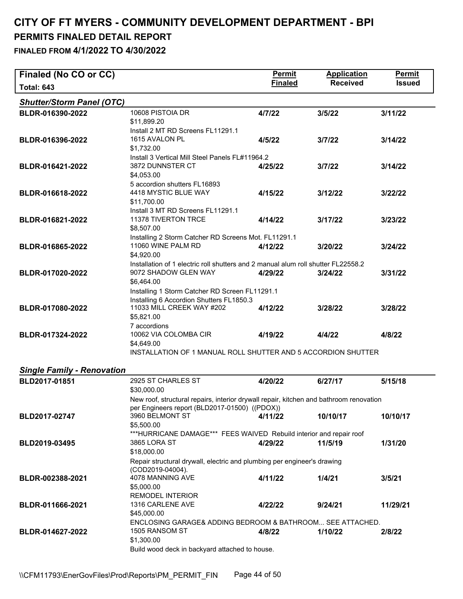| Finaled (No CO or CC)             |                                                                                                                                             | <b>Permit</b>  | <b>Application</b> | <b>Permit</b> |
|-----------------------------------|---------------------------------------------------------------------------------------------------------------------------------------------|----------------|--------------------|---------------|
| <b>Total: 643</b>                 |                                                                                                                                             | <b>Finaled</b> | <b>Received</b>    | <b>Issued</b> |
| <b>Shutter/Storm Panel (OTC)</b>  |                                                                                                                                             |                |                    |               |
| BLDR-016390-2022                  | 10608 PISTOIA DR<br>\$11,899.20                                                                                                             | 4/7/22         | 3/5/22             | 3/11/22       |
| BLDR-016396-2022                  | Install 2 MT RD Screens FL11291.1<br>1615 AVALON PL<br>\$1,732.00                                                                           | 4/5/22         | 3/7/22             | 3/14/22       |
| BLDR-016421-2022                  | Install 3 Vertical Mill Steel Panels FL#11964.2<br>3872 DUNNSTER CT<br>\$4,053.00                                                           | 4/25/22        | 3/7/22             | 3/14/22       |
| BLDR-016618-2022                  | 5 accordion shutters FL16893<br>4418 MYSTIC BLUE WAY<br>\$11,700.00                                                                         | 4/15/22        | 3/12/22            | 3/22/22       |
| BLDR-016821-2022                  | Install 3 MT RD Screens FL11291.1<br>11378 TIVERTON TRCE<br>\$8,507.00                                                                      | 4/14/22        | 3/17/22            | 3/23/22       |
| BLDR-016865-2022                  | Installing 2 Storm Catcher RD Screens Mot. FL11291.1<br>11060 WINE PALM RD<br>\$4,920.00                                                    | 4/12/22        | 3/20/22            | 3/24/22       |
| BLDR-017020-2022                  | Installation of 1 electric roll shutters and 2 manual alum roll shutter FL22558.2<br>9072 SHADOW GLEN WAY<br>\$6,464.00                     | 4/29/22        | 3/24/22            | 3/31/22       |
| BLDR-017080-2022                  | Installing 1 Storm Catcher RD Screen FL11291.1<br>Installing 6 Accordion Shutters FL1850.3<br>11033 MILL CREEK WAY #202<br>\$5,821.00       | 4/12/22        | 3/28/22            | 3/28/22       |
| BLDR-017324-2022                  | 7 accordions<br>10062 VIA COLOMBA CIR<br>\$4,649.00                                                                                         | 4/19/22        | 4/4/22             | 4/8/22        |
|                                   | INSTALLATION OF 1 MANUAL ROLL SHUTTER AND 5 ACCORDION SHUTTER                                                                               |                |                    |               |
| <b>Single Family - Renovation</b> |                                                                                                                                             |                |                    |               |
| BLD2017-01851                     | 2925 ST CHARLES ST<br>\$30,000.00                                                                                                           | 4/20/22        | 6/27/17            | 5/15/18       |
|                                   | New roof, structural repairs, interior drywall repair, kitchen and bathroom renovation                                                      |                |                    |               |
| BLD2017-02747                     | per Engineers report (BLD2017-01500) ((PDOX))<br>3960 BELMONT ST<br>\$5,500.00                                                              | 4/11/22        | 10/10/17           | 10/10/17      |
| BLD2019-03495                     | ***HURRICANE DAMAGE*** FEES WAIVED Rebuild interior and repair roof<br>3865 LORA ST<br>\$18,000.00                                          | 4/29/22        | 11/5/19            | 1/31/20       |
|                                   | Repair structural drywall, electric and plumbing per engineer's drawing<br>(COD2019-04004).                                                 |                |                    |               |
| BLDR-002388-2021                  | 4078 MANNING AVE<br>\$5,000.00                                                                                                              | 4/11/22        | 1/4/21             | 3/5/21        |
| BLDR-011666-2021                  | <b>REMODEL INTERIOR</b><br>1316 CARLENE AVE<br>\$45,000.00                                                                                  | 4/22/22        | 9/24/21            | 11/29/21      |
| BLDR-014627-2022                  | ENCLOSING GARAGE& ADDING BEDROOM & BATHROOM SEE ATTACHED.<br>1505 RANSOM ST<br>\$1,300.00<br>Build wood deck in backyard attached to house. | 4/8/22         | 1/10/22            | 2/8/22        |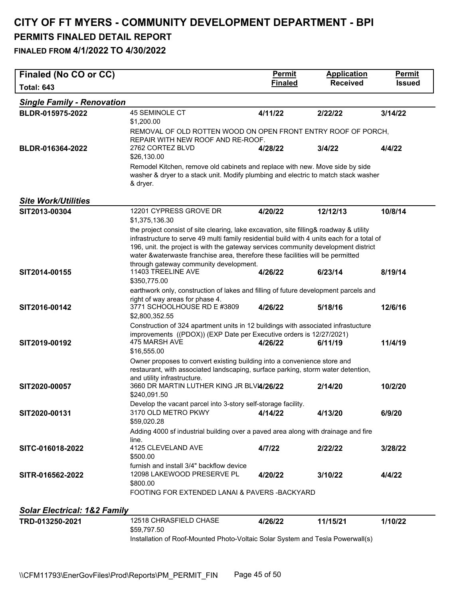**FINALED FROM 4/1/2022 TO 4/30/2022** 

| Finaled (No CO or CC)                   |                                                                                                                                                                                                                                                                                                                                                              | <b>Permit</b>  | <b>Application</b> | <b>Permit</b> |
|-----------------------------------------|--------------------------------------------------------------------------------------------------------------------------------------------------------------------------------------------------------------------------------------------------------------------------------------------------------------------------------------------------------------|----------------|--------------------|---------------|
| <b>Total: 643</b>                       |                                                                                                                                                                                                                                                                                                                                                              | <b>Finaled</b> | <b>Received</b>    | <b>Issued</b> |
| <b>Single Family - Renovation</b>       |                                                                                                                                                                                                                                                                                                                                                              |                |                    |               |
| BLDR-015975-2022                        | <b>45 SEMINOLE CT</b>                                                                                                                                                                                                                                                                                                                                        | 4/11/22        | 2/22/22            | 3/14/22       |
|                                         | \$1,200.00                                                                                                                                                                                                                                                                                                                                                   |                |                    |               |
|                                         | REMOVAL OF OLD ROTTEN WOOD ON OPEN FRONT ENTRY ROOF OF PORCH,<br>REPAIR WITH NEW ROOF AND RE-ROOF.                                                                                                                                                                                                                                                           |                |                    |               |
| BLDR-016364-2022                        | 2762 CORTEZ BLVD<br>\$26,130.00                                                                                                                                                                                                                                                                                                                              | 4/28/22        | 3/4/22             | 4/4/22        |
|                                         | Remodel Kitchen, remove old cabinets and replace with new. Move side by side<br>washer & dryer to a stack unit. Modify plumbing and electric to match stack washer<br>& dryer.                                                                                                                                                                               |                |                    |               |
| <b>Site Work/Utilities</b>              |                                                                                                                                                                                                                                                                                                                                                              |                |                    |               |
| SIT2013-00304                           | 12201 CYPRESS GROVE DR<br>\$1,375,136.30                                                                                                                                                                                                                                                                                                                     | 4/20/22        | 12/12/13           | 10/8/14       |
|                                         | the project consist of site clearing, lake excavation, site filling& roadway & utility<br>infrastructure to serve 49 multi family residential build with 4 units each for a total of<br>196, unit. the project is with the gateway services community development district<br>water &waterwaste franchise area, therefore these facilities will be permitted |                |                    |               |
| SIT2014-00155                           | through gateway community development.<br>11403 TREELINE AVE<br>\$350,775.00                                                                                                                                                                                                                                                                                 | 4/26/22        | 6/23/14            | 8/19/14       |
| SIT2016-00142                           | earthwork only, construction of lakes and filling of future development parcels and<br>right of way areas for phase 4.<br>3771 SCHOOLHOUSE RD E #3809<br>\$2,800,352.55                                                                                                                                                                                      | 4/26/22        | 5/18/16            | 12/6/16       |
| SIT2019-00192                           | Construction of 324 apartment units in 12 buildings with associated infrastucture<br>improvements ((PDOX)) (EXP Date per Executive orders is 12/27/2021)<br>475 MARSH AVE<br>\$16,555.00                                                                                                                                                                     | 4/26/22        | 6/11/19            | 11/4/19       |
|                                         | Owner proposes to convert existing building into a convenience store and<br>restaurant, with associated landscaping, surface parking, storm water detention,<br>and utility infrastructure.                                                                                                                                                                  |                |                    |               |
| SIT2020-00057                           | 3660 DR MARTIN LUTHER KING JR BLVI4/26/22<br>\$240,091.50                                                                                                                                                                                                                                                                                                    |                | 2/14/20            | 10/2/20       |
| SIT2020-00131                           | Develop the vacant parcel into 3-story self-storage facility.<br>3170 OLD METRO PKWY<br>\$59,020.28                                                                                                                                                                                                                                                          | 4/14/22        | 4/13/20            | 6/9/20        |
|                                         | Adding 4000 sf industrial building over a paved area along with drainage and fire<br>line.                                                                                                                                                                                                                                                                   |                |                    |               |
| SITC-016018-2022                        | 4125 CLEVELAND AVE<br>\$500.00                                                                                                                                                                                                                                                                                                                               | 4/7/22         | 2/22/22            | 3/28/22       |
| SITR-016562-2022                        | furnish and install 3/4" backflow device<br>12098 LAKEWOOD PRESERVE PL<br>\$800.00                                                                                                                                                                                                                                                                           | 4/20/22        | 3/10/22            | 4/4/22        |
|                                         | FOOTING FOR EXTENDED LANAI & PAVERS-BACKYARD                                                                                                                                                                                                                                                                                                                 |                |                    |               |
| <b>Solar Electrical: 1&amp;2 Family</b> |                                                                                                                                                                                                                                                                                                                                                              |                |                    |               |
| TRD-013250-2021                         | 12518 CHRASFIELD CHASE<br>\$59,797.50                                                                                                                                                                                                                                                                                                                        | 4/26/22        | 11/15/21           | 1/10/22       |

Installation of Roof-Mounted Photo-Voltaic Solar System and Tesla Powerwall(s)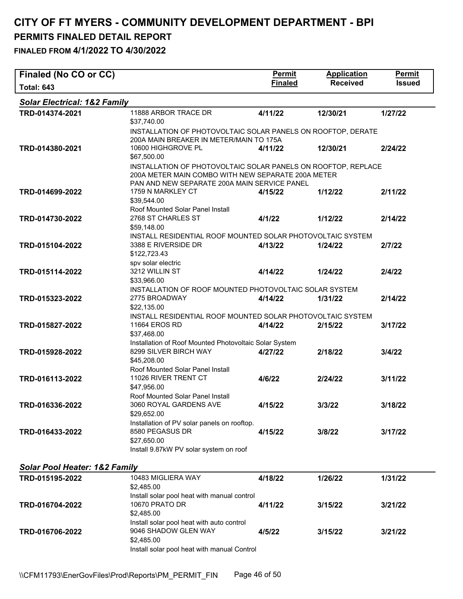| Finaled (No CO or CC)                                       |                                                                                                                                                                     | <b>Permit</b>  | <b>Application</b> | <b>Permit</b> |
|-------------------------------------------------------------|---------------------------------------------------------------------------------------------------------------------------------------------------------------------|----------------|--------------------|---------------|
| <b>Total: 643</b>                                           |                                                                                                                                                                     | <b>Finaled</b> | <b>Received</b>    | <b>Issued</b> |
| <b>Solar Electrical: 1&amp;2 Family</b>                     |                                                                                                                                                                     |                |                    |               |
| TRD-014374-2021                                             | 11888 ARBOR TRACE DR<br>\$37,740.00                                                                                                                                 | 4/11/22        | 12/30/21           | 1/27/22       |
| TRD-014380-2021                                             | INSTALLATION OF PHOTOVOLTAIC SOLAR PANELS ON ROOFTOP, DERATE<br>200A MAIN BREAKER IN METER/MAIN TO 175A<br>10600 HIGHGROVE PL<br>\$67,500.00                        | 4/11/22        | 12/30/21           | 2/24/22       |
|                                                             | INSTALLATION OF PHOTOVOLTAIC SOLAR PANELS ON ROOFTOP, REPLACE<br>200A METER MAIN COMBO WITH NEW SEPARATE 200A METER<br>PAN AND NEW SEPARATE 200A MAIN SERVICE PANEL |                |                    |               |
| TRD-014699-2022                                             | 1759 N MARKLEY CT<br>\$39,544.00<br>Roof Mounted Solar Panel Install                                                                                                | 4/15/22        | 1/12/22            | 2/11/22       |
| TRD-014730-2022                                             | 2768 ST CHARLES ST<br>\$59,148.00                                                                                                                                   | 4/1/22         | 1/12/22            | 2/14/22       |
| TRD-015104-2022                                             | INSTALL RESIDENTIAL ROOF MOUNTED SOLAR PHOTOVOLTAIC SYSTEM<br>3388 E RIVERSIDE DR<br>\$122,723.43                                                                   | 4/13/22        | 1/24/22            | 2/7/22        |
| TRD-015114-2022                                             | spv solar electric<br>3212 WILLIN ST<br>\$33,966.00                                                                                                                 | 4/14/22        | 1/24/22            | 2/4/22        |
| TRD-015323-2022                                             | INSTALLATION OF ROOF MOUNTED PHOTOVOLTAIC SOLAR SYSTEM<br>2775 BROADWAY<br>\$22,135.00                                                                              | 4/14/22        | 1/31/22            | 2/14/22       |
| TRD-015827-2022                                             | INSTALL RESIDENTIAL ROOF MOUNTED SOLAR PHOTOVOLTAIC SYSTEM<br>11664 EROS RD<br>\$37,468.00                                                                          | 4/14/22        | 2/15/22            | 3/17/22       |
| TRD-015928-2022                                             | Installation of Roof Mounted Photovoltaic Solar System<br>8299 SILVER BIRCH WAY<br>\$45,208.00<br>Roof Mounted Solar Panel Install                                  | 4/27/22        | 2/18/22            | 3/4/22        |
| TRD-016113-2022                                             | 11026 RIVER TRENT CT<br>\$47,956.00<br>Roof Mounted Solar Panel Install                                                                                             | 4/6/22         | 2/24/22            | 3/11/22       |
| TRD-016336-2022                                             | 3060 ROYAL GARDENS AVE<br>\$29,652.00                                                                                                                               | 4/15/22        | 3/3/22             | 3/18/22       |
| TRD-016433-2022                                             | Installation of PV solar panels on rooftop.<br>8580 PEGASUS DR<br>\$27.650.00                                                                                       | 4/15/22        | 3/8/22             | 3/17/22       |
|                                                             | Install 9.87kW PV solar system on roof                                                                                                                              |                |                    |               |
| <b>Solar Pool Heater: 1&amp;2 Family</b><br>TRD-015195-2022 | 10483 MIGLIERA WAY                                                                                                                                                  | 4/18/22        | 1/26/22            | 1/31/22       |
|                                                             | \$2,485.00                                                                                                                                                          |                |                    |               |
| TRD-016704-2022                                             | Install solar pool heat with manual control<br>10670 PRATO DR<br>\$2,485.00                                                                                         | 4/11/22        | 3/15/22            | 3/21/22       |
| TRD-016706-2022                                             | Install solar pool heat with auto control<br>9046 SHADOW GLEN WAY<br>\$2,485.00<br>Install solar pool heat with manual Control                                      | 4/5/22         | 3/15/22            | 3/21/22       |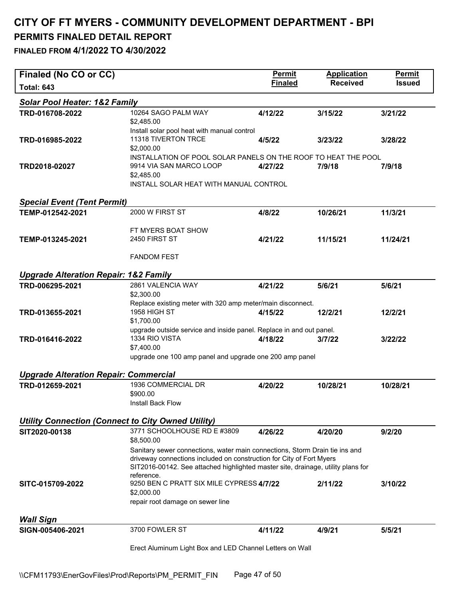| Finaled (No CO or CC)                                     |                                                                                                                                                          | Permit         | <b>Application</b> | <b>Permit</b> |
|-----------------------------------------------------------|----------------------------------------------------------------------------------------------------------------------------------------------------------|----------------|--------------------|---------------|
| <b>Total: 643</b>                                         |                                                                                                                                                          | <b>Finaled</b> | <b>Received</b>    | <b>Issued</b> |
| <b>Solar Pool Heater: 1&amp;2 Family</b>                  |                                                                                                                                                          |                |                    |               |
| TRD-016708-2022                                           | 10264 SAGO PALM WAY<br>\$2,485.00<br>Install solar pool heat with manual control                                                                         | 4/12/22        | 3/15/22            | 3/21/22       |
| TRD-016985-2022                                           | 11318 TIVERTON TRCE<br>\$2,000.00                                                                                                                        | 4/5/22         | 3/23/22            | 3/28/22       |
| TRD2018-02027                                             | INSTALLATION OF POOL SOLAR PANELS ON THE ROOF TO HEAT THE POOL<br>9914 VIA SAN MARCO LOOP<br>\$2,485.00                                                  | 4/27/22        | 7/9/18             | 7/9/18        |
|                                                           | INSTALL SOLAR HEAT WITH MANUAL CONTROL                                                                                                                   |                |                    |               |
| <b>Special Event (Tent Permit)</b>                        |                                                                                                                                                          |                |                    |               |
| TEMP-012542-2021                                          | 2000 W FIRST ST                                                                                                                                          | 4/8/22         | 10/26/21           | 11/3/21       |
|                                                           | FT MYERS BOAT SHOW                                                                                                                                       |                |                    |               |
| TEMP-013245-2021                                          | 2450 FIRST ST                                                                                                                                            | 4/21/22        | 11/15/21           | 11/24/21      |
|                                                           | <b>FANDOM FEST</b>                                                                                                                                       |                |                    |               |
| <b>Upgrade Alteration Repair: 1&amp;2 Family</b>          |                                                                                                                                                          |                |                    |               |
| TRD-006295-2021                                           | 2861 VALENCIA WAY                                                                                                                                        | 4/21/22        | 5/6/21             | 5/6/21        |
|                                                           | \$2,300.00<br>Replace existing meter with 320 amp meter/main disconnect.                                                                                 |                |                    |               |
| TRD-013655-2021                                           | 1958 HIGH ST                                                                                                                                             | 4/15/22        | 12/2/21            | 12/2/21       |
|                                                           | \$1,700.00                                                                                                                                               |                |                    |               |
| TRD-016416-2022                                           | upgrade outside service and inside panel. Replace in and out panel.<br>1334 RIO VISTA                                                                    | 4/18/22        | 3/7/22             | 3/22/22       |
|                                                           | \$7,400.00                                                                                                                                               |                |                    |               |
|                                                           | upgrade one 100 amp panel and upgrade one 200 amp panel                                                                                                  |                |                    |               |
| <b>Upgrade Alteration Repair: Commercial</b>              |                                                                                                                                                          |                |                    |               |
| TRD-012659-2021                                           | 1936 COMMERCIAL DR<br>\$900.00                                                                                                                           | 4/20/22        | 10/28/21           | 10/28/21      |
|                                                           | Install Back Flow                                                                                                                                        |                |                    |               |
| <b>Utility Connection (Connect to City Owned Utility)</b> |                                                                                                                                                          |                |                    |               |
| SIT2020-00138                                             | 3771 SCHOOLHOUSE RD E #3809                                                                                                                              | 4/26/22        | 4/20/20            | 9/2/20        |
|                                                           | \$8,500.00<br>Sanitary sewer connections, water main connections, Storm Drain tie ins and                                                                |                |                    |               |
|                                                           | driveway connections included on construction for City of Fort Myers<br>SIT2016-00142. See attached highlighted master site, drainage, utility plans for |                |                    |               |
| SITC-015709-2022                                          | reference.<br>9250 BEN C PRATT SIX MILE CYPRESS 4/7/22<br>\$2,000.00                                                                                     |                | 2/11/22            | 3/10/22       |
|                                                           | repair root damage on sewer line                                                                                                                         |                |                    |               |
| <b>Wall Sign</b>                                          |                                                                                                                                                          |                |                    |               |
| SIGN-005406-2021                                          | 3700 FOWLER ST                                                                                                                                           | 4/11/22        | 4/9/21             | 5/5/21        |
|                                                           | Erect Aluminum Light Box and LED Channel Letters on Wall                                                                                                 |                |                    |               |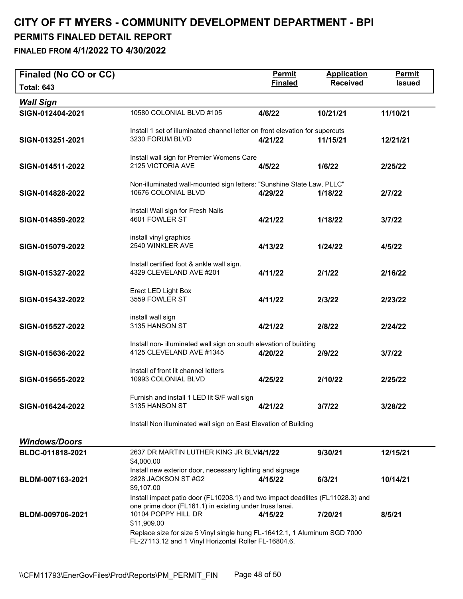#### **CITY OF FT MYERS - COMMUNITY DEVELOPMENT DEPARTMENT - BPI PERMITS FINALED DETAIL REPORT FINALED FROM 4/1/2022 TO 4/30/2022**

| Finaled (No CO or CC) |                                                                                               | <b>Permit</b><br><b>Finaled</b> | <b>Application</b><br><b>Received</b> | <b>Permit</b><br><b>Issued</b> |
|-----------------------|-----------------------------------------------------------------------------------------------|---------------------------------|---------------------------------------|--------------------------------|
| <b>Total: 643</b>     |                                                                                               |                                 |                                       |                                |
| <b>Wall Sign</b>      |                                                                                               |                                 |                                       |                                |
| SIGN-012404-2021      | 10580 COLONIAL BLVD #105                                                                      | 4/6/22                          | 10/21/21                              | 11/10/21                       |
|                       | Install 1 set of illuminated channel letter on front elevation for supercuts                  |                                 |                                       |                                |
| SIGN-013251-2021      | 3230 FORUM BLVD                                                                               | 4/21/22                         | 11/15/21                              | 12/21/21                       |
|                       | Install wall sign for Premier Womens Care                                                     |                                 |                                       |                                |
| SIGN-014511-2022      | 2125 VICTORIA AVE                                                                             | 4/5/22                          | 1/6/22                                | 2/25/22                        |
|                       | Non-illuminated wall-mounted sign letters: "Sunshine State Law, PLLC"                         |                                 |                                       |                                |
| SIGN-014828-2022      | 10676 COLONIAL BLVD                                                                           | 4/29/22                         | 1/18/22                               | 2/7/22                         |
|                       | Install Wall sign for Fresh Nails                                                             |                                 |                                       |                                |
| SIGN-014859-2022      | 4601 FOWLER ST                                                                                | 4/21/22                         | 1/18/22                               | 3/7/22                         |
|                       |                                                                                               |                                 |                                       |                                |
| SIGN-015079-2022      | install vinyl graphics<br>2540 WINKLER AVE                                                    | 4/13/22                         | 1/24/22                               | 4/5/22                         |
|                       |                                                                                               |                                 |                                       |                                |
|                       | Install certified foot & ankle wall sign.<br>4329 CLEVELAND AVE #201                          |                                 |                                       |                                |
| SIGN-015327-2022      |                                                                                               | 4/11/22                         | 2/1/22                                | 2/16/22                        |
|                       | Erect LED Light Box                                                                           |                                 |                                       |                                |
| SIGN-015432-2022      | 3559 FOWLER ST                                                                                | 4/11/22                         | 2/3/22                                | 2/23/22                        |
|                       | install wall sign                                                                             |                                 |                                       |                                |
| SIGN-015527-2022      | 3135 HANSON ST                                                                                | 4/21/22                         | 2/8/22                                | 2/24/22                        |
|                       |                                                                                               |                                 |                                       |                                |
| SIGN-015636-2022      | Install non- illuminated wall sign on south elevation of building<br>4125 CLEVELAND AVE #1345 | 4/20/22                         | 2/9/22                                | 3/7/22                         |
|                       |                                                                                               |                                 |                                       |                                |
|                       | Install of front lit channel letters<br>10993 COLONIAL BLVD                                   |                                 |                                       |                                |
| SIGN-015655-2022      |                                                                                               | 4/25/22                         | 2/10/22                               | 2/25/22                        |
|                       | Furnish and install 1 LED lit S/F wall sign                                                   |                                 |                                       |                                |
| SIGN-016424-2022      | 3135 HANSON ST                                                                                | 4/21/22                         | 3/7/22                                | 3/28/22                        |
|                       | Install Non illuminated wall sign on East Elevation of Building                               |                                 |                                       |                                |
|                       |                                                                                               |                                 |                                       |                                |
| <b>Windows/Doors</b>  |                                                                                               |                                 |                                       |                                |
| BLDC-011818-2021      | 2637 DR MARTIN LUTHER KING JR BLVI4/1/22<br>\$4,000.00                                        |                                 | 9/30/21                               | 12/15/21                       |
|                       | Install new exterior door, necessary lighting and signage                                     |                                 |                                       |                                |
| BLDM-007163-2021      | 2828 JACKSON ST #G2<br>\$9,107.00                                                             | 4/15/22                         | 6/3/21                                | 10/14/21                       |
|                       | Install impact patio door (FL10208.1) and two impact deadlites (FL11028.3) and                |                                 |                                       |                                |
|                       | one prime door (FL161.1) in existing under truss lanai.                                       |                                 |                                       |                                |
| BLDM-009706-2021      | 10104 POPPY HILL DR<br>\$11,909.00                                                            | 4/15/22                         | 7/20/21                               | 8/5/21                         |
|                       | Replace size for size 5 Vinyl single hung FL-16412.1, 1 Aluminum SGD 7000                     |                                 |                                       |                                |
|                       | FL-27113.12 and 1 Vinyl Horizontal Roller FL-16804.6.                                         |                                 |                                       |                                |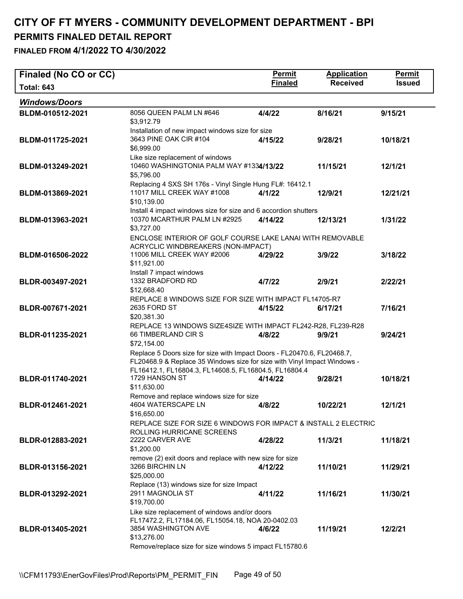| Finaled (No CO or CC) |                                                                                                                                                                                                              | Permit         | <b>Application</b> | <b>Permit</b> |  |  |
|-----------------------|--------------------------------------------------------------------------------------------------------------------------------------------------------------------------------------------------------------|----------------|--------------------|---------------|--|--|
| <b>Total: 643</b>     |                                                                                                                                                                                                              | <b>Finaled</b> | <b>Received</b>    | <b>Issued</b> |  |  |
| <b>Windows/Doors</b>  |                                                                                                                                                                                                              |                |                    |               |  |  |
| BLDM-010512-2021      | 8056 QUEEN PALM LN #646<br>\$3,912.79                                                                                                                                                                        | 4/4/22         | 8/16/21            | 9/15/21       |  |  |
| BLDM-011725-2021      | Installation of new impact windows size for size<br>3643 PINE OAK CIR #104<br>\$6,999.00<br>Like size replacement of windows                                                                                 | 4/15/22        | 9/28/21            | 10/18/21      |  |  |
| BLDM-013249-2021      | 10460 WASHINGTONIA PALM WAY #1334/13/22<br>\$5,796.00                                                                                                                                                        |                | 11/15/21           | 12/1/21       |  |  |
| BLDM-013869-2021      | Replacing 4 SXS SH 176s - Vinyl Single Hung FL#: 16412.1<br>11017 MILL CREEK WAY #1008<br>\$10,139.00                                                                                                        | 4/1/22         | 12/9/21            | 12/21/21      |  |  |
| BLDM-013963-2021      | Install 4 impact windows size for size and 6 accordion shutters<br>10370 MCARTHUR PALM LN #2925<br>\$3,727.00                                                                                                | 4/14/22        | 12/13/21           | 1/31/22       |  |  |
|                       | ENCLOSE INTERIOR OF GOLF COURSE LAKE LANAI WITH REMOVABLE<br>ACRYCLIC WINDBREAKERS (NON-IMPACT)                                                                                                              |                |                    |               |  |  |
| BLDM-016506-2022      | 11006 MILL CREEK WAY #2006<br>\$11,921.00<br>Install 7 impact windows                                                                                                                                        | 4/29/22        | 3/9/22             | 3/18/22       |  |  |
| BLDR-003497-2021      | 1332 BRADFORD RD<br>\$12,668.40                                                                                                                                                                              | 4/7/22         | 2/9/21             | 2/22/21       |  |  |
| BLDR-007671-2021      | REPLACE 8 WINDOWS SIZE FOR SIZE WITH IMPACT FL14705-R7<br>2635 FORD ST<br>\$20,381.30                                                                                                                        | 4/15/22        | 6/17/21            | 7/16/21       |  |  |
| BLDR-011235-2021      | REPLACE 13 WINDOWS SIZE4SIZE WITH IMPACT FL242-R28, FL239-R28<br>66 TIMBERLAND CIR S<br>\$72,154.00                                                                                                          | 4/8/22         | 9/9/21             | 9/24/21       |  |  |
|                       | Replace 5 Doors size for size with Impact Doors - FL20470.6, FL20468.7,<br>FL20468.9 & Replace 35 Windows size for size with Vinyl Impact Windows -<br>FL16412.1, FL16804.3, FL14608.5, FL16804.5, FL16804.4 |                |                    |               |  |  |
| BLDR-011740-2021      | 1729 HANSON ST<br>\$11,630.00                                                                                                                                                                                | 4/14/22        | 9/28/21            | 10/18/21      |  |  |
| BLDR-012461-2021      | Remove and replace windows size for size<br>4604 WATERSCAPE LN<br>\$16,650.00                                                                                                                                | 4/8/22         | 10/22/21           | 12/1/21       |  |  |
| BLDR-012883-2021      | REPLACE SIZE FOR SIZE 6 WINDOWS FOR IMPACT & INSTALL 2 ELECTRIC<br>ROLLING HURRICANE SCREENS<br>2222 CARVER AVE                                                                                              | 4/28/22        | 11/3/21            | 11/18/21      |  |  |
|                       | \$1,200.00<br>remove (2) exit doors and replace with new size for size                                                                                                                                       |                |                    |               |  |  |
| BLDR-013156-2021      | 3266 BIRCHIN LN<br>\$25,000.00                                                                                                                                                                               | 4/12/22        | 11/10/21           | 11/29/21      |  |  |
| BLDR-013292-2021      | Replace (13) windows size for size Impact<br>2911 MAGNOLIA ST<br>\$19,700.00                                                                                                                                 | 4/11/22        | 11/16/21           | 11/30/21      |  |  |
| BLDR-013405-2021      | Like size replacement of windows and/or doors<br>FL17472.2, FL17184.06, FL15054.18, NOA 20-0402.03<br>3854 WASHINGTON AVE<br>\$13,276.00<br>Remove/replace size for size windows 5 impact FL15780.6          | 4/6/22         | 11/19/21           | 12/2/21       |  |  |